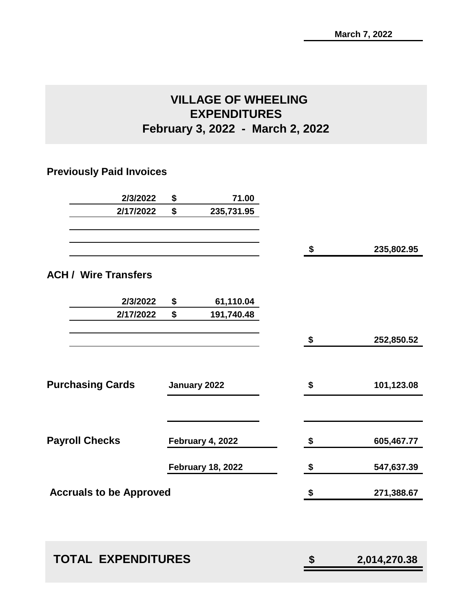### **VILLAGE OF WHEELING EXPENDITURES February 3, 2022 - March 2, 2022**

### **Previously Paid Invoices**

| 2/3/2022                       | \$<br>71.00              |                    |
|--------------------------------|--------------------------|--------------------|
| 2/17/2022                      | \$<br>235,731.95         |                    |
|                                |                          | \$<br>235,802.95   |
| <b>ACH / Wire Transfers</b>    |                          |                    |
| 2/3/2022                       | \$<br>61,110.04          |                    |
| 2/17/2022                      | \$<br>191,740.48         |                    |
|                                |                          | \$<br>252,850.52   |
|                                |                          |                    |
| <b>Purchasing Cards</b>        | January 2022             | \$<br>101,123.08   |
|                                |                          |                    |
| <b>Payroll Checks</b>          | February 4, 2022         | \$<br>605,467.77   |
|                                | <b>February 18, 2022</b> | \$<br>547,637.39   |
| <b>Accruals to be Approved</b> |                          | \$<br>271,388.67   |
|                                |                          |                    |
| <b>TOTAL EXPENDITURES</b>      |                          | \$<br>2,014,270.38 |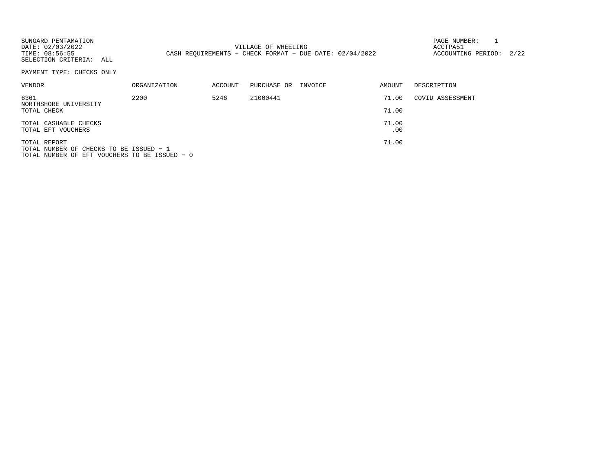| SUNGARD PENTAMATION<br>DATE: 02/03/2022<br>TIME: 08:56:55<br>SELECTION CRITERIA: ALL                     |              |         | VILLAGE OF WHEELING<br>CASH REOUIREMENTS - CHECK FORMAT - DUE DATE: $02/04/2022$ |         |                | PAGE NUMBER:<br>ACCTPA51<br>ACCOUNTING PERIOD: | 2/22 |
|----------------------------------------------------------------------------------------------------------|--------------|---------|----------------------------------------------------------------------------------|---------|----------------|------------------------------------------------|------|
| PAYMENT TYPE: CHECKS ONLY                                                                                |              |         |                                                                                  |         |                |                                                |      |
| VENDOR                                                                                                   | ORGANIZATION | ACCOUNT | PURCHASE OR                                                                      | INVOICE | AMOUNT         | DESCRIPTION                                    |      |
| 6361<br>NORTHSHORE UNIVERSITY<br>TOTAL CHECK                                                             | 2200         | 5246    | 21000441                                                                         |         | 71.00<br>71.00 | COVID ASSESSMENT                               |      |
| TOTAL CASHABLE CHECKS<br>TOTAL EFT VOUCHERS                                                              |              |         |                                                                                  |         | 71.00<br>.00   |                                                |      |
| TOTAL REPORT<br>TOTAL NUMBER OF CHECKS TO BE ISSUED - 1<br>TOTAL NUMBER OF EFT VOUCHERS TO BE ISSUED - 0 |              |         |                                                                                  |         | 71.00          |                                                |      |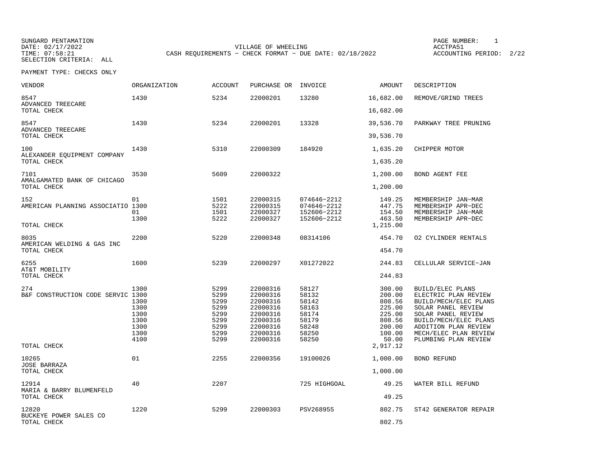SUNGARD PENTAMATION SUNGARD PENTAMATION SUNG PAGE NUMBER: 1 SELECTION CRITERIA: ALL

DATE: 02/17/2022 VILLAGE OF WHEELING ACCTPA51CASH REQUIREMENTS - CHECK FORMAT - DUE DATE: 02/18/2022

ACCOUNTING PERIOD: 2/22

| <b>VENDOR</b>                                           | <b>ORGANIZATION</b>                                          | <b>ACCOUNT</b>                                                       | PURCHASE OR                                                                                              | INVOICE                                                                       | AMOUNT                                                                                            | DESCRIPTION                                                                                                                                                                                                     |
|---------------------------------------------------------|--------------------------------------------------------------|----------------------------------------------------------------------|----------------------------------------------------------------------------------------------------------|-------------------------------------------------------------------------------|---------------------------------------------------------------------------------------------------|-----------------------------------------------------------------------------------------------------------------------------------------------------------------------------------------------------------------|
| 8547<br>ADVANCED TREECARE                               | 1430                                                         | 5234                                                                 | 22000201                                                                                                 | 13280                                                                         | 16,682.00                                                                                         | REMOVE/GRIND TREES                                                                                                                                                                                              |
| TOTAL CHECK                                             |                                                              |                                                                      |                                                                                                          |                                                                               | 16,682.00                                                                                         |                                                                                                                                                                                                                 |
| 8547<br>ADVANCED TREECARE                               | 1430                                                         | 5234                                                                 | 22000201                                                                                                 | 13328                                                                         | 39,536.70                                                                                         | PARKWAY TREE PRUNING                                                                                                                                                                                            |
| TOTAL CHECK                                             |                                                              |                                                                      |                                                                                                          |                                                                               | 39,536.70                                                                                         |                                                                                                                                                                                                                 |
| 100<br>ALEXANDER EQUIPMENT COMPANY                      | 1430                                                         | 5310                                                                 | 22000309                                                                                                 | 184920                                                                        | 1,635.20                                                                                          | CHIPPER MOTOR                                                                                                                                                                                                   |
| TOTAL CHECK                                             |                                                              |                                                                      |                                                                                                          |                                                                               | 1,635.20                                                                                          |                                                                                                                                                                                                                 |
| 7101<br>AMALGAMATED BANK OF CHICAGO                     | 3530                                                         | 5609                                                                 | 22000322                                                                                                 |                                                                               | 1,200.00                                                                                          | BOND AGENT FEE                                                                                                                                                                                                  |
| TOTAL CHECK                                             |                                                              |                                                                      |                                                                                                          |                                                                               | 1,200.00                                                                                          |                                                                                                                                                                                                                 |
| 152<br>AMERICAN PLANNING ASSOCIATIO 1300<br>TOTAL CHECK | 01<br>01<br>1300                                             | 1501<br>5222<br>1501<br>5222                                         | 22000315<br>22000315<br>22000327<br>22000327                                                             | 074646-2212<br>074646-2212<br>152606-2212<br>152606-2212                      | 149.25<br>447.75<br>154.50<br>463.50<br>1,215.00                                                  | MEMBERSHIP JAN-MAR<br>MEMBERSHIP APR-DEC<br>MEMBERSHIP JAN-MAR<br>MEMBERSHIP APR-DEC                                                                                                                            |
| 8035                                                    | 2200                                                         | 5220                                                                 | 22000348                                                                                                 | 08314106                                                                      | 454.70                                                                                            | 02 CYLINDER RENTALS                                                                                                                                                                                             |
| AMERICAN WELDING & GAS INC<br>TOTAL CHECK               |                                                              |                                                                      |                                                                                                          |                                                                               | 454.70                                                                                            |                                                                                                                                                                                                                 |
| 6255                                                    | 1600                                                         | 5239                                                                 | 22000297                                                                                                 | X01272022                                                                     | 244.83                                                                                            | CELLULAR SERVICE-JAN                                                                                                                                                                                            |
| AT&T MOBILITY<br>TOTAL CHECK                            |                                                              |                                                                      |                                                                                                          |                                                                               | 244.83                                                                                            |                                                                                                                                                                                                                 |
| 274<br>B&F CONSTRUCTION CODE SERVIC 1300<br>TOTAL CHECK | 1300<br>1300<br>1300<br>1300<br>1300<br>1300<br>1300<br>4100 | 5299<br>5299<br>5299<br>5299<br>5299<br>5299<br>5299<br>5299<br>5299 | 22000316<br>22000316<br>22000316<br>22000316<br>22000316<br>22000316<br>22000316<br>22000316<br>22000316 | 58127<br>58132<br>58142<br>58163<br>58174<br>58179<br>58248<br>58250<br>58250 | 300.00<br>200.00<br>808.56<br>225.00<br>225.00<br>808.56<br>200.00<br>100.00<br>50.00<br>2,917.12 | BUILD/ELEC PLANS<br>ELECTRIC PLAN REVIEW<br>BUILD/MECH/ELEC PLANS<br>SOLAR PANEL REVIEW<br>SOLAR PANEL REVIEW<br>BUILD/MECH/ELEC PLANS<br>ADDITION PLAN REVIEW<br>MECH/ELEC PLAN REVIEW<br>PLUMBING PLAN REVIEW |
| 10265                                                   | 01                                                           | 2255                                                                 | 22000356                                                                                                 | 19100026                                                                      | 1,000.00                                                                                          | <b>BOND REFUND</b>                                                                                                                                                                                              |
| <b>JOSE BARRAZA</b><br>TOTAL CHECK                      |                                                              |                                                                      |                                                                                                          |                                                                               | 1,000.00                                                                                          |                                                                                                                                                                                                                 |
| 12914<br>MARIA & BARRY BLUMENFELD                       | 40                                                           | 2207                                                                 |                                                                                                          | 725 HIGHGOAL                                                                  | 49.25                                                                                             | WATER BILL REFUND                                                                                                                                                                                               |
| TOTAL CHECK                                             |                                                              |                                                                      |                                                                                                          |                                                                               | 49.25                                                                                             |                                                                                                                                                                                                                 |
| 12820<br>BUCKEYE POWER SALES CO<br>TOTAL CHECK          | 1220                                                         | 5299                                                                 | 22000303                                                                                                 | PSV268955                                                                     | 802.75<br>802.75                                                                                  | ST42 GENERATOR REPAIR                                                                                                                                                                                           |
|                                                         |                                                              |                                                                      |                                                                                                          |                                                                               |                                                                                                   |                                                                                                                                                                                                                 |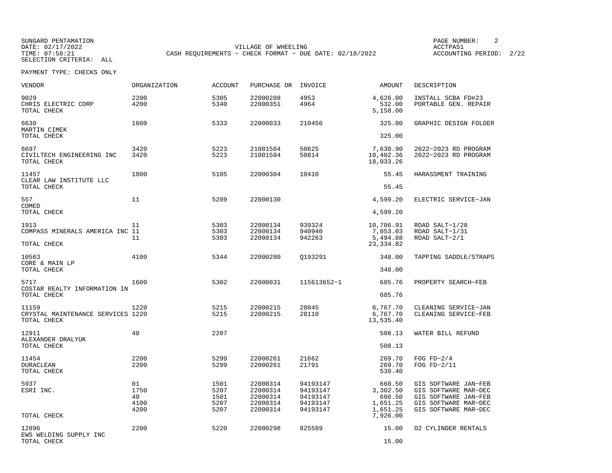SUNGARD PENTAMATION SUNGARD PENTAMATION SUNGARD PAGE NUMBER: 2 <br/>
PAGE NUMBER: 2 <br/>
PAGE NUMBER: 2 <br/>
PAGE NUMBER: 2 <br/>
PAGE NUMBER: 2 <br/>
PAGE NUMBER: 2 <br/>
PAGE NUMBER: 2 <br/>
PAGE NUMBER: 2 <br/>
PAGE N DATE: 02/17/2022 VILLAGE OF WHEELING ACCTPA51CASH REQUIREMENTS - CHECK FORMAT - DUE DATE: 02/18/2022

ACCOUNTING PERIOD: 2/22

| <b>VENDOR</b>                                             | <b>ORGANIZATION</b>              | <b>ACCOUNT</b>                       | PURCHASE OR                                              | INVOICE                                                  | AMOUNT                                                           | DESCRIPTION                                                                                                          |
|-----------------------------------------------------------|----------------------------------|--------------------------------------|----------------------------------------------------------|----------------------------------------------------------|------------------------------------------------------------------|----------------------------------------------------------------------------------------------------------------------|
| 9029<br>CHRIS ELECTRIC CORP<br>TOTAL CHECK                | 2200<br>4200                     | 5305<br>5340                         | 22000288<br>22000351                                     | 4953<br>4964                                             | 4,626.00<br>532.00<br>5,158.00                                   | INSTALL SCBA FD#23<br>PORTABLE GEN. REPAIR                                                                           |
| 6630<br>MARTIN CIMEK                                      | 1600                             | 5333                                 | 22000033                                                 | 210456                                                   | 325.00                                                           | GRAPHIC DESIGN FOLDER                                                                                                |
| TOTAL CHECK                                               |                                  |                                      |                                                          |                                                          | 325.00                                                           |                                                                                                                      |
| 6697<br>CIVILTECH ENGINEERING INC<br>TOTAL CHECK          | 3420<br>3420                     | 5223<br>5223                         | 21001584<br>21001584                                     | 50625<br>50814                                           | 7,630.90<br>10,402.36<br>18,033.26                               | 2022-2023 RD PROGRAM<br>2022-2023 RD PROGRAM                                                                         |
| 11457<br>CLEAR LAW INSTITUTE LLC                          | 1800                             | 5105                                 | 22000304                                                 | 10410                                                    | 55.45                                                            | HARASSMENT TRAINING                                                                                                  |
| TOTAL CHECK                                               |                                  |                                      |                                                          |                                                          | 55.45                                                            |                                                                                                                      |
| 557<br>COMED                                              | 11                               | 5209                                 | 22000130                                                 |                                                          | 4,599.20                                                         | ELECTRIC SERVICE-JAN                                                                                                 |
| TOTAL CHECK                                               |                                  |                                      |                                                          |                                                          | 4,599.20                                                         |                                                                                                                      |
| 1913<br>COMPASS MINERALS AMERICA INC 11                   | 11<br>11                         | 5303<br>5303<br>5303                 | 22000134<br>22000134<br>22000134                         | 939324<br>940940<br>942263                               | 10,786.91<br>7,053.03<br>5,494.88                                | ROAD SALT-1/28<br>ROAD SALT-1/31<br>ROAD SALT-2/1                                                                    |
| TOTAL CHECK                                               |                                  |                                      |                                                          |                                                          | 23, 334.82                                                       |                                                                                                                      |
| 10563<br>CORE & MAIN LP                                   | 4100                             | 5344                                 | 22000280                                                 | 0193291                                                  | 348.00                                                           | TAPPING SADDLE/STRAPS                                                                                                |
| TOTAL CHECK                                               |                                  |                                      |                                                          |                                                          | 348.00                                                           |                                                                                                                      |
| 5717<br>COSTAR REALTY INFORMATION IN                      | 1600                             | 5302                                 | 22000031                                                 | 115613652-1                                              | 685.76                                                           | PROPERTY SEARCH-FEB                                                                                                  |
| TOTAL CHECK                                               |                                  |                                      |                                                          |                                                          | 685.76                                                           |                                                                                                                      |
| 11159<br>CRYSTAL MAINTENANCE SERVICES 1220<br>TOTAL CHECK | 1220                             | 5215<br>5215                         | 22000215<br>22000215                                     | 28045<br>28110                                           | 6,767.70<br>6,767.70<br>13,535.40                                | CLEANING SERVICE-JAN<br>CLEANING SERVICE-FEB                                                                         |
| 12911                                                     | 40                               | 2207                                 |                                                          |                                                          | 508.13                                                           | WATER BILL REFUND                                                                                                    |
| ALEXANDER DRALYUK<br>TOTAL CHECK                          |                                  |                                      |                                                          |                                                          | 508.13                                                           |                                                                                                                      |
| 11454<br><b>DURACLEAN</b><br>TOTAL CHECK                  | 2200<br>2200                     | 5299<br>5299                         | 22000261<br>22000261                                     | 21662<br>21791                                           | 269.70<br>269.70<br>539.40                                       | FOG $FD-2/4$<br>FOG $FD-2/11$                                                                                        |
| 5937<br>ESRI INC.<br>TOTAL CHECK                          | 01<br>1750<br>40<br>4100<br>4200 | 1501<br>5207<br>1501<br>5207<br>5207 | 22000314<br>22000314<br>22000314<br>22000314<br>22000314 | 94193147<br>94193147<br>94193147<br>94193147<br>94193147 | 660.50<br>3,302.50<br>660.50<br>1,651.25<br>1,651.25<br>7,926.00 | GIS SOFTWARE JAN-FEB<br>GIS SOFTWARE MAR-DEC<br>GIS SOFTWARE JAN-FEB<br>GIS SOFTWARE MAR-DEC<br>GIS SOFTWARE MAR-DEC |
| 12896<br>EWS WELDING SUPPLY INC<br>TOTAL CHECK            | 2200                             | 5220                                 | 22000298                                                 | 825589                                                   | 15.00<br>15.00                                                   | 02 CYLINDER RENTALS                                                                                                  |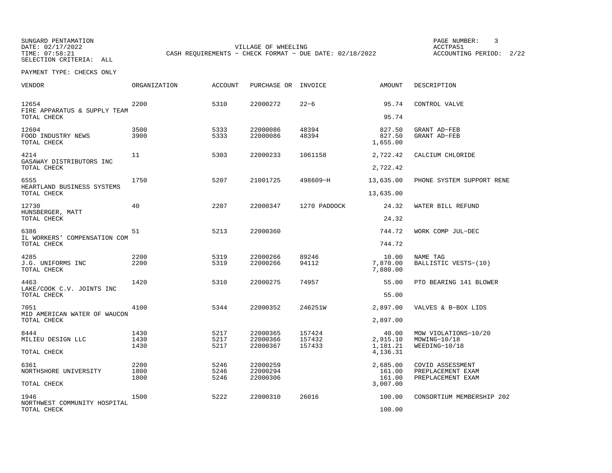SUNGARD PENTAMATION SUNGARD PENTAMATION SUNG PAGE NUMBER: 3 SENSIS PAGE NUMBER: 3 SENSIS PAGE NUMBER: 3 SENSIS PAGE NUMBER: 3 SENSIS PAGE NUMBER: 3 SENSIS PAGE NUMBER: 3 SENSIS PAGE NUMBER: 3 SENSIS PAGE NUMBER: 3 SENSIS P SELECTION CRITERIA: ALL

DATE: 02/17/2022 VILLAGE OF WHEELING ACCTPA51CASH REQUIREMENTS - CHECK FORMAT - DUE DATE: 02/18/2022

ACCOUNTING PERIOD: 2/22

| VENDOR                                               | ORGANIZATION         | <b>ACCOUNT</b>       | PURCHASE OR                      | INVOICE                    | AMOUNT                        | DESCRIPTION                                                |
|------------------------------------------------------|----------------------|----------------------|----------------------------------|----------------------------|-------------------------------|------------------------------------------------------------|
| 12654<br>FIRE APPARATUS & SUPPLY TEAM<br>TOTAL CHECK | 2200                 | 5310                 | 22000272                         | $22 - 6$                   | 95.74<br>95.74                | CONTROL VALVE                                              |
|                                                      |                      |                      |                                  |                            |                               |                                                            |
| 12604<br>FOOD INDUSTRY NEWS<br>TOTAL CHECK           | 3500<br>3900         | 5333<br>5333         | 22000086<br>22000086             | 48394<br>48394             | 827.50<br>827.50<br>1,655.00  | GRANT AD-FEB<br>GRANT AD-FEB                               |
| 4214<br>GASAWAY DISTRIBUTORS INC                     | 11                   | 5303                 | 22000233                         | 1061158                    | 2,722.42                      | CALCIUM CHLORIDE                                           |
| TOTAL CHECK                                          |                      |                      |                                  |                            | 2,722.42                      |                                                            |
| 6555<br>HEARTLAND BUSINESS SYSTEMS                   | 1750                 | 5207                 | 21001725                         | 498609-H                   | 13,635.00                     | PHONE SYSTEM SUPPORT RENE                                  |
| TOTAL CHECK                                          |                      |                      |                                  |                            | 13,635.00                     |                                                            |
| 12730<br>HUNSBERGER, MATT                            | 40                   | 2207                 | 22000347                         | 1270 PADDOCK               | 24.32                         | WATER BILL REFUND                                          |
| TOTAL CHECK                                          |                      |                      |                                  |                            | 24.32                         |                                                            |
| 6386<br>IL WORKERS' COMPENSATION COM                 | 51                   | 5213                 | 22000360                         |                            | 744.72                        | WORK COMP JUL-DEC                                          |
| TOTAL CHECK                                          |                      |                      |                                  |                            | 744.72                        |                                                            |
| 4285<br>J.G. UNIFORMS INC                            | 2200<br>2200         | 5319<br>5319         | 22000266<br>22000266             | 89246<br>94112             | 10.00<br>7,870.00             | NAME TAG<br>BALLISTIC VESTS-(10)                           |
| TOTAL CHECK                                          |                      |                      |                                  |                            | 7,880.00                      |                                                            |
| 4463<br>LAKE/COOK C.V. JOINTS INC                    | 1420                 | 5310                 | 22000275                         | 74957                      | 55.00                         | PTO BEARING 141 BLOWER                                     |
| TOTAL CHECK                                          |                      |                      |                                  |                            | 55.00                         |                                                            |
| 7051<br>MID AMERICAN WATER OF WAUCON                 | 4100                 | 5344                 | 22000352                         | 246251W                    | 2,897.00                      | VALVES & B-BOX LIDS                                        |
| TOTAL CHECK                                          |                      |                      |                                  |                            | 2,897.00                      |                                                            |
| 8444<br>MILIEU DESIGN LLC                            | 1430<br>1430<br>1430 | 5217<br>5217<br>5217 | 22000365<br>22000366<br>22000367 | 157424<br>157432<br>157433 | 40.00<br>2,915.10<br>1,181.21 | MOW VIOLATIONS-10/20<br>MOWING-10/18<br>WEEDING-10/18      |
| TOTAL CHECK                                          |                      |                      |                                  |                            | 4,136.31                      |                                                            |
| 6361<br>NORTHSHORE UNIVERSITY                        | 2200<br>1800<br>1800 | 5246<br>5246<br>5246 | 22000259<br>22000294<br>22000306 |                            | 2,685.00<br>161.00<br>161.00  | COVID ASSESSMENT<br>PREPLACEMENT EXAM<br>PREPLACEMENT EXAM |
| TOTAL CHECK                                          |                      |                      |                                  |                            | 3,007.00                      |                                                            |
| 1946<br>NORTHWEST COMMUNITY HOSPITAL                 | 1500                 | 5222                 | 22000310                         | 26016                      | 100.00                        | CONSORTIUM MEMBERSHIP 202                                  |
| TOTAL CHECK                                          |                      |                      |                                  |                            | 100.00                        |                                                            |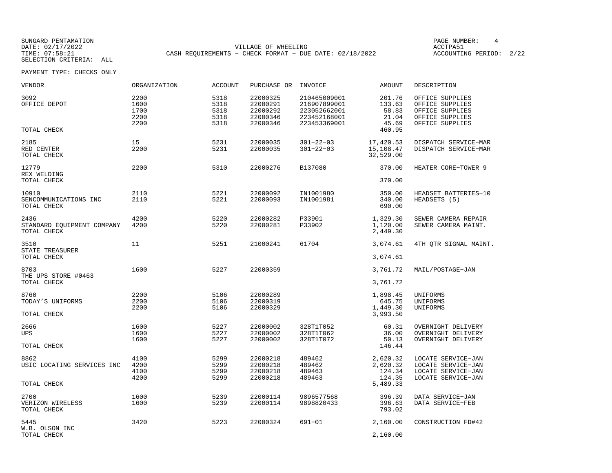SUNGARD PENTAMATION SUNGARD PENTAMATION SUNGARD PAGE NUMBER: 4 VILLAGE OF WHEELING **ACCTPA51** TIME: 07:58:21 CASH REQUIREMENTS - CHECK FORMAT - DUE DATE: 02/18/2022

ACCOUNTING PERIOD: 2/22

| VENDOR                                            | ORGANIZATION                         | <b>ACCOUNT</b>                       | PURCHASE OR                                              | INVOICE                                                                      | <b>AMOUNT</b>                                         | DESCRIPTION                                                                                 |
|---------------------------------------------------|--------------------------------------|--------------------------------------|----------------------------------------------------------|------------------------------------------------------------------------------|-------------------------------------------------------|---------------------------------------------------------------------------------------------|
| 3092<br>OFFICE DEPOT<br>TOTAL CHECK               | 2200<br>1600<br>1700<br>2200<br>2200 | 5318<br>5318<br>5318<br>5318<br>5318 | 22000325<br>22000291<br>22000292<br>22000346<br>22000346 | 210465009001<br>216907899001<br>223052662001<br>223452168001<br>223453369001 | 201.76<br>133.63<br>58.83<br>21.04<br>45.69<br>460.95 | OFFICE SUPPLIES<br>OFFICE SUPPLIES<br>OFFICE SUPPLIES<br>OFFICE SUPPLIES<br>OFFICE SUPPLIES |
|                                                   |                                      |                                      |                                                          |                                                                              |                                                       |                                                                                             |
| 2185<br>RED CENTER<br>TOTAL CHECK                 | 15<br>2200                           | 5231<br>5231                         | 22000035<br>22000035                                     | $301 - 22 - 03$<br>$301 - 22 - 03$                                           | 17,420.53<br>15,108.47<br>32,529.00                   | DISPATCH SERVICE-MAR<br>DISPATCH SERVICE-MAR                                                |
| 12779<br>REX WELDING                              | 2200                                 | 5310                                 | 22000276                                                 | B137080                                                                      | 370.00                                                | HEATER CORE-TOWER 9                                                                         |
| TOTAL CHECK                                       |                                      |                                      |                                                          |                                                                              | 370.00                                                |                                                                                             |
| 10910<br>SENCOMMUNICATIONS INC<br>TOTAL CHECK     | 2110<br>2110                         | 5221<br>5221                         | 22000092<br>22000093                                     | IN1001980<br>IN1001981                                                       | 350.00<br>340.00<br>690.00                            | HEADSET BATTERIES-10<br>HEADSETS (5)                                                        |
| 2436<br>STANDARD EQUIPMENT COMPANY<br>TOTAL CHECK | 4200<br>4200                         | 5220<br>5220                         | 22000282<br>22000281                                     | P33901<br>P33902                                                             | 1,329.30<br>1,120.00<br>2,449.30                      | SEWER CAMERA REPAIR<br>SEWER CAMERA MAINT.                                                  |
| 3510                                              | 11                                   | 5251                                 | 21000241                                                 | 61704                                                                        | 3,074.61                                              | 4TH OTR SIGNAL MAINT.                                                                       |
| STATE TREASURER<br>TOTAL CHECK                    |                                      |                                      |                                                          |                                                                              | 3,074.61                                              |                                                                                             |
| 8703<br>THE UPS STORE #0463<br>TOTAL CHECK        | 1600                                 | 5227                                 | 22000359                                                 |                                                                              | 3,761.72<br>3,761.72                                  | MAIL/POSTAGE-JAN                                                                            |
|                                                   |                                      |                                      |                                                          |                                                                              |                                                       |                                                                                             |
| 8760<br>TODAY'S UNIFORMS<br>TOTAL CHECK           | 2200<br>2200<br>2200                 | 5106<br>5106<br>5106                 | 22000289<br>22000319<br>22000329                         |                                                                              | 1,898.45<br>645.75<br>1,449.30<br>3,993.50            | UNIFORMS<br>UNIFORMS<br>UNIFORMS                                                            |
|                                                   |                                      |                                      |                                                          |                                                                              |                                                       |                                                                                             |
| 2666<br>UPS                                       | 1600<br>1600<br>1600                 | 5227<br>5227<br>5227                 | 22000002<br>22000002<br>22000002                         | 328T1T052<br>328T1T062<br>328T1T072                                          | 60.31<br>36.00<br>50.13                               | OVERNIGHT DELIVERY<br>OVERNIGHT DELIVERY<br>OVERNIGHT DELIVERY                              |
| TOTAL CHECK                                       |                                      |                                      |                                                          |                                                                              | 146.44                                                |                                                                                             |
| 8862<br>USIC LOCATING SERVICES INC                | 4100<br>4200<br>4100<br>4200         | 5299<br>5299<br>5299<br>5299         | 22000218<br>22000218<br>22000218<br>22000218             | 489462<br>489462<br>489463<br>489463                                         | 2,620.32<br>2,620.32<br>124.34<br>124.35              | LOCATE SERVICE-JAN<br>LOCATE SERVICE-JAN<br>LOCATE SERVICE-JAN<br>LOCATE SERVICE-JAN        |
| TOTAL CHECK                                       |                                      |                                      |                                                          |                                                                              | 5,489.33                                              |                                                                                             |
| 2700<br>VERIZON WIRELESS<br>TOTAL CHECK           | 1600<br>1600                         | 5239<br>5239                         | 22000114<br>22000114                                     | 9896577568<br>9898820433                                                     | 396.39<br>396.63<br>793.02                            | DATA SERVICE-JAN<br>DATA SERVICE-FEB                                                        |
| 5445<br>W.B. OLSON INC<br>TOTAL CHECK             | 3420                                 | 5223                                 | 22000324                                                 | $691 - 01$                                                                   | 2,160.00<br>2,160.00                                  | CONSTRUCTION FD#42                                                                          |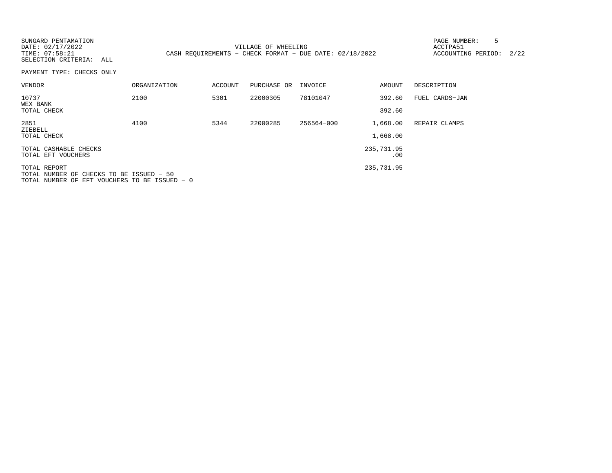| SUNGARD PENTAMATION<br>DATE: 02/17/2022<br>TIME: 07:58:21<br>SELECTION CRITERIA: ALL                      |              |         | VILLAGE OF WHEELING | CASH REOUIREMENTS - CHECK FORMAT - DUE DATE: 02/18/2022 |                      | 5<br>PAGE NUMBER:<br>ACCTPA51<br>ACCOUNTING PERIOD: | 2/22 |
|-----------------------------------------------------------------------------------------------------------|--------------|---------|---------------------|---------------------------------------------------------|----------------------|-----------------------------------------------------|------|
| PAYMENT TYPE: CHECKS ONLY                                                                                 |              |         |                     |                                                         |                      |                                                     |      |
| VENDOR                                                                                                    | ORGANIZATION | ACCOUNT | PURCHASE OR         | INVOICE                                                 | AMOUNT               | DESCRIPTION                                         |      |
| 10737<br>WEX BANK<br>TOTAL CHECK                                                                          | 2100         | 5301    | 22000305            | 78101047                                                | 392.60<br>392.60     | FUEL CARDS-JAN                                      |      |
| 2851<br>ZIEBELL<br>TOTAL CHECK                                                                            | 4100         | 5344    | 22000285            | 256564-000                                              | 1,668.00<br>1,668.00 | REPAIR CLAMPS                                       |      |
| TOTAL CASHABLE CHECKS<br>TOTAL EFT VOUCHERS                                                               |              |         |                     |                                                         | 235,731.95<br>.00    |                                                     |      |
| TOTAL REPORT<br>TOTAL NUMBER OF CHECKS TO BE ISSUED - 50<br>TOTAL NUMBER OF EFT VOUCHERS TO BE ISSUED - 0 |              |         |                     |                                                         | 235,731.95           |                                                     |      |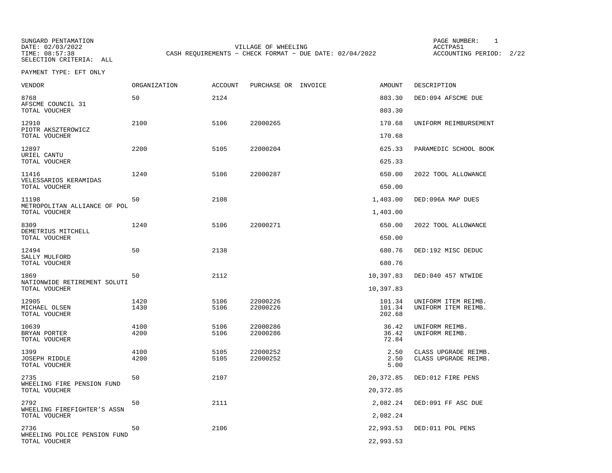SUNGARD PENTAMATION PAGE NUMBER: 1VILLAGE OF WHEELING **ACCTPA51** TIME: 08:57:38 CASH REQUIREMENTS - CHECK FORMAT - DUE DATE: 02/04/2022

ACCOUNTING PERIOD: 2/22

| VENDOR                                        | ORGANIZATION | ACCOUNT | PURCHASE OR INVOICE | AMOUNT           | DESCRIPTION           |
|-----------------------------------------------|--------------|---------|---------------------|------------------|-----------------------|
| 8768<br>AFSCME COUNCIL 31                     | 50           | 2124    |                     | 803.30           | DED:094 AFSCME DUE    |
| TOTAL VOUCHER                                 |              |         |                     | 803.30           |                       |
| 12910<br>PIOTR AKSZTEROWICZ<br>TOTAL VOUCHER  | 2100         | 5106    | 22000265            | 170.68<br>170.68 | UNIFORM REIMBURSEMENT |
|                                               |              |         |                     |                  |                       |
| 12897<br>URIEL CANTU<br>TOTAL VOUCHER         | 2200         | 5105    | 22000204            | 625.33<br>625.33 | PARAMEDIC SCHOOL BOOK |
| 11416                                         | 1240         | 5106    | 22000287            | 650.00           | 2022 TOOL ALLOWANCE   |
| VELESSARIOS KERAMIDAS<br>TOTAL VOUCHER        |              |         |                     | 650.00           |                       |
| 11198                                         | 50           | 2108    |                     | 1,403.00         | DED:096A MAP DUES     |
| METROPOLITAN ALLIANCE OF POL<br>TOTAL VOUCHER |              |         |                     | 1,403.00         |                       |
| 8309                                          | 1240         | 5106    | 22000271            | 650.00           | 2022 TOOL ALLOWANCE   |
| DEMETRIUS MITCHELL<br>TOTAL VOUCHER           |              |         |                     | 650.00           |                       |
| 12494                                         | 50           | 2138    |                     | 680.76           | DED:192 MISC DEDUC    |
| SALLY MULFORD<br>TOTAL VOUCHER                |              |         |                     | 680.76           |                       |
| 1869                                          | 50           | 2112    |                     | 10,397.83        | DED:040 457 NTWIDE    |
| NATIONWIDE RETIREMENT SOLUTI<br>TOTAL VOUCHER |              |         |                     | 10,397.83        |                       |
| 12905                                         | 1420         | 5106    | 22000226            | 101.34           | UNIFORM ITEM REIMB.   |
| MICHAEL OLSEN<br>TOTAL VOUCHER                | 1430         | 5106    | 22000226            | 101.34<br>202.68 | UNIFORM ITEM REIMB.   |
| 10639                                         | 4100         | 5106    | 22000286            | 36.42            | UNIFORM REIMB.        |
| BRYAN PORTER<br>TOTAL VOUCHER                 | 4200         | 5106    | 22000286            | 36.42<br>72.84   | UNIFORM REIMB.        |
| 1399                                          | 4100         | 5105    | 22000252            | 2.50             | CLASS UPGRADE REIMB.  |
| <b>JOSEPH RIDDLE</b><br>TOTAL VOUCHER         | 4200         | 5105    | 22000252            | 2.50<br>5.00     | CLASS UPGRADE REIMB.  |
| 2735                                          | 50           | 2107    |                     | 20,372.85        | DED:012 FIRE PENS     |
| WHEELING FIRE PENSION FUND<br>TOTAL VOUCHER   |              |         |                     | 20,372.85        |                       |
| 2792<br>WHEELING FIREFIGHTER'S ASSN           | 50           | 2111    |                     | 2,082.24         | DED:091 FF ASC DUE    |
| TOTAL VOUCHER                                 |              |         |                     | 2,082.24         |                       |
| 2736                                          | 50           | 2106    |                     | 22,993.53        | DED:011 POL PENS      |
| WHEELING POLICE PENSION FUND<br>TOTAL VOUCHER |              |         |                     | 22,993.53        |                       |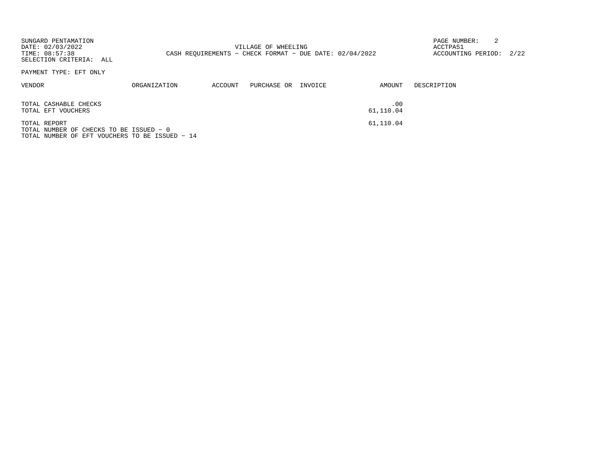| SUNGARD PENTAMATION<br>DATE: 02/03/2022<br>TIME: 08:57:38<br>SELECTION CRITERIA: ALL                      |              |         | VILLAGE OF WHEELING<br>CASH REOUIREMENTS - CHECK FORMAT - DUE DATE: $02/04/2022$ |         |                  | PAGE NUMBER:<br>ACCTPA51<br>ACCOUNTING PERIOD: | 2/22 |
|-----------------------------------------------------------------------------------------------------------|--------------|---------|----------------------------------------------------------------------------------|---------|------------------|------------------------------------------------|------|
| PAYMENT TYPE: EFT ONLY                                                                                    |              |         |                                                                                  |         |                  |                                                |      |
| VENDOR                                                                                                    | ORGANIZATION | ACCOUNT | PURCHASE OR                                                                      | INVOICE | AMOUNT           | DESCRIPTION                                    |      |
| TOTAL CASHABLE CHECKS<br>TOTAL EFT VOUCHERS                                                               |              |         |                                                                                  |         | .00<br>61,110.04 |                                                |      |
| TOTAL REPORT<br>TOTAL NUMBER OF CHECKS TO BE ISSUED - 0<br>TOTAL NUMBER OF EFT VOUCHERS TO BE ISSUED - 14 |              |         |                                                                                  |         | 61,110.04        |                                                |      |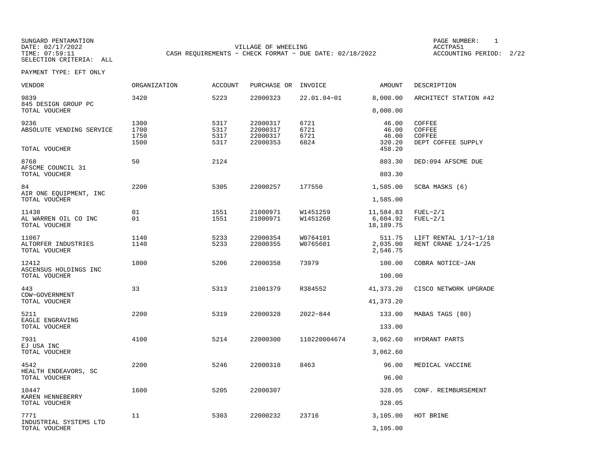SUNGARD PENTAMATION SUNGARD PENTAMATION SUNG PAGE NUMBER: 1 DATE: 02/17/2022 VILLAGE OF WHEELING ACCTPA51CASH REQUIREMENTS - CHECK FORMAT - DUE DATE: 02/18/2022

ACCOUNTING PERIOD: 2/22

| VENDOR                                          | ORGANIZATION                 | <b>ACCOUNT</b>               | PURCHASE OR                                  | INVOICE                      | AMOUNT                             | DESCRIPTION                                      |
|-------------------------------------------------|------------------------------|------------------------------|----------------------------------------------|------------------------------|------------------------------------|--------------------------------------------------|
| 9839<br>845 DESIGN GROUP PC                     | 3420                         | 5223                         | 22000323                                     | 22.01.04-01                  | 8,000.00                           | ARCHITECT STATION #42                            |
| TOTAL VOUCHER                                   |                              |                              |                                              |                              | 8,000.00                           |                                                  |
| 9236<br>ABSOLUTE VENDING SERVICE                | 1300<br>1700<br>1750<br>1500 | 5317<br>5317<br>5317<br>5317 | 22000317<br>22000317<br>22000317<br>22000353 | 6721<br>6721<br>6721<br>6824 | 46.00<br>46.00<br>46.00<br>320.20  | COFFEE<br>COFFEE<br>COFFEE<br>DEPT COFFEE SUPPLY |
| TOTAL VOUCHER                                   |                              |                              |                                              |                              | 458.20                             |                                                  |
| 8768<br>AFSCME COUNCIL 31<br>TOTAL VOUCHER      | 50                           | 2124                         |                                              |                              | 803.30<br>803.30                   | DED:094 AFSCME DUE                               |
|                                                 |                              |                              |                                              |                              |                                    |                                                  |
| 84<br>AIR ONE EQUIPMENT, INC<br>TOTAL VOUCHER   | 2200                         | 5305                         | 22000257                                     | 177550                       | 1,585.00<br>1,585.00               | SCBA MASKS (6)                                   |
| 11438<br>AL WARREN OIL CO INC<br>TOTAL VOUCHER  | 01<br>01                     | 1551<br>1551                 | 21000971<br>21000971                         | W1451259<br>W1451260         | 11,584.83<br>6,604.92<br>18,189.75 | $FUEL-2/1$<br>$FUEL-2/1$                         |
| 11067<br>ALTORFER INDUSTRIES<br>TOTAL VOUCHER   | 1140<br>1140                 | 5233<br>5233                 | 22000354<br>22000355                         | W0764101<br>W0765601         | 511.75<br>2,035.00<br>2,546.75     | LIFT RENTAL 1/17-1/18<br>RENT CRANE 1/24-1/25    |
| 12412<br>ASCENSUS HOLDINGS INC<br>TOTAL VOUCHER | 1800                         | 5206                         | 22000358                                     | 73979                        | 100.00<br>100.00                   | COBRA NOTICE-JAN                                 |
|                                                 |                              |                              |                                              |                              |                                    |                                                  |
| 443<br>CDW-GOVERNMENT<br>TOTAL VOUCHER          | 33                           | 5313                         | 21001379                                     | R384552                      | 41,373.20<br>41,373.20             | CISCO NETWORK UPGRADE                            |
| 5211                                            | 2200                         | 5319                         | 22000328                                     | $2022 - 844$                 | 133.00                             | MABAS TAGS (80)                                  |
| EAGLE ENGRAVING<br>TOTAL VOUCHER                |                              |                              |                                              |                              | 133.00                             |                                                  |
| 7931                                            | 4100                         | 5214                         | 22000300                                     | 110220004674                 | 3,062.60                           | HYDRANT PARTS                                    |
| EJ USA INC<br>TOTAL VOUCHER                     |                              |                              |                                              |                              | 3,062.60                           |                                                  |
| 4542<br>HEALTH ENDEAVORS, SC<br>TOTAL VOUCHER   | 2200                         | 5246                         | 22000318                                     | 8463                         | 96.00<br>96.00                     | MEDICAL VACCINE                                  |
|                                                 | 1600                         |                              |                                              |                              |                                    |                                                  |
| 10447<br>KAREN HENNEBERRY<br>TOTAL VOUCHER      |                              | 5205                         | 22000307                                     |                              | 328.05<br>328.05                   | CONF. REIMBURSEMENT                              |
| 7771                                            | 11                           | 5303                         | 22000232                                     | 23716                        | 3,105.00                           | HOT BRINE                                        |
| INDUSTRIAL SYSTEMS LTD<br>TOTAL VOUCHER         |                              |                              |                                              |                              | 3,105.00                           |                                                  |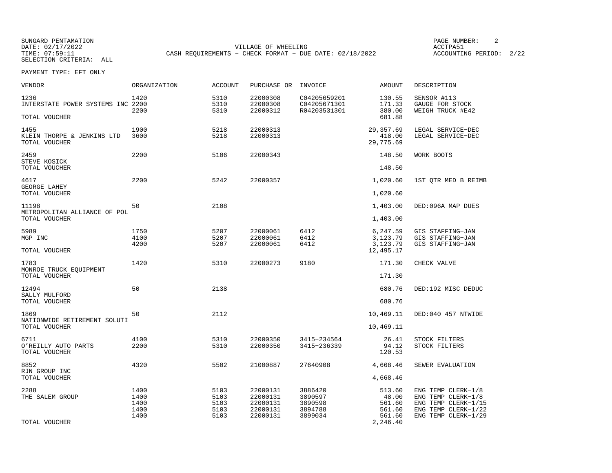SUNGARD PENTAMATION SUNGARD PENTAMATION SUNG PAGE NUMBER: 2 DATE: 02/17/2022 VILLAGE OF WHEELING ACCTPA51CASH REQUIREMENTS - CHECK FORMAT - DUE DATE: 02/18/2022

ACCOUNTING PERIOD: 2/22

| <b>VENDOR</b>                                       | ORGANIZATION                         | <b>ACCOUNT</b>                       | PURCHASE OR                                              | INVOICE                                             | AMOUNT                                        | DESCRIPTION                                                                                                   |
|-----------------------------------------------------|--------------------------------------|--------------------------------------|----------------------------------------------------------|-----------------------------------------------------|-----------------------------------------------|---------------------------------------------------------------------------------------------------------------|
| 1236<br>INTERSTATE POWER SYSTEMS INC 2200           | 1420<br>2200                         | 5310<br>5310<br>5310                 | 22000308<br>22000308<br>22000312                         | C04205659201<br>C04205671301<br>R04203531301        | 130.55<br>171.33<br>380.00                    | SENSOR #113<br>GAUGE FOR STOCK<br>WEIGH TRUCK #E42                                                            |
| TOTAL VOUCHER                                       |                                      |                                      |                                                          |                                                     | 681.88                                        |                                                                                                               |
| 1455<br>KLEIN THORPE & JENKINS LTD<br>TOTAL VOUCHER | 1900<br>3600                         | 5218<br>5218                         | 22000313<br>22000313                                     |                                                     | 29, 357.69<br>418.00<br>29,775.69             | LEGAL SERVICE-DEC<br>LEGAL SERVICE-DEC                                                                        |
| 2459<br>STEVE KOSICK                                | 2200                                 | 5106                                 | 22000343                                                 |                                                     | 148.50                                        | WORK BOOTS                                                                                                    |
| TOTAL VOUCHER                                       |                                      |                                      |                                                          |                                                     | 148.50                                        |                                                                                                               |
| 4617<br>GEORGE LAHEY                                | 2200                                 | 5242                                 | 22000357                                                 |                                                     | 1,020.60                                      | 1ST QTR MED B REIMB                                                                                           |
| TOTAL VOUCHER                                       |                                      |                                      |                                                          |                                                     | 1,020.60                                      |                                                                                                               |
| 11198<br>METROPOLITAN ALLIANCE OF POL               | 50                                   | 2108                                 |                                                          |                                                     | 1,403.00                                      | DED:096A MAP DUES                                                                                             |
| TOTAL VOUCHER                                       |                                      |                                      |                                                          |                                                     | 1,403.00                                      |                                                                                                               |
| 5989<br>MGP INC                                     | 1750<br>4100                         | 5207<br>5207<br>5207                 | 22000061<br>22000061                                     | 6412<br>6412                                        | 6,247.59<br>3,123.79<br>3,123.79              | GIS STAFFING-JAN<br>GIS STAFFING-JAN                                                                          |
| TOTAL VOUCHER                                       | 4200                                 |                                      | 22000061                                                 | 6412                                                | 12,495.17                                     | GIS STAFFING-JAN                                                                                              |
| 1783                                                | 1420                                 | 5310                                 | 22000273                                                 | 9180                                                | 171.30                                        | CHECK VALVE                                                                                                   |
| MONROE TRUCK EQUIPMENT<br>TOTAL VOUCHER             |                                      |                                      |                                                          |                                                     | 171.30                                        |                                                                                                               |
| 12494                                               | 50                                   | 2138                                 |                                                          |                                                     | 680.76                                        | DED:192 MISC DEDUC                                                                                            |
| SALLY MULFORD<br>TOTAL VOUCHER                      |                                      |                                      |                                                          |                                                     | 680.76                                        |                                                                                                               |
| 1869                                                | 50                                   | 2112                                 |                                                          |                                                     | 10,469.11                                     | DED:040 457 NTWIDE                                                                                            |
| NATIONWIDE RETIREMENT SOLUTI<br>TOTAL VOUCHER       |                                      |                                      |                                                          |                                                     | 10,469.11                                     |                                                                                                               |
| 6711<br>O'REILLY AUTO PARTS<br>TOTAL VOUCHER        | 4100<br>2200                         | 5310<br>5310                         | 22000350<br>22000350                                     | 3415-234564<br>3415-236339                          | 26.41<br>94.12<br>120.53                      | STOCK FILTERS<br>STOCK FILTERS                                                                                |
| 8852                                                | 4320                                 | 5502                                 | 21000887                                                 | 27640908                                            | 4,668.46                                      | SEWER EVALUATION                                                                                              |
| RJN GROUP INC<br>TOTAL VOUCHER                      |                                      |                                      |                                                          |                                                     | 4,668.46                                      |                                                                                                               |
| 2288<br>THE SALEM GROUP                             | 1400<br>1400<br>1400<br>1400<br>1400 | 5103<br>5103<br>5103<br>5103<br>5103 | 22000131<br>22000131<br>22000131<br>22000131<br>22000131 | 3886420<br>3890597<br>3890598<br>3894788<br>3899034 | 513.60<br>48.00<br>561.60<br>561.60<br>561.60 | ENG TEMP CLERK-1/8<br>ENG TEMP CLERK-1/8<br>ENG TEMP CLERK-1/15<br>ENG TEMP CLERK-1/22<br>ENG TEMP CLERK-1/29 |
| TOTAL VOUCHER                                       |                                      |                                      |                                                          |                                                     | 2,246.40                                      |                                                                                                               |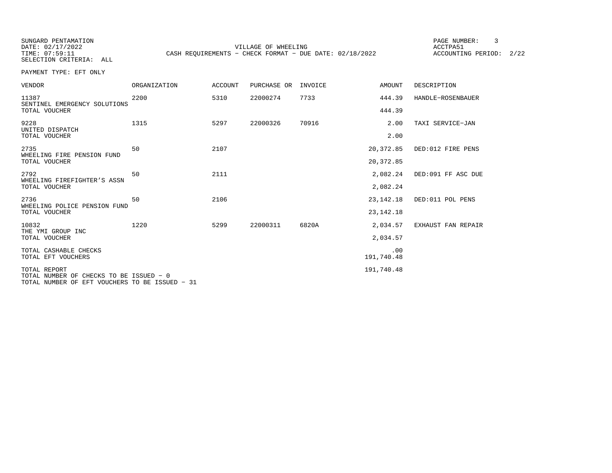SUNGARD PENTAMATION PAGE NUMBER: 3

SELECTION CRITERIA: ALL

DATE: 02/17/2022 VILLAGE OF WHEELING ACCTPA51TIME: 07:59:11 CASH REQUIREMENTS - CHECK FORMAT - DUE DATE: 02/18/2022

ACCOUNTING PERIOD: 2/22

| VENDOR                                                                                                    | <b>ORGANIZATION</b> | <b>ACCOUNT</b> | PURCHASE OR | INVOICE | <b>AMOUNT</b>              | DESCRIPTION        |
|-----------------------------------------------------------------------------------------------------------|---------------------|----------------|-------------|---------|----------------------------|--------------------|
| 11387<br>SENTINEL EMERGENCY SOLUTIONS<br>TOTAL VOUCHER                                                    | 2200                | 5310           | 22000274    | 7733    | 444.39<br>444.39           | HANDLE-ROSENBAUER  |
| 9228<br>UNITED DISPATCH<br>TOTAL VOUCHER                                                                  | 1315                | 5297           | 22000326    | 70916   | 2.00<br>2.00               | TAXI SERVICE-JAN   |
| 2735<br>WHEELING FIRE PENSION FUND<br>TOTAL VOUCHER                                                       | 50                  | 2107           |             |         | 20,372.85<br>20, 372.85    | DED:012 FIRE PENS  |
| 2792<br>WHEELING FIREFIGHTER'S ASSN<br>TOTAL VOUCHER                                                      | 50                  | 2111           |             |         | 2,082.24<br>2,082.24       | DED:091 FF ASC DUE |
| 2736<br>WHEELING POLICE PENSION FUND<br>TOTAL VOUCHER                                                     | 50                  | 2106           |             |         | 23, 142, 18<br>23, 142. 18 | DED:011 POL PENS   |
| 10832<br>THE YMI GROUP INC<br>TOTAL VOUCHER                                                               | 1220                | 5299           | 22000311    | 6820A   | 2,034.57<br>2,034.57       | EXHAUST FAN REPAIR |
| TOTAL CASHABLE CHECKS<br>TOTAL EFT VOUCHERS                                                               |                     |                |             |         | .00<br>191,740.48          |                    |
| TOTAL REPORT<br>TOTAL NUMBER OF CHECKS TO BE ISSUED - 0<br>TOTAL NUMBER OF EFT VOUCHERS TO BE ISSUED - 31 |                     |                |             |         | 191,740.48                 |                    |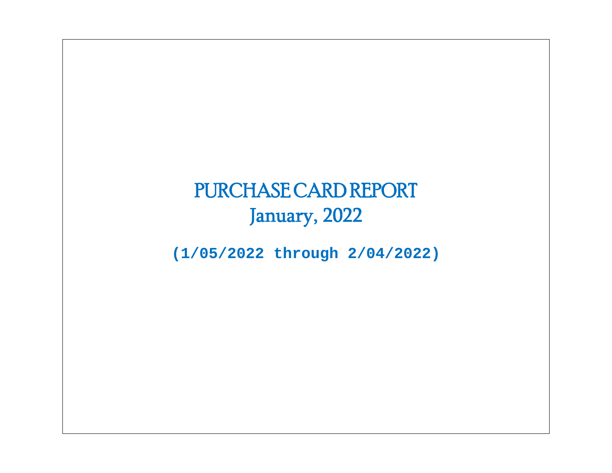# PURCHASE CARD REPORT January, 2022

**(1/05/2022 through 2/04/2022)**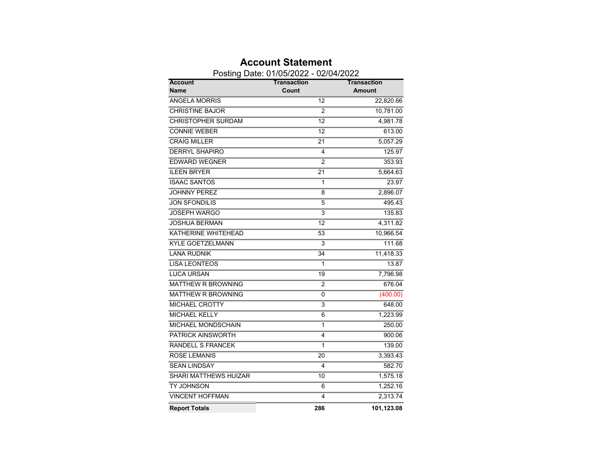|                              | Posting Date: 01/05/2022 - 02/04/2022 |                 |                              |
|------------------------------|---------------------------------------|-----------------|------------------------------|
| Account<br><b>Name</b>       | Transaction<br>Count                  |                 | Transaction<br><b>Amount</b> |
| <b>ANGELA MORRIS</b>         |                                       | 12              | 22,820.66                    |
| <b>CHRISTINE BAJOR</b>       |                                       | $\overline{2}$  | 10,781.00                    |
| <b>CHRISTOPHER SURDAM</b>    |                                       | $\overline{12}$ | 4,981.78                     |
| <b>CONNIE WEBER</b>          |                                       | $\overline{12}$ | 613.00                       |
| <b>CRAIG MILLER</b>          |                                       | 21              | 5,057.29                     |
| <b>DERRYL SHAPIRO</b>        |                                       | 4               | 125.97                       |
| <b>EDWARD WEGNER</b>         |                                       | $\overline{2}$  | 353.93                       |
| <b>ILEEN BRYER</b>           |                                       | $\overline{21}$ | 5,664.63                     |
| <b>ISAAC SANTOS</b>          |                                       | 1               | 23.97                        |
| <b>JOHNNY PEREZ</b>          |                                       | 8               | 2,896.07                     |
| <b>JON SFONDILIS</b>         |                                       | 5               | 495.43                       |
| <b>JOSEPH WARGO</b>          |                                       | $\overline{3}$  | 135.83                       |
| <b>JOSHUA BERMAN</b>         |                                       | $\overline{12}$ | 4,311.82                     |
| KATHERINE WHITEHEAD          |                                       | 53              | 10,966.54                    |
| <b>KYLE GOETZELMANN</b>      |                                       | $\overline{3}$  | 111.68                       |
| <b>LANA RUDNIK</b>           |                                       | 34              | 11,418.33                    |
| <b>LISA LEONTEOS</b>         |                                       | 1               | 13.87                        |
| <b>LUCA URSAN</b>            |                                       | 19              | 7,796.98                     |
| MATTHEW R BROWNING           |                                       | 2               | 676.04                       |
| <b>MATTHEW R BROWNING</b>    |                                       | 0               | (400.00)                     |
| <b>MICHAEL CROTTY</b>        |                                       | $\overline{3}$  | 648.00                       |
| <b>MICHAEL KELLY</b>         |                                       | 6               | 1,223.99                     |
| <b>MICHAEL MONDSCHAIN</b>    |                                       | 1               | 250.00                       |
| <b>PATRICK AINSWORTH</b>     |                                       | 4               | 900.06                       |
| RANDELL S FRANCEK            |                                       | 1               | 139.00                       |
| <b>ROSE LEMANIS</b>          |                                       | $\overline{20}$ | 3,393.43                     |
| <b>SEAN LINDSAY</b>          |                                       | 4               | 582.70                       |
| <b>SHARI MATTHEWS HUIZAR</b> |                                       | $\overline{10}$ | 1,575.18                     |
| TY JOHNSON                   |                                       | 6               | 1,252.16                     |
| <b>VINCENT HOFFMAN</b>       |                                       | $\overline{4}$  | 2,313.74                     |
| <b>Report Totals</b>         |                                       | 286             | 101,123.08                   |

### **Account Statement**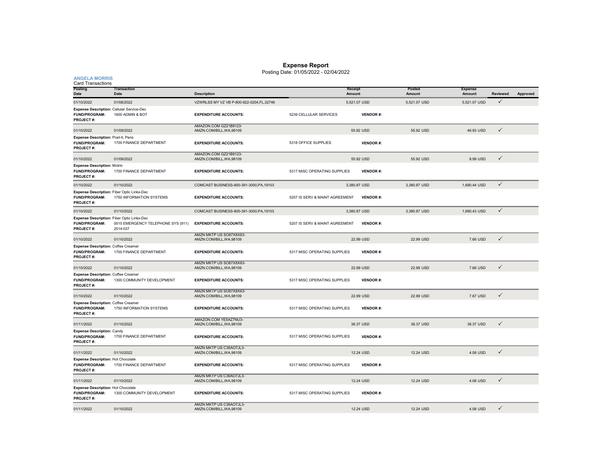#### **Expense Report**

Posting Date: 01/05/2022 - 02/04/2022

| <b>ANGELA MORRIS</b><br><b>Card Transactions</b>                                       |                                                |                                                     |                                |                   |                  |                          |                 |          |
|----------------------------------------------------------------------------------------|------------------------------------------------|-----------------------------------------------------|--------------------------------|-------------------|------------------|--------------------------|-----------------|----------|
| <b>Posting</b><br>Date                                                                 | <b>Transaction</b><br>Date                     | <b>Description</b>                                  |                                | Receipt<br>Amount | Posted<br>Amount | <b>Expense</b><br>Amount | <b>Reviewed</b> | Approved |
| 01/10/2022                                                                             | 01/08/2022                                     | VZWRLSS MY VZ VB P-800-922-0204.FL.32746            |                                | 5,521.07 USD      | 5,521.07 USD     | 5,521.07 USD             | $\checkmark$    |          |
| Expense Description: Cellular Service-Dec<br>FUND/PROGRAM:<br>PROJECT#:                | 1600 ADMIN & BOT                               | <b>EXPENDITURE ACCOUNTS:</b>                        | 5239 CELLULAR SERVICES         | <b>VENDOR#:</b>   |                  |                          |                 |          |
| 01/10/2022                                                                             | 01/09/2022                                     | AMAZON.COM GZ21B9123-<br>AMZN.COM/BILL, WA, 98109   |                                | 55.92 USD         | 55.92 USD        | 46.93 USD                | $\checkmark$    |          |
| <b>Expense Description: Post-It, Pens</b><br><b>FUND/PROGRAM:</b><br>PROJECT#:         | 1700 FINANCE DEPARTMENT                        | <b>EXPENDITURE ACCOUNTS:</b>                        | 5318 OFFICE SUPPLIES           | <b>VENDOR#:</b>   |                  |                          |                 |          |
| 01/10/2022                                                                             | 01/09/2022                                     | AMAZON.COM GZ21B9123-<br>AMZN.COM/BILL, WA, 98109   |                                | 55.92 USD         | 55.92 USD        | 8.99 USD                 | $\checkmark$    |          |
| <b>Expense Description: Motrin</b><br>FUND/PROGRAM:<br>PROJECT#:                       | 1700 FINANCE DEPARTMENT                        | <b>EXPENDITURE ACCOUNTS:</b>                        | 5317 MISC OPERATING SUPPLIES   | <b>VENDOR#:</b>   |                  |                          |                 |          |
| 01/10/2022                                                                             | 01/10/2022                                     | COMCAST BUSINESS-800-391-3000, PA, 19103            |                                | 3,380.87 USD      | 3,380.87 USD     | 1,690.44 USD             | $\checkmark$    |          |
| Expense Description: Fiber Optic Links-Dec<br><b>FUND/PROGRAM:</b><br><b>PROJECT#:</b> | 1750 INFORMATION SYSTEMS                       | <b>EXPENDITURE ACCOUNTS:</b>                        | 5207 IS SERV & MAINT AGREEMENT | <b>VENDOR#:</b>   |                  |                          |                 |          |
| 01/10/2022                                                                             | 01/10/2022                                     | COMCAST BUSINESS-800-391-3000, PA, 19103            |                                | 3,380.87 USD      | 3,380.87 USD     | 1,690.43 USD             | $\checkmark$    |          |
| Expense Description: Fiber Optic Links-Dec<br><b>FUND/PROGRAM:</b><br><b>PROJECT#:</b> | 0015 EMERGENCY TELEPHONE SYS (911)<br>2014-037 | <b>EXPENDITURE ACCOUNTS:</b>                        | 5207 IS SERV & MAINT AGREEMENT | <b>VENDOR#:</b>   |                  |                          |                 |          |
| 01/10/2022                                                                             | 01/10/2022                                     | AMZN MKTP US SO87X8X63-<br>AMZN.COM/BILL, WA, 98109 |                                | 22.99 USD         | 22.99 USD        | 7.66 USD                 | $\checkmark$    |          |
| <b>Expense Description: Coffee Creamer</b><br><b>FUND/PROGRAM:</b><br>PROJECT#:        | 1700 FINANCE DEPARTMENT                        | <b>EXPENDITURE ACCOUNTS:</b>                        | 5317 MISC OPERATING SUPPLIES   | <b>VENDOR#:</b>   |                  |                          |                 |          |
| 01/10/2022                                                                             | 01/10/2022                                     | AMZN MKTP US SO87X8X63-<br>AMZN.COM/BILL, WA, 98109 |                                | 22.99 USD         | 22.99 USD        | 7.66 USD                 | $\checkmark$    |          |
| <b>Expense Description: Coffee Creamer</b><br>FUND/PROGRAM:<br>PROJECT#:               | 1300 COMMUNITY DEVELOPMENT                     | <b>EXPENDITURE ACCOUNTS:</b>                        | 5317 MISC OPERATING SUPPLIES   | <b>VENDOR#:</b>   |                  |                          |                 |          |
| 01/10/2022                                                                             | 01/10/2022                                     | AMZN MKTP US SO87X8X63-<br>AMZN.COM/BILL, WA, 98109 |                                | 22.99 USD         | 22.99 USD        | 7.67 USD                 | $\checkmark$    |          |
| <b>Expense Description: Coffee Creamer</b><br>FUND/PROGRAM:<br>PROJECT#:               | 1750 INFORMATION SYSTEMS                       | <b>EXPENDITURE ACCOUNTS:</b>                        | 5317 MISC OPERATING SUPPLIES   | <b>VENDOR#:</b>   |                  |                          |                 |          |
| 01/11/2022                                                                             | 01/10/2022                                     | AMAZON.COM YE5AZ7NU3-<br>AMZN.COM/BILL, WA, 98109   |                                | 38.37 USD         | 38.37 USD        | 38.37 USD                | $\checkmark$    |          |
| <b>Expense Description: Candy</b><br>FUND/PROGRAM:<br><b>PROJECT#:</b>                 | 1700 FINANCE DEPARTMENT                        | <b>EXPENDITURE ACCOUNTS:</b>                        | 5317 MISC OPERATING SUPPLIES   | <b>VENDOR#:</b>   |                  |                          |                 |          |
| 01/11/2022                                                                             | 01/10/2022                                     | AMZN MKTP US C36AO7JL3-<br>AMZN.COM/BILL,WA,98109   |                                | 12.24 USD         | 12.24 USD        | 4.08 USD                 | $\checkmark$    |          |
| <b>Expense Description: Hot Chocolate</b><br>FUND/PROGRAM:<br><b>PROJECT#:</b>         | 1700 FINANCE DEPARTMENT                        | <b>EXPENDITURE ACCOUNTS:</b>                        | 5317 MISC OPERATING SUPPLIES   | <b>VENDOR#:</b>   |                  |                          |                 |          |
| 01/11/2022                                                                             | 01/10/2022                                     | AMZN MKTP US C36AO7JL3-<br>AMZN.COM/BILL, WA, 98109 |                                | 12.24 USD         | 12.24 USD        | 4.08 USD                 | $\checkmark$    |          |
| <b>Expense Description: Hot Chocolate</b><br><b>FUND/PROGRAM:</b><br><b>PROJECT#:</b>  | 1300 COMMUNITY DEVELOPMENT                     | <b>EXPENDITURE ACCOUNTS:</b>                        | 5317 MISC OPERATING SUPPLIES   | <b>VENDOR#:</b>   |                  |                          |                 |          |
| 01/11/2022                                                                             | 01/10/2022                                     | AMZN MKTP US C36AO7JL3-<br>AMZN.COM/BILL, WA, 98109 |                                | 12.24 USD         | 12.24 USD        | 4.08 USD                 | ✓               |          |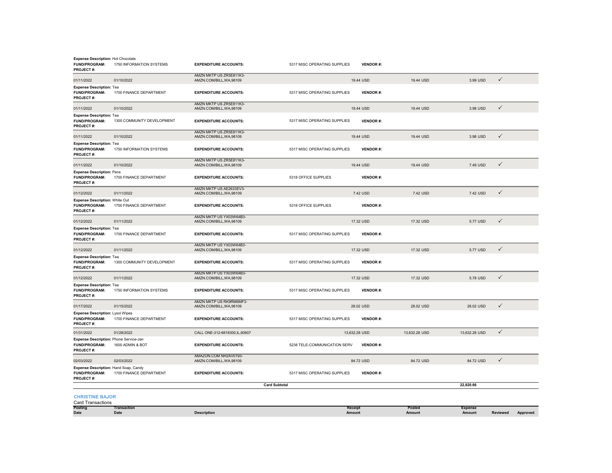| <b>Expense Description: Hot Chocolate</b><br>FUND/PROGRAM:<br>PROJECT#:    | 1750 INFORMATION SYSTEMS   | <b>EXPENDITURE ACCOUNTS:</b>                        | 5317 MISC OPERATING SUPPLIES | <b>VENDOR#:</b>   |                  |                          |              |          |
|----------------------------------------------------------------------------|----------------------------|-----------------------------------------------------|------------------------------|-------------------|------------------|--------------------------|--------------|----------|
| 01/11/2022                                                                 | 01/10/2022                 | AMZN MKTP US ZR5E811K3-<br>AMZN.COM/BILL, WA, 98109 |                              | 19.44 USD         | 19.44 USD        | 3.99 USD                 | $\checkmark$ |          |
| <b>Expense Description: Tea</b><br>FUND/PROGRAM:<br>PROJECT#:              | 1700 FINANCE DEPARTMENT    | <b>EXPENDITURE ACCOUNTS:</b>                        | 5317 MISC OPERATING SUPPLIES | <b>VENDOR#:</b>   |                  |                          |              |          |
| 01/11/2022                                                                 | 01/10/2022                 | AMZN MKTP US ZR5E811K3-<br>AMZN.COM/BILL, WA, 98109 |                              | 19.44 USD         | 19.44 USD        | 3.98 USD                 | $\checkmark$ |          |
| <b>Expense Description: Tea</b><br><b>FUND/PROGRAM:</b><br>PROJECT#:       | 1300 COMMUNITY DEVELOPMENT | <b>EXPENDITURE ACCOUNTS:</b>                        | 5317 MISC OPERATING SUPPLIES | <b>VENDOR#:</b>   |                  |                          |              |          |
| 01/11/2022                                                                 | 01/10/2022                 | AMZN MKTP US ZR5E811K3-<br>AMZN.COM/BILL, WA, 98109 |                              | 19.44 USD         | 19.44 USD        | 3.98 USD                 | $\checkmark$ |          |
| <b>Expense Description: Tea</b><br>FUND/PROGRAM:<br>PROJECT#:              | 1750 INFORMATION SYSTEMS   | <b>EXPENDITURE ACCOUNTS:</b>                        | 5317 MISC OPERATING SUPPLIES | <b>VENDOR#:</b>   |                  |                          |              |          |
| 01/11/2022                                                                 | 01/10/2022                 | AMZN MKTP US ZR5E811K3-<br>AMZN.COM/BILL, WA, 98109 |                              | 19.44 USD         | 19.44 USD        | 7.49 USD                 | $\checkmark$ |          |
| <b>Expense Description: Pens</b><br>FUND/PROGRAM:<br>PROJECT#:             | 1700 FINANCE DEPARTMENT    | <b>EXPENDITURE ACCOUNTS:</b>                        | 5318 OFFICE SUPPLIES         | <b>VENDOR#:</b>   |                  |                          |              |          |
| 01/12/2022                                                                 | 01/11/2022                 | AMZN MKTP US AE2633EV3-<br>AMZN.COM/BILL, WA, 98109 |                              | 7.42 USD          | 7.42 USD         | 7.42 USD                 | $\checkmark$ |          |
| Expense Description: White Out<br>FUND/PROGRAM:<br>PROJECT#:               | 1700 FINANCE DEPARTMENT    | <b>EXPENDITURE ACCOUNTS:</b>                        | 5318 OFFICE SUPPLIES         | <b>VENDOR#:</b>   |                  |                          |              |          |
| 01/12/2022                                                                 | 01/11/2022                 | AMZN MKTP US YX03W64B3-<br>AMZN.COM/BILL, WA, 98109 |                              | 17.32 USD         | 17.32 USD        | 5.77 USD                 | ✓            |          |
| <b>Expense Description: Tea</b><br>FUND/PROGRAM:<br>PROJECT#:              | 1700 FINANCE DEPARTMENT    | <b>EXPENDITURE ACCOUNTS:</b>                        | 5317 MISC OPERATING SUPPLIES | VENDOR#:          |                  |                          |              |          |
| 01/12/2022                                                                 | 01/11/2022                 | AMZN MKTP US YX03W64B3-<br>AMZN.COM/BILL, WA, 98109 |                              | 17.32 USD         | 17.32 USD        | 5.77 USD                 | ✓            |          |
| <b>Expense Description: Tea</b><br>FUND/PROGRAM:<br>PROJECT#:              | 1300 COMMUNITY DEVELOPMENT | <b>EXPENDITURE ACCOUNTS:</b>                        | 5317 MISC OPERATING SUPPLIES | <b>VENDOR#:</b>   |                  |                          |              |          |
| 01/12/2022                                                                 | 01/11/2022                 | AMZN MKTP US YX03W64B3-<br>AMZN.COM/BILL, WA, 98109 |                              | 17.32 USD         | 17.32 USD        | 5.78 USD                 | $\checkmark$ |          |
| <b>Expense Description: Tea</b><br>FUND/PROGRAM:<br>PROJECT#:              | 1750 INFORMATION SYSTEMS   | <b>EXPENDITURE ACCOUNTS:</b>                        | 5317 MISC OPERATING SUPPLIES | VENDOR#:          |                  |                          |              |          |
| 01/17/2022                                                                 | 01/15/2022                 | AMZN MKTP US RK9RM6MF3-<br>AMZN.COM/BILL, WA, 98109 |                              | 28.02 USD         | 28.02 USD        | 28.02 USD                | $\checkmark$ |          |
| Expense Description: Lysol Wipes<br>FUND/PROGRAM:<br>PROJECT#:             | 1700 FINANCE DEPARTMENT    | <b>EXPENDITURE ACCOUNTS:</b>                        | 5317 MISC OPERATING SUPPLIES | <b>VENDOR#:</b>   |                  |                          |              |          |
| 01/31/2022                                                                 | 01/28/2022                 | CALL ONE-312-6818300, IL, 60607                     |                              | 13.632.28 USD     | 13.632.28 USD    | 13.632.28 USD            | $\checkmark$ |          |
| Expense Description: Phone Service-Jan<br>FUND/PROGRAM:<br>PROJECT#:       | 1600 ADMIN & BOT           | <b>EXPENDITURE ACCOUNTS:</b>                        | 5238 TELE-COMMUNICATION SERV | <b>VENDOR#:</b>   |                  |                          |              |          |
| 02/03/2022                                                                 | 02/03/2022                 | AMAZON.COM NH2AV0193-<br>AMZN.COM/BILL, WA, 98109   |                              | 84.72 USD         | 84.72 USD        | 84.72 USD                | $\checkmark$ |          |
| Expense Description: Hand Soap, Candy<br><b>FUND/PROGRAM:</b><br>PROJECT#: | 1700 FINANCE DEPARTMENT    | <b>EXPENDITURE ACCOUNTS:</b>                        | 5317 MISC OPERATING SUPPLIES | <b>VENDOR#:</b>   |                  |                          |              |          |
|                                                                            |                            |                                                     | <b>Card Subtotal</b>         |                   |                  | 22,820.66                |              |          |
| <b>CHRISTINE BAJOR</b><br><b>Card Transactions</b>                         |                            |                                                     |                              |                   |                  |                          |              |          |
| Posting<br>Date                                                            | <b>Transaction</b><br>Date | <b>Description</b>                                  |                              | Receipt<br>Amount | Posted<br>Amount | <b>Expense</b><br>Amount | Reviewed     | Approved |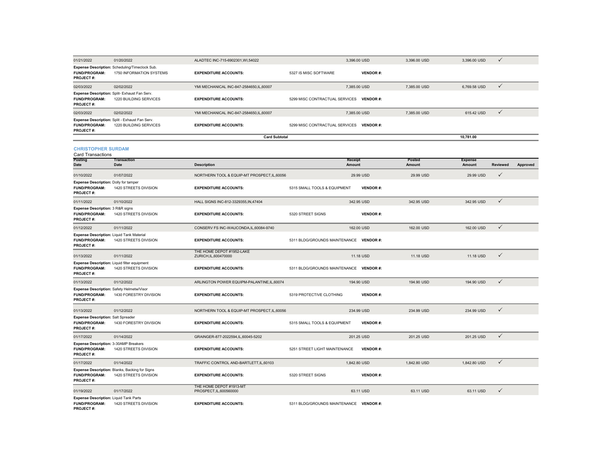| 01/21/2022                                                                 | 01/20/2022                                                                 | ALADTEC INC-715-6902301.WI.54022                   |                                          | 3.396.00 USD    | 3.396.00 USD     | 3.396.00 USD             | $\checkmark$    |          |
|----------------------------------------------------------------------------|----------------------------------------------------------------------------|----------------------------------------------------|------------------------------------------|-----------------|------------------|--------------------------|-----------------|----------|
| <b>FUND/PROGRAM:</b><br>PROJECT#:                                          | Expense Description: Scheduling/Timeclock Sub.<br>1750 INFORMATION SYSTEMS | <b>EXPENDITURE ACCOUNTS:</b>                       | 5327 IS MISC SOFTWARE                    | <b>VENDOR#:</b> |                  |                          |                 |          |
| 02/03/2022                                                                 | 02/02/2022                                                                 | YMI MECHANICAL INC-847-2584650, IL, 60007          |                                          | 7,385.00 USD    | 7,385.00 USD     | 6,769.58 USD             | $\checkmark$    |          |
| FUND/PROGRAM:<br>PROJECT#:                                                 | Expense Description: Split- Exhaust Fan Serv.<br>1220 BUILDING SERVICES    | <b>EXPENDITURE ACCOUNTS:</b>                       | 5299 MISC CONTRACTUAL SERVICES VENDOR #: |                 |                  |                          |                 |          |
| 02/03/2022                                                                 | 02/02/2022                                                                 | YMI MECHANICAL INC-847-2584650.IL.60007            |                                          | 7,385.00 USD    | 7.385.00 USD     | 615.42 USD               | $\checkmark$    |          |
| FUND/PROGRAM:<br>PROJECT#:                                                 | Expense Description: Split - Exhaust Fan Serv.<br>1220 BUILDING SERVICES   | <b>EXPENDITURE ACCOUNTS:</b>                       | 5299 MISC CONTRACTUAL SERVICES           | <b>VENDOR#:</b> |                  |                          |                 |          |
|                                                                            |                                                                            | <b>Card Subtotal</b>                               |                                          |                 |                  | 10,781.00                |                 |          |
| <b>CHRISTOPHER SURDAM</b><br><b>Card Transactions</b>                      |                                                                            |                                                    |                                          |                 |                  |                          |                 |          |
| Posting<br>Date                                                            | <b>Transaction</b><br>Date                                                 | <b>Description</b>                                 | Receipt<br>Amount                        |                 | Posted<br>Amount | <b>Expense</b><br>Amount | <b>Reviewed</b> | Approved |
| 01/10/2022                                                                 | 01/07/2022                                                                 | NORTHERN TOOL & EQUIP-MT PROSPECT, IL, 60056       |                                          | 29.99 USD       | 29.99 USD        | 29.99 USD                | $\checkmark$    |          |
| <b>Expense Description: Dolly for tamper</b><br>FUND/PROGRAM:<br>PROJECT#: | 1420 STREETS DIVISION                                                      | <b>EXPENDITURE ACCOUNTS:</b>                       | 5315 SMALL TOOLS & EQUIPMENT             | <b>VENDOR#:</b> |                  |                          |                 |          |
| 01/11/2022                                                                 | 01/10/2022                                                                 | HALL SIGNS INC-812-3329355, IN, 47404              |                                          | 342.95 USD      | 342.95 USD       | 342.95 USD               | $\checkmark$    |          |
| Expense Description: 3 R&R signs<br>FUND/PROGRAM:<br>PROJECT#:             | 1420 STREETS DIVISION                                                      | <b>EXPENDITURE ACCOUNTS:</b>                       | 5320 STREET SIGNS                        | <b>VENDOR#:</b> |                  |                          |                 |          |
| 01/12/2022                                                                 | 01/11/2022                                                                 | CONSERV FS INC-WAUCONDA,IL,60084-9740              |                                          | 162.00 USD      | 162.00 USD       | 162.00 USD               | ✓               |          |
| Expense Description: Liquid Tank Material<br>FUND/PROGRAM:<br>PROJECT#:    | 1420 STREETS DIVISION                                                      | <b>EXPENDITURE ACCOUNTS:</b>                       | 5311 BLDG/GROUNDS MAINTENANCE VENDOR #:  |                 |                  |                          |                 |          |
| 01/13/2022                                                                 | 01/11/2022                                                                 | THE HOME DEPOT #1952-LAKE<br>ZURICH, IL, 600470000 |                                          | 11.18 USD       | 11.18 USD        | 11.18 USD                | $\checkmark$    |          |
| Expense Description: Liquid filter equipment<br>FUND/PROGRAM:<br>PROJECT#: | 1420 STREETS DIVISION                                                      | <b>EXPENDITURE ACCOUNTS:</b>                       | 5311 BLDG/GROUNDS MAINTENANCE VENDOR #:  |                 |                  |                          |                 |          |
| 01/13/2022                                                                 | 01/12/2022                                                                 | ARLINGTON POWER EQUIPM-PALANTINE,IL,60074          |                                          | 194.90 USD      | 194.90 USD       | 194.90 USD               | ✓               |          |
| Expense Description: Safety Helmetw/Visor<br>FUND/PROGRAM:<br>PROJECT#:    | 1430 FORESTRY DIVISION                                                     | <b>EXPENDITURE ACCOUNTS:</b>                       | 5319 PROTECTIVE CLOTHING                 | <b>VENDOR#:</b> |                  |                          |                 |          |
| 01/13/2022                                                                 | 01/12/2022                                                                 | NORTHERN TOOL & EQUIP-MT PROSPECT, IL, 60056       |                                          | 234.99 USD      | 234.99 USD       | 234.99 USD               | $\checkmark$    |          |
| <b>Expense Description: Salt Spreader</b><br>FUND/PROGRAM:<br>PROJECT#:    | 1430 FORESTRY DIVISION                                                     | <b>EXPENDITURE ACCOUNTS:</b>                       | 5315 SMALL TOOLS & EQUIPMENT             | <b>VENDOR#:</b> |                  |                          |                 |          |
| 01/17/2022                                                                 | 01/14/2022                                                                 | GRAINGER-877-2022594,IL,60045-5202                 |                                          | 201.25 USD      | 201.25 USD       | 201.25 USD               | $\checkmark$    |          |
| Expense Description: 3-30AMP Breakers<br>FUND/PROGRAM:<br>PROJECT#:        | 1420 STREETS DIVISION                                                      | <b>EXPENDITURE ACCOUNTS:</b>                       | 5251 STREET LIGHT MAINTENANCE            | <b>VENDOR#:</b> |                  |                          |                 |          |
| 01/17/2022                                                                 | 01/14/2022                                                                 | TRAFFIC CONTROL AND-BARTLETT, IL, 60103            |                                          | 1.842.80 USD    | 1,842.80 USD     | 1.842.80 USD             | $\checkmark$    |          |
| FUND/PROGRAM:<br>PROJECT#:                                                 | Expense Description: Blanks, Backing for Signs<br>1420 STREETS DIVISION    | <b>EXPENDITURE ACCOUNTS:</b>                       | 5320 STREET SIGNS                        | <b>VENDOR#:</b> |                  |                          |                 |          |
| 01/19/2022                                                                 | 01/17/2022                                                                 | THE HOME DEPOT #1913-MT<br>PROSPECT, IL, 600560000 |                                          | 63.11 USD       | 63.11 USD        | 63.11 USD                | ✓               |          |
| Expense Description: Liquid Tank Parts<br>FUND/PROGRAM:<br>PROJECT#:       | 1420 STREETS DIVISION                                                      | <b>EXPENDITURE ACCOUNTS:</b>                       | 5311 BLDG/GROUNDS MAINTENANCE VENDOR #:  |                 |                  |                          |                 |          |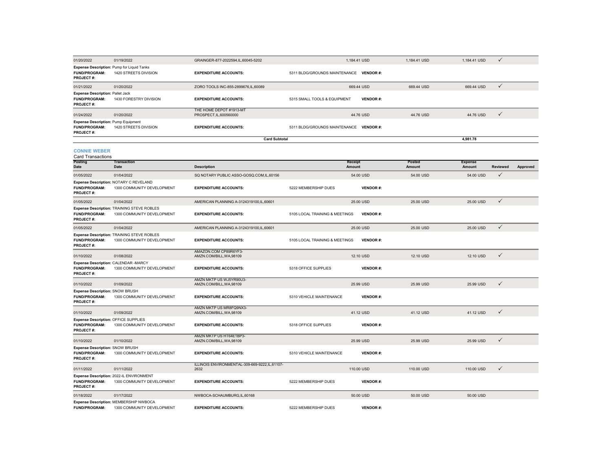| 01/20/2022                                                                      | 01/19/2022                                                               | GRAINGER-877-2022594,IL,60045-5202                      |                                         | 1,184.41 USD      | 1,184.41 USD     | 1,184.41 USD             | $\checkmark$ |          |
|---------------------------------------------------------------------------------|--------------------------------------------------------------------------|---------------------------------------------------------|-----------------------------------------|-------------------|------------------|--------------------------|--------------|----------|
| Expense Description: Pump for Liquid Tanks<br><b>FUND/PROGRAM:</b><br>PROJECT#: | 1420 STREETS DIVISION                                                    | <b>EXPENDITURE ACCOUNTS:</b>                            | 5311 BLDG/GROUNDS MAINTENANCE           | <b>VENDOR#:</b>   |                  |                          |              |          |
| 01/21/2022                                                                      | 01/20/2022                                                               | ZORO TOOLS INC-855-2899676, IL, 60089                   |                                         | 669.44 USD        | 669.44 USD       | 669.44 USD               | $\checkmark$ |          |
| <b>Expense Description: Pallet Jack</b><br><b>FUND/PROGRAM:</b><br>PROJECT#:    | 1430 FORESTRY DIVISION                                                   | <b>EXPENDITURE ACCOUNTS:</b>                            | 5315 SMALL TOOLS & EQUIPMENT            | <b>VENDOR#:</b>   |                  |                          |              |          |
| 01/24/2022                                                                      | 01/20/2022                                                               | THE HOME DEPOT #1913-MT<br>PROSPECT, IL, 600560000      |                                         | 44.76 USD         | 44.76 USD        | 44.76 USD                | ✓            |          |
| <b>Expense Description: Pump Equipment</b><br>FUND/PROGRAM:<br>PROJECT#:        | 1420 STREETS DIVISION                                                    | <b>EXPENDITURE ACCOUNTS:</b>                            | 5311 BLDG/GROUNDS MAINTENANCE VENDOR #: |                   |                  |                          |              |          |
|                                                                                 |                                                                          | <b>Card Subtotal</b>                                    |                                         |                   |                  | 4,981.78                 |              |          |
| <b>CONNIE WEBER</b><br><b>Card Transactions</b>                                 |                                                                          |                                                         |                                         |                   |                  |                          |              |          |
| Posting<br><b>Date</b>                                                          | <b>Transaction</b><br>Date                                               | <b>Description</b>                                      |                                         | Receipt<br>Amount | Posted<br>Amount | <b>Expense</b><br>Amount | Reviewed     | Approved |
| 01/05/2022                                                                      | 01/04/2022                                                               | SQ NOTARY PUBLIC ASSO-GOSQ.COM,IL,60156                 |                                         | 54.00 USD         | 54.00 USD        | 54.00 USD                | $\checkmark$ |          |
| <b>FUND/PROGRAM:</b><br>PROJECT#:                                               | Expense Description: NOTARY C REVELAND<br>1300 COMMUNITY DEVELOPMENT     | <b>EXPENDITURE ACCOUNTS:</b>                            | 5222 MEMBERSHIP DUES                    | <b>VENDOR#:</b>   |                  |                          |              |          |
| 01/05/2022                                                                      | 01/04/2022                                                               | AMERICAN PLANNING A-3124319100, IL, 60601               |                                         | 25.00 USD         | 25.00 USD        | 25.00 USD                | $\checkmark$ |          |
| <b>FUND/PROGRAM:</b><br><b>PROJECT#:</b>                                        | Expense Description: TRAINING STEVE ROBLES<br>1300 COMMUNITY DEVELOPMENT | <b>EXPENDITURE ACCOUNTS:</b>                            | 5105 LOCAL TRAINING & MEETINGS          | <b>VENDOR#:</b>   |                  |                          |              |          |
| 01/05/2022                                                                      | 01/04/2022                                                               | AMERICAN PLANNING A-3124319100,IL,60601                 |                                         | 25.00 USD         | 25.00 USD        | 25.00 USD                | $\checkmark$ |          |
| <b>FUND/PROGRAM:</b><br><b>PROJECT#:</b>                                        | Expense Description: TRAINING STEVE ROBLES<br>1300 COMMUNITY DEVELOPMENT | <b>EXPENDITURE ACCOUNTS:</b>                            | 5105 LOCAL TRAINING & MEETINGS          | <b>VENDOR#:</b>   |                  |                          |              |          |
| 01/10/2022                                                                      | 01/08/2022                                                               | AMAZON.COM CP89R6YF3-<br>AMZN.COM/BILL, WA, 98109       |                                         | 12.10 USD         | 12.10 USD        | 12.10 USD                | $\checkmark$ |          |
| Expense Description: CALENDAR -MARCY<br><b>FUND/PROGRAM:</b><br>PROJECT#:       | 1300 COMMUNITY DEVELOPMENT                                               | <b>EXPENDITURE ACCOUNTS:</b>                            | 5318 OFFICE SUPPLIES                    | <b>VENDOR#:</b>   |                  |                          |              |          |
| 01/10/2022                                                                      | 01/09/2022                                                               | AMZN MKTP US WJ5YR90U3-<br>AMZN.COM/BILL, WA, 98109     |                                         | 25.99 USD         | 25.99 USD        | 25.99 USD                | $\checkmark$ |          |
| Expense Description: SNOW BRUSH<br><b>FUND/PROGRAM:</b><br><b>PROJECT#:</b>     | 1300 COMMUNITY DEVELOPMENT                                               | <b>EXPENDITURE ACCOUNTS:</b>                            | 5310 VEHICLE MAINTENANCE                | <b>VENDOR#:</b>   |                  |                          |              |          |
| 01/10/2022                                                                      | 01/09/2022                                                               | AMZN MKTP US MR8FQ9NX3-<br>AMZN.COM/BILL, WA, 98109     |                                         | 41.12 USD         | 41.12 USD        | 41.12 USD                | $\checkmark$ |          |
| <b>Expense Description: OFFICE SUPPLIES</b>                                     |                                                                          |                                                         |                                         |                   |                  |                          |              |          |
| FUND/PROGRAM:<br>PROJECT#:                                                      | 1300 COMMUNITY DEVELOPMENT                                               | <b>EXPENDITURE ACCOUNTS:</b><br>AMZN MKTP US HT64E1BP3- | 5318 OFFICE SUPPLIES                    | <b>VENDOR#:</b>   |                  |                          |              |          |
| 01/10/2022                                                                      | 01/10/2022                                                               | AMZN.COM/BILL.WA.98109                                  |                                         | 25.99 USD         | 25.99 USD        | 25.99 USD                | ✓            |          |
| Expense Description: SNOW BRUSH<br>FUND/PROGRAM:<br>PROJECT#:                   | 1300 COMMUNITY DEVELOPMENT                                               | <b>EXPENDITURE ACCOUNTS:</b>                            | 5310 VEHICLE MAINTENANCE                | <b>VENDOR#:</b>   |                  |                          |              |          |
| 01/11/2022                                                                      | 01/11/2022                                                               | ILLINOIS ENVIRONMENTAL-309-669-9222,IL,61107-<br>2632   |                                         | 110.00 USD        | 110.00 USD       | 110.00 USD               | $\checkmark$ |          |
| <b>FUND/PROGRAM:</b><br><b>PROJECT#:</b>                                        | Expense Description: 2022-IL ENVIRONMENT<br>1300 COMMUNITY DEVELOPMENT   | <b>EXPENDITURE ACCOUNTS:</b>                            | 5222 MEMBERSHIP DUES                    | <b>VENDOR#:</b>   |                  |                          |              |          |
| 01/18/2022                                                                      | 01/17/2022                                                               | NWBOCA-SCHAUMBURG.IL.60168                              |                                         | 50.00 USD         | 50.00 USD        | 50.00 USD                |              |          |
| <b>FUND/PROGRAM:</b>                                                            | Expense Description: MEMBERSHIP NWBOCA<br>1300 COMMUNITY DEVELOPMENT     | <b>EXPENDITURE ACCOUNTS:</b>                            | 5222 MEMBERSHIP DUES                    | <b>VENDOR#:</b>   |                  |                          |              |          |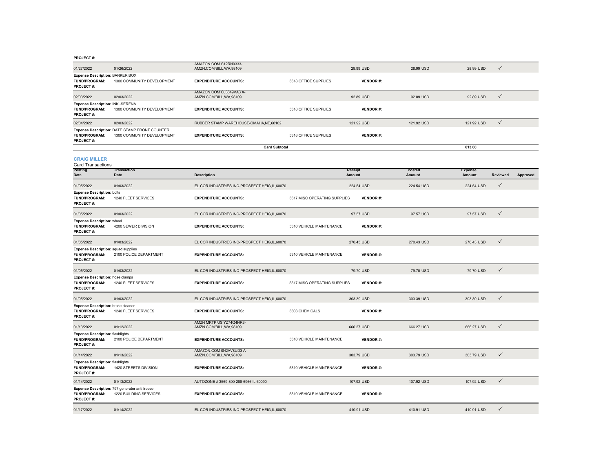|                                                                          |                                                                             | AMAZON.COM S12RN9333-                               |                              |                   |                  |                          |                 |          |
|--------------------------------------------------------------------------|-----------------------------------------------------------------------------|-----------------------------------------------------|------------------------------|-------------------|------------------|--------------------------|-----------------|----------|
| 01/27/2022                                                               | 01/26/2022                                                                  | AMZN.COM/BILL, WA, 98109                            |                              | 28.99 USD         | 28.99 USD        | 28.99 USD                | $\checkmark$    |          |
| <b>Expense Description: BANKER BOX</b><br>FUND/PROGRAM:<br>PROJECT#:     | 1300 COMMUNITY DEVELOPMENT                                                  | <b>EXPENDITURE ACCOUNTS:</b>                        | 5318 OFFICE SUPPLIES         | <b>VENDOR#:</b>   |                  |                          |                 |          |
| 02/03/2022                                                               | 02/03/2022                                                                  | AMAZON.COM CJ3849VA3 A-<br>AMZN.COM/BILL, WA, 98109 |                              | 92.89 USD         | 92.89 USD        | 92.89 USD                | $\checkmark$    |          |
| Expense Description: INK -SERENA<br>FUND/PROGRAM:<br>PROJECT#:           | 1300 COMMUNITY DEVELOPMENT                                                  | <b>EXPENDITURE ACCOUNTS:</b>                        | 5318 OFFICE SUPPLIES         | <b>VENDOR#:</b>   |                  |                          |                 |          |
| 02/04/2022                                                               | 02/03/2022                                                                  | RUBBER STAMP WAREHOUSE-OMAHA, NE, 68102             |                              | 121.92 USD        | 121.92 USD       | 121.92 USD               | $\checkmark$    |          |
| FUND/PROGRAM:<br>PROJECT#:                                               | Expense Description: DATE STAMP FRONT COUNTER<br>1300 COMMUNITY DEVELOPMENT | <b>EXPENDITURE ACCOUNTS:</b>                        | 5318 OFFICE SUPPLIES         | <b>VENDOR#:</b>   |                  |                          |                 |          |
|                                                                          |                                                                             | <b>Card Subtotal</b>                                |                              |                   |                  | 613.00                   |                 |          |
| <b>CRAIG MILLER</b><br><b>Card Transactions</b>                          |                                                                             |                                                     |                              |                   |                  |                          |                 |          |
| Posting<br>Date                                                          | Transaction<br>Date                                                         | <b>Description</b>                                  |                              | Receipt<br>Amount | Posted<br>Amount | <b>Expense</b><br>Amount | <b>Reviewed</b> | Approved |
| 01/05/2022                                                               | 01/03/2022                                                                  | EL COR INDUSTRIES INC-PROSPECT HEIG.IL.60070        |                              | 224.54 USD        | 224.54 USD       | 224.54 USD               | $\checkmark$    |          |
| <b>Expense Description: bolts</b><br>FUND/PROGRAM:<br>PROJECT#:          | 1240 FLEET SERVICES                                                         | <b>EXPENDITURE ACCOUNTS:</b>                        | 5317 MISC OPERATING SUPPLIES | <b>VENDOR#:</b>   |                  |                          |                 |          |
| 01/05/2022                                                               | 01/03/2022                                                                  | EL COR INDUSTRIES INC-PROSPECT HEIG,IL,60070        |                              | 97.57 USD         | 97.57 USD        | 97.57 USD                | $\checkmark$    |          |
| <b>Expense Description: wheel</b><br>FUND/PROGRAM:<br>PROJECT#:          | 4200 SEWER DIVISION                                                         | <b>EXPENDITURE ACCOUNTS:</b>                        | 5310 VEHICLE MAINTENANCE     | <b>VENDOR#:</b>   |                  |                          |                 |          |
| 01/05/2022                                                               | 01/03/2022                                                                  | EL COR INDUSTRIES INC-PROSPECT HEIG,IL,60070        |                              | 270.43 USD        | 270.43 USD       | 270.43 USD               | $\checkmark$    |          |
| <b>Expense Description:</b> squad supplies<br>FUND/PROGRAM:<br>PROJECT#: | 2100 POLICE DEPARTMENT                                                      | <b>EXPENDITURE ACCOUNTS:</b>                        | 5310 VEHICLE MAINTENANCE     | <b>VENDOR#:</b>   |                  |                          |                 |          |
| 01/05/2022                                                               | 01/03/2022                                                                  | EL COR INDUSTRIES INC-PROSPECT HEIG,IL,60070        |                              | 79.70 USD         | 79.70 USD        | 79.70 USD                | $\checkmark$    |          |
| Expense Description: hose clamps<br>FUND/PROGRAM:<br>PROJECT#:           | 1240 FLEET SERVICES                                                         | <b>EXPENDITURE ACCOUNTS:</b>                        | 5317 MISC OPERATING SUPPLIES | <b>VENDOR#:</b>   |                  |                          |                 |          |
| 01/05/2022                                                               | 01/03/2022                                                                  | EL COR INDUSTRIES INC-PROSPECT HEIG.IL.60070        |                              | 303.39 USD        | 303.39 USD       | 303.39 USD               | $\checkmark$    |          |
| Expense Description: brake cleaner<br>FUND/PROGRAM:<br>PROJECT#:         | 1240 FLEET SERVICES                                                         | <b>EXPENDITURE ACCOUNTS:</b>                        | 5303 CHEMICALS               | <b>VENDOR#:</b>   |                  |                          |                 |          |
| 01/13/2022                                                               | 01/12/2022                                                                  | AMZN MKTP US YZ74Q4HR3-<br>AMZN.COM/BILL, WA, 98109 |                              | 666.27 USD        | 666.27 USD       | 666.27 USD               | $\checkmark$    |          |
| <b>Expense Description: flashlights</b><br>FUND/PROGRAM:<br>PROJECT#:    | 2100 POLICE DEPARTMENT                                                      | <b>EXPENDITURE ACCOUNTS:</b>                        | 5310 VEHICLE MAINTENANCE     | <b>VENDOR#:</b>   |                  |                          |                 |          |
| 01/14/2022                                                               | 01/13/2022                                                                  | AMAZON.COM 0N2AV8UD3 A-<br>AMZN.COM/BILL.WA.98109   |                              | 303.79 USD        | 303.79 USD       | 303.79 USD               | $\checkmark$    |          |
| <b>Expense Description: flashlights</b><br>FUND/PROGRAM:<br>PROJECT#:    | 1420 STREETS DIVISION                                                       | <b>EXPENDITURE ACCOUNTS:</b>                        | 5310 VEHICLE MAINTENANCE     | <b>VENDOR#:</b>   |                  |                          |                 |          |
| 01/14/2022                                                               | 01/13/2022                                                                  | AUTOZONE #3569-800-288-6966,IL,60090                |                              | 107.92 USD        | 107.92 USD       | 107.92 USD               | $\checkmark$    |          |
| FUND/PROGRAM:<br>PROJECT#:                                               | Expense Description: 797 generator anti freeze<br>1220 BUILDING SERVICES    | <b>EXPENDITURE ACCOUNTS:</b>                        | 5310 VEHICLE MAINTENANCE     | <b>VENDOR#:</b>   |                  |                          |                 |          |
| 01/17/2022                                                               | 01/14/2022                                                                  | EL COR INDUSTRIES INC-PROSPECT HEIG.IL.60070        |                              | 410.91 USD        | 410.91 USD       | 410.91 USD               | $\checkmark$    |          |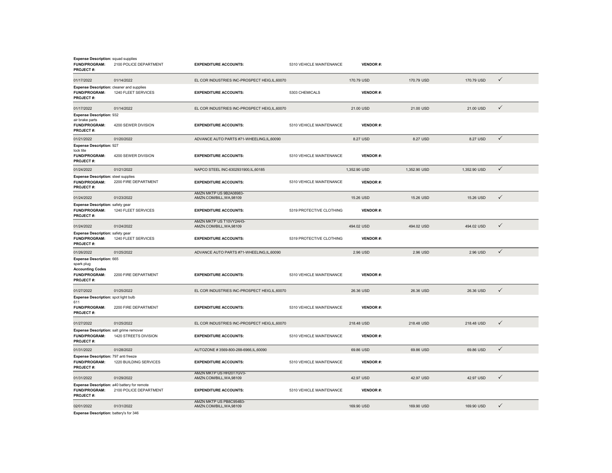| <b>Expense Description:</b> squad supplies<br><b>FUND/PROGRAM:</b><br>PROJECT#:                               | 2100 POLICE DEPARTMENT | <b>EXPENDITURE ACCOUNTS:</b>                        | 5310 VEHICLE MAINTENANCE | <b>VENDOR#:</b> |              |              |              |  |
|---------------------------------------------------------------------------------------------------------------|------------------------|-----------------------------------------------------|--------------------------|-----------------|--------------|--------------|--------------|--|
| 01/17/2022                                                                                                    | 01/14/2022             | EL COR INDUSTRIES INC-PROSPECT HEIG.IL.60070        |                          | 170.79 USD      | 170.79 USD   | 170.79 USD   | $\checkmark$ |  |
| Expense Description: cleaner and supplies<br><b>FUND/PROGRAM:</b><br><b>PROJECT#:</b>                         | 1240 FLEET SERVICES    | <b>EXPENDITURE ACCOUNTS:</b>                        | 5303 CHEMICALS           | <b>VENDOR#:</b> |              |              |              |  |
| 01/17/2022                                                                                                    | 01/14/2022             | EL COR INDUSTRIES INC-PROSPECT HEIG.IL.60070        |                          | 21.00 USD       | 21.00 USD    | 21.00 USD    | $\checkmark$ |  |
| <b>Expense Description: 932</b><br>air brake parts<br>FUND/PROGRAM:<br><b>PROJECT#:</b>                       | 4200 SEWER DIVISION    | <b>EXPENDITURE ACCOUNTS:</b>                        | 5310 VEHICLE MAINTENANCE | <b>VENDOR#:</b> |              |              |              |  |
| 01/21/2022                                                                                                    | 01/20/2022             | ADVANCE AUTO PARTS #71-WHEELING,IL,60090            |                          | 8.27 USD        | 8.27 USD     | 8.27 USD     | $\checkmark$ |  |
| <b>Expense Description: 927</b><br>lock tite<br>FUND/PROGRAM:<br>PROJECT#:                                    | 4200 SEWER DIVISION    | <b>EXPENDITURE ACCOUNTS:</b>                        | 5310 VEHICLE MAINTENANCE | <b>VENDOR#:</b> |              |              |              |  |
| 01/24/2022                                                                                                    | 01/21/2022             | NAPCO STEEL INC-6302931900,IL,60185                 |                          | 1,352.90 USD    | 1,352.90 USD | 1,352.90 USD | $\checkmark$ |  |
| <b>Expense Description: steel supplies</b><br>FUND/PROGRAM:<br>PROJECT#:                                      | 2200 FIRE DEPARTMENT   | <b>EXPENDITURE ACCOUNTS:</b>                        | 5310 VEHICLE MAINTENANCE | <b>VENDOR#:</b> |              |              |              |  |
| 01/24/2022                                                                                                    | 01/23/2022             | AMZN MKTP US 9B2A08983-<br>AMZN.COM/BILL, WA, 98109 |                          | 15.26 USD       | 15.26 USD    | 15.26 USD    | $\checkmark$ |  |
| <b>Expense Description: safety gear</b><br>FUND/PROGRAM:<br>PROJECT#:                                         | 1240 FLEET SERVICES    | <b>EXPENDITURE ACCOUNTS:</b>                        | 5319 PROTECTIVE CLOTHING | <b>VENDOR#:</b> |              |              |              |  |
| 01/24/2022                                                                                                    | 01/24/2022             | AMZN MKTP US T10VY2AH3-<br>AMZN.COM/BILL, WA, 98109 |                          | 494.02 USD      | 494.02 USD   | 494.02 USD   | $\checkmark$ |  |
| <b>Expense Description: safety gear</b><br>FUND/PROGRAM:<br>PROJECT#:                                         | 1240 FLEET SERVICES    | <b>EXPENDITURE ACCOUNTS:</b>                        | 5319 PROTECTIVE CLOTHING | <b>VENDOR#:</b> |              |              |              |  |
| 01/26/2022                                                                                                    | 01/25/2022             | ADVANCE AUTO PARTS #71-WHEELING,IL,60090            |                          | 2.96 USD        | 2.96 USD     | 2.96 USD     | $\checkmark$ |  |
| <b>Expense Description: 665</b><br>spark plug<br><b>Accounting Codes</b><br>FUND/PROGRAM:<br><b>PROJECT#:</b> | 2200 FIRE DEPARTMENT   | <b>EXPENDITURE ACCOUNTS:</b>                        | 5310 VEHICLE MAINTENANCE | <b>VENDOR#:</b> |              |              |              |  |
| 01/27/2022                                                                                                    | 01/25/2022             | EL COR INDUSTRIES INC-PROSPECT HEIG,IL,60070        |                          | 26.36 USD       | 26.36 USD    | 26.36 USD    | $\checkmark$ |  |
| Expense Description: spot light bulb<br>611                                                                   |                        |                                                     |                          |                 |              |              |              |  |
| <b>FUND/PROGRAM:</b><br><b>PROJECT#:</b>                                                                      | 2200 FIRE DEPARTMENT   | <b>EXPENDITURE ACCOUNTS:</b>                        | 5310 VEHICLE MAINTENANCE | <b>VENDOR#:</b> |              |              |              |  |
| 01/27/2022                                                                                                    | 01/25/2022             | EL COR INDUSTRIES INC-PROSPECT HEIG,IL,60070        |                          | 218.48 USD      | 218.48 USD   | 218.48 USD   | $\checkmark$ |  |
| Expense Description: salt grime remover<br><b>FUND/PROGRAM:</b><br><b>PROJECT#:</b>                           | 1420 STREETS DIVISION  | <b>EXPENDITURE ACCOUNTS:</b>                        | 5310 VEHICLE MAINTENANCE | <b>VENDOR#:</b> |              |              |              |  |
| 01/31/2022                                                                                                    | 01/28/2022             | AUTOZONE #3569-800-288-6966,IL,60090                |                          | 69.86 USD       | 69.86 USD    | 69.86 USD    | $\checkmark$ |  |
| Expense Description: 797 anti freeze<br>FUND/PROGRAM:<br>PROJECT#:                                            | 1220 BUILDING SERVICES | <b>EXPENDITURE ACCOUNTS:</b>                        | 5310 VEHICLE MAINTENANCE | <b>VENDOR#:</b> |              |              |              |  |
| 01/31/2022                                                                                                    | 01/29/2022             | AMZN MKTP US HH20T7GV3-<br>AMZN.COM/BILL, WA, 98109 |                          | 42.97 USD       | 42.97 USD    | 42.97 USD    | $\checkmark$ |  |
| Expense Description: a40 battery for remote<br>FUND/PROGRAM:<br><b>PROJECT#:</b>                              | 2100 POLICE DEPARTMENT | <b>EXPENDITURE ACCOUNTS:</b>                        | 5310 VEHICLE MAINTENANCE | <b>VENDOR#:</b> |              |              |              |  |
| 02/01/2022                                                                                                    | 01/31/2022             | AMZN MKTP US PB8C954B3-<br>AMZN.COM/BILL, WA, 98109 |                          | 169.90 USD      | 169.90 USD   | 169.90 USD   | $\checkmark$ |  |

**Expense Description:** battery's for 346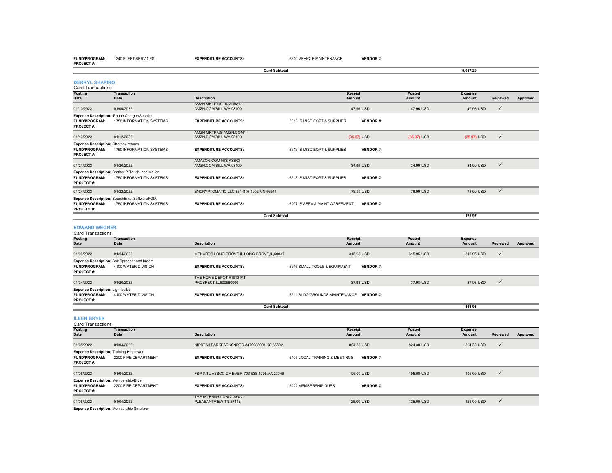**FUND/PROGRAM:** 1240 FLEET SERVICES**EXPENDITURE ACCOUNTS:** 5310 VEHICLE MAINTENANCE **VENDOR #:**

| <b>PROJECT#:</b>                                                           |                                                                            |                                                     |                                |                                 |                         |                                 |                 |          |
|----------------------------------------------------------------------------|----------------------------------------------------------------------------|-----------------------------------------------------|--------------------------------|---------------------------------|-------------------------|---------------------------------|-----------------|----------|
|                                                                            |                                                                            | <b>Card Subtotal</b>                                |                                |                                 |                         | 5,057.29                        |                 |          |
| <b>DERRYL SHAPIRO</b><br><b>Card Transactions</b>                          |                                                                            |                                                     |                                |                                 |                         |                                 |                 |          |
| Posting<br><b>Date</b>                                                     | <b>Transaction</b><br><b>Date</b>                                          | <b>Description</b>                                  |                                | <b>Receipt</b><br>Amount        | <b>Posted</b><br>Amount | <b>Expense</b><br>Amount        | <b>Reviewed</b> | Approved |
| 01/10/2022                                                                 | 01/09/2022                                                                 | AMZN MKTP US BQ7LI0Z13-<br>AMZN.COM/BILL, WA, 98109 |                                | 47.96 USD                       | 47.96 USD               | 47.96 USD                       | $\checkmark$    |          |
| <b>FUND/PROGRAM:</b><br>PROJECT#:                                          | Expense Description: iPhone Charger/Supplies<br>1750 INFORMATION SYSTEMS   | <b>EXPENDITURE ACCOUNTS:</b>                        | 5313 IS MISC EQPT & SUPPLIES   | <b>VENDOR#:</b>                 |                         |                                 |                 |          |
| 01/13/2022                                                                 | 01/12/2022                                                                 | AMZN MKTP US AMZN.COM/-<br>AMZN.COM/BILL, WA, 98109 |                                | $(35.97)$ USD                   | (35.97) USD             | (35.97) USD                     | $\checkmark$    |          |
| <b>Expense Description: Otterbox returns</b><br>FUND/PROGRAM:<br>PROJECT#: | 1750 INFORMATION SYSTEMS                                                   | <b>EXPENDITURE ACCOUNTS:</b>                        | 5313 IS MISC EQPT & SUPPLIES   | <b>VENDOR#:</b>                 |                         |                                 |                 |          |
| 01/21/2022                                                                 | 01/20/2022                                                                 | AMAZON.COM N78IA33R3-<br>AMZN.COM/BILL, WA, 98109   |                                | 34.99 USD                       | 34.99 USD               | 34.99 USD                       | $\checkmark$    |          |
| FUND/PROGRAM:<br>PROJECT#:                                                 | Expense Description: Brother P-TouchLabelMaker<br>1750 INFORMATION SYSTEMS | <b>EXPENDITURE ACCOUNTS:</b>                        | 5313 IS MISC EQPT & SUPPLIES   | <b>VENDOR#:</b>                 |                         |                                 |                 |          |
| 01/24/2022                                                                 | 01/22/2022                                                                 | ENCRYPTOMATIC LLC-651-815-4902,MN,56511             |                                | 78.99 USD                       | 78.99 USD               | 78.99 USD                       | $\checkmark$    |          |
| FUND/PROGRAM:<br><b>PROJECT#:</b>                                          | Expense Description: SearchEmailSoftwareFOIA<br>1750 INFORMATION SYSTEMS   | <b>EXPENDITURE ACCOUNTS:</b>                        | 5207 IS SERV & MAINT AGREEMENT | <b>VENDOR#:</b>                 |                         |                                 |                 |          |
|                                                                            |                                                                            | <b>Card Subtotal</b>                                |                                |                                 |                         | 125.97                          |                 |          |
| <b>EDWARD WEGNER</b><br><b>Card Transactions</b>                           |                                                                            |                                                     |                                |                                 |                         |                                 |                 |          |
| Posting<br><b>Date</b>                                                     | <b>Transaction</b><br><b>Date</b>                                          | <b>Description</b>                                  |                                | <b>Receipt</b><br><b>Amount</b> | Posted<br>Amount        | <b>Expense</b><br><b>Amount</b> | <b>Reviewed</b> | Approved |
| 01/06/2022                                                                 | 01/04/2022                                                                 | MENARDS LONG GROVE IL-LONG GROVE.IL.60047           |                                | 315.95 USD                      | 315.95 USD              | 315.95 USD                      | $\checkmark$    |          |
| <b>FUND/PROGRAM:</b><br><b>PROJECT#:</b>                                   | Expense Description: Salt Spreader and broom<br>4100 WATER DIVISION        | <b>EXPENDITURE ACCOUNTS:</b>                        | 5315 SMALL TOOLS & EQUIPMENT   | <b>VENDOR#:</b>                 |                         |                                 |                 |          |
| 01/24/2022                                                                 | 01/20/2022                                                                 | THE HOME DEPOT #1913-MT<br>PROSPECT, IL, 600560000  |                                | 37,98 USD                       | 37.98 USD               | 37.98 USD                       | $\checkmark$    |          |
| <b>Expense Description: Light bulbs</b><br>FUND/PROGRAM:<br>PROJECT#:      | 4100 WATER DIVISION                                                        | <b>EXPENDITURE ACCOUNTS:</b>                        | 5311 BLDG/GROUNDS MAINTENANCE  | <b>VENDOR#:</b>                 |                         |                                 |                 |          |

**ILEEN BRYER**

| <b>Card Transactions</b>                                                                   |                                   |                                                  |                                |                   |                  |                                 |              |          |
|--------------------------------------------------------------------------------------------|-----------------------------------|--------------------------------------------------|--------------------------------|-------------------|------------------|---------------------------------|--------------|----------|
| Posting<br><b>Date</b>                                                                     | <b>Transaction</b><br><b>Date</b> | <b>Description</b>                               |                                | Receipt<br>Amount | Posted<br>Amount | <b>Expense</b><br><b>Amount</b> | Reviewed     | Approved |
| 01/05/2022                                                                                 | 01/04/2022                        | NIPSTAILPARKPARKSNREC-8479988091,KS,66502        |                                | 824.30 USD        | 824.30 USD       | 824.30 USD                      | $\checkmark$ |          |
| <b>Expense Description: Training-Hightower</b><br><b>FUND/PROGRAM:</b><br><b>PROJECT#:</b> | 2200 FIRE DEPARTMENT              | <b>EXPENDITURE ACCOUNTS:</b>                     | 5105 LOCAL TRAINING & MEETINGS | <b>VENDOR#:</b>   |                  |                                 |              |          |
| 01/05/2022                                                                                 | 01/04/2022                        | FSP INTL ASSOC OF EMER-703-538-1795.VA.22046     |                                | 195,00 USD        | 195,00 USD       | 195.00 USD                      | $\checkmark$ |          |
| <b>Expense Description: Membership-Bryer</b><br><b>FUND/PROGRAM:</b><br><b>PROJECT#:</b>   | 2200 FIRE DEPARTMENT              | <b>EXPENDITURE ACCOUNTS:</b>                     | 5222 MEMBERSHIP DUES           | <b>VENDOR#:</b>   |                  |                                 |              |          |
| 01/06/2022                                                                                 | 01/04/2022                        | THE INTERNATIONAL SOCI-<br>PLEASANTVIEW.TN.37146 |                                | 125,00 USD        | 125,00 USD       | 125,00 USD                      | $\checkmark$ |          |

**353.93**

353.93

**Card Subtotal**

**Expense Description:** Membership-Smeltzer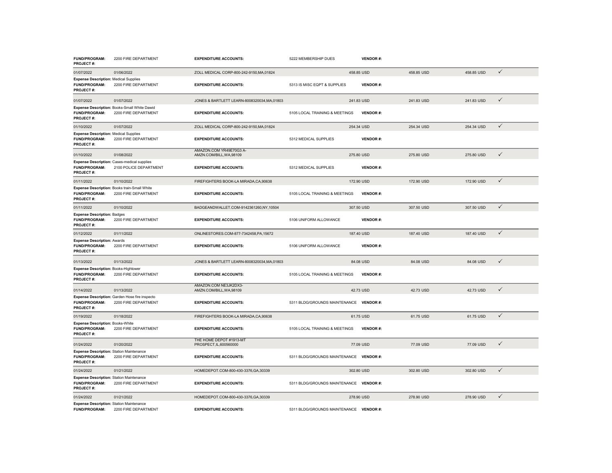| FUND/PROGRAM:<br>PROJECT#:                                                           | 2200 FIRE DEPARTMENT                                                         | <b>EXPENDITURE ACCOUNTS:</b>                        | 5222 MEMBERSHIP DUES                    | <b>VENDOR#:</b> |            |            |              |
|--------------------------------------------------------------------------------------|------------------------------------------------------------------------------|-----------------------------------------------------|-----------------------------------------|-----------------|------------|------------|--------------|
| 01/07/2022                                                                           | 01/06/2022                                                                   | ZOLL MEDICAL CORP-800-242-9150, MA, 01824           |                                         | 458.85 USD      | 458.85 USD | 458.85 USD | $\checkmark$ |
| <b>Expense Description: Medical Supplies</b><br>FUND/PROGRAM:<br>PROJECT#:           | 2200 FIRE DEPARTMENT                                                         | <b>EXPENDITURE ACCOUNTS:</b>                        | 5313 IS MISC EQPT & SUPPLIES            | <b>VENDOR#:</b> |            |            |              |
| 01/07/2022                                                                           | 01/07/2022                                                                   | JONES & BARTLETT LEARN-8008320034, MA, 01803        |                                         | 241.83 USD      | 241.83 USD | 241.83 USD | $\checkmark$ |
| FUND/PROGRAM:<br>PROJECT#:                                                           | Expense Description: Books-Small White Dawid<br>2200 FIRE DEPARTMENT         | <b>EXPENDITURE ACCOUNTS:</b>                        | 5105 LOCAL TRAINING & MEETINGS          | <b>VENDOR#:</b> |            |            |              |
| 01/10/2022                                                                           | 01/07/2022                                                                   | ZOLL MEDICAL CORP-800-242-9150.MA.01824             |                                         | 254.34 USD      | 254.34 USD | 254.34 USD | $\checkmark$ |
| <b>Expense Description: Medical Supplies</b><br>FUND/PROGRAM:<br><b>PROJECT#:</b>    | 2200 FIRE DEPARTMENT                                                         | <b>EXPENDITURE ACCOUNTS:</b>                        | 5312 MEDICAL SUPPLIES                   | <b>VENDOR#:</b> |            |            |              |
| 01/10/2022                                                                           | 01/08/2022                                                                   | AMAZON.COM YR49E70G3 A-<br>AMZN.COM/BILL, WA, 98109 |                                         | 275.80 USD      | 275.80 USD | 275.80 USD | $\checkmark$ |
| FUND/PROGRAM:<br>PROJECT#:                                                           | <b>Expense Description: Cases-medical supplies</b><br>2100 POLICE DEPARTMENT | <b>EXPENDITURE ACCOUNTS:</b>                        | 5312 MEDICAL SUPPLIES                   | <b>VENDOR#:</b> |            |            |              |
| 01/11/2022                                                                           | 01/10/2022                                                                   | FIREFIGHTERS BOOK-LA MIRADA,CA,90638                |                                         | 172,90 USD      | 172.90 USD | 172.90 USD | $\checkmark$ |
| <b>FUND/PROGRAM:</b><br>PROJECT#:                                                    | Expense Description: Books train-Small White<br>2200 FIRE DEPARTMENT         | <b>EXPENDITURE ACCOUNTS:</b>                        | 5105 LOCAL TRAINING & MEETINGS          | <b>VENDOR#:</b> |            |            |              |
| 01/11/2022                                                                           | 01/10/2022                                                                   | BADGEANDWALLET.COM-9142361260,NY,10504              |                                         | 307.50 USD      | 307.50 USD | 307.50 USD | $\checkmark$ |
| <b>Expense Description: Badges</b><br><b>FUND/PROGRAM:</b><br>PROJECT#:              | 2200 FIRE DEPARTMENT                                                         | <b>EXPENDITURE ACCOUNTS:</b>                        | 5106 UNIFORM ALLOWANCE                  | <b>VENDOR#:</b> |            |            |              |
| 01/12/2022                                                                           | 01/11/2022                                                                   | ONLINESTORES.COM-877-7342458,PA,15672               |                                         | 187.40 USD      | 187.40 USD | 187.40 USD | $\checkmark$ |
| <b>Expense Description: Awards</b><br><b>FUND/PROGRAM:</b><br>PROJECT#:              | 2200 FIRE DEPARTMENT                                                         | <b>EXPENDITURE ACCOUNTS:</b>                        | 5106 UNIFORM ALLOWANCE                  | <b>VENDOR#:</b> |            |            |              |
| 01/13/2022                                                                           | 01/13/2022                                                                   | JONES & BARTLETT LEARN-8008320034, MA, 01803        |                                         | 84.08 USD       | 84.08 USD  | 84.08 USD  | $\checkmark$ |
| <b>Expense Description: Books-Hightower</b><br><b>FUND/PROGRAM:</b><br>PROJECT#:     | 2200 FIRE DEPARTMENT                                                         | <b>EXPENDITURE ACCOUNTS:</b>                        | 5105 LOCAL TRAINING & MEETINGS          | <b>VENDOR#:</b> |            |            |              |
| 01/14/2022                                                                           | 01/13/2022                                                                   | AMAZON.COM NE3JK2DX3-<br>AMZN.COM/BILL,WA,98109     |                                         | 42.73 USD       | 42.73 USD  | 42.73 USD  | $\checkmark$ |
| FUND/PROGRAM:<br>PROJECT#:                                                           | Expense Description: Garden Hose fire inspecto<br>2200 FIRE DEPARTMENT       | <b>EXPENDITURE ACCOUNTS:</b>                        | 5311 BLDG/GROUNDS MAINTENANCE VENDOR #: |                 |            |            |              |
| 01/19/2022                                                                           | 01/18/2022                                                                   | FIREFIGHTERS BOOK-LA MIRADA,CA,90638                |                                         | 61.75 USD       | 61.75 USD  | 61.75 USD  | $\checkmark$ |
| <b>Expense Description: Books-White</b><br>FUND/PROGRAM:<br>PROJECT#:                | 2200 FIRE DEPARTMENT                                                         | <b>EXPENDITURE ACCOUNTS:</b>                        | 5105 LOCAL TRAINING & MEETINGS          | <b>VENDOR#:</b> |            |            |              |
| 01/24/2022                                                                           | 01/20/2022                                                                   | THE HOME DEPOT #1913-MT<br>PROSPECT, IL, 600560000  |                                         | 77.09 USD       | 77.09 USD  | 77.09 USD  | $\checkmark$ |
| <b>Expense Description: Station Maintenance</b><br>FUND/PROGRAM:<br>PROJECT#:        | 2200 FIRE DEPARTMENT                                                         | <b>EXPENDITURE ACCOUNTS:</b>                        | 5311 BLDG/GROUNDS MAINTENANCE VENDOR #: |                 |            |            |              |
| 01/24/2022                                                                           | 01/21/2022                                                                   | HOMEDEPOT.COM-800-430-3376,GA,30339                 |                                         | 302.80 USD      | 302.80 USD | 302.80 USD | $\checkmark$ |
| <b>Expense Description: Station Maintenance</b><br><b>FUND/PROGRAM:</b><br>PROJECT#: | 2200 FIRE DEPARTMENT                                                         | <b>EXPENDITURE ACCOUNTS:</b>                        | 5311 BLDG/GROUNDS MAINTENANCE VENDOR #: |                 |            |            |              |
| 01/24/2022                                                                           | 01/21/2022                                                                   | HOMEDEPOT.COM-800-430-3376.GA.30339                 |                                         | 278.90 USD      | 278,90 USD | 278,90 USD | $\checkmark$ |
| <b>Expense Description: Station Maintenance</b><br><b>FUND/PROGRAM:</b>              | 2200 FIRE DEPARTMENT                                                         | <b>EXPENDITURE ACCOUNTS:</b>                        | 5311 BLDG/GROUNDS MAINTENANCE           | <b>VENDOR#:</b> |            |            |              |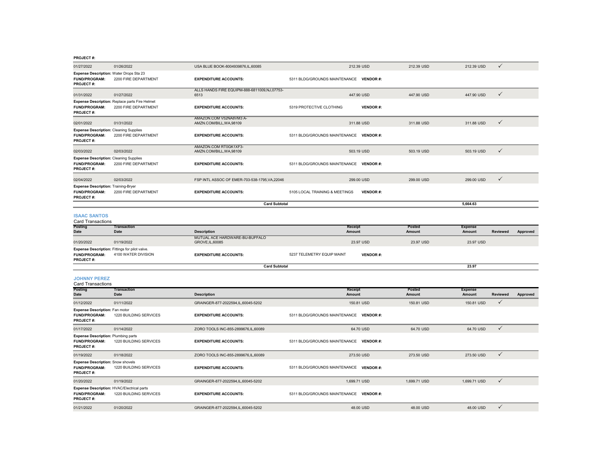| 01/27/2022                                                                             | 01/26/2022                                                             | USA BLUE BOOK-8004939876,IL,60085                    | 212.39 USD                              |                 | 212.39 USD              | 212.39 USD                      | $\checkmark$    |          |
|----------------------------------------------------------------------------------------|------------------------------------------------------------------------|------------------------------------------------------|-----------------------------------------|-----------------|-------------------------|---------------------------------|-----------------|----------|
| Expense Description: Water Drops Sta 23<br>FUND/PROGRAM:<br>PROJECT#:                  | 2200 FIRE DEPARTMENT                                                   | <b>EXPENDITURE ACCOUNTS:</b>                         | 5311 BLDG/GROUNDS MAINTENANCE VENDOR #: |                 |                         |                                 |                 |          |
| 01/31/2022                                                                             | 01/27/2022                                                             | ALLS HANDS FIRE EQUIPM-888-6811009,NJ,07753-<br>6513 | 447.90 USD                              |                 | 447.90 USD              | 447,90 USD                      | $\checkmark$    |          |
| <b>FUND/PROGRAM:</b><br><b>PROJECT#:</b>                                               | Expense Description: Replace parts Fire Helmet<br>2200 FIRE DEPARTMENT | <b>EXPENDITURE ACCOUNTS:</b>                         | 5319 PROTECTIVE CLOTHING                | <b>VENDOR#:</b> |                         |                                 |                 |          |
| 02/01/2022                                                                             | 01/31/2022                                                             | AMAZON.COM V52NA8VM3 A-<br>AMZN.COM/BILL, WA, 98109  | 311.88 USD                              |                 | 311.88 USD              | 311.88 USD                      | $\checkmark$    |          |
| <b>Expense Description: Cleaning Supplies</b><br>FUND/PROGRAM:<br>PROJECT#:            | 2200 FIRE DEPARTMENT                                                   | <b>EXPENDITURE ACCOUNTS:</b>                         | 5311 BLDG/GROUNDS MAINTENANCE VENDOR #: |                 |                         |                                 |                 |          |
| 02/03/2022                                                                             | 02/03/2022                                                             | AMAZON.COM RT0GK1XF3-<br>AMZN.COM/BILL, WA, 98109    | 503.19 USD                              |                 | 503.19 USD              | 503.19 USD                      | ✓               |          |
| <b>Expense Description: Cleaning Supplies</b><br><b>FUND/PROGRAM:</b><br>PROJECT#:     | 2200 FIRE DEPARTMENT                                                   | <b>EXPENDITURE ACCOUNTS:</b>                         | 5311 BLDG/GROUNDS MAINTENANCE           | <b>VENDOR#:</b> |                         |                                 |                 |          |
| 02/04/2022                                                                             | 02/03/2022                                                             | FSP INTL ASSOC OF EMER-703-538-1795, VA, 22046       | 299.00 USD                              |                 | 299.00 USD              | 299.00 USD                      | $\checkmark$    |          |
| <b>Expense Description: Training-Bryer</b><br>FUND/PROGRAM:<br>PROJECT#:               | 2200 FIRE DEPARTMENT                                                   | <b>EXPENDITURE ACCOUNTS:</b>                         | 5105 LOCAL TRAINING & MEETINGS          | <b>VENDOR#:</b> |                         |                                 |                 |          |
|                                                                                        |                                                                        | <b>Card Subtotal</b>                                 |                                         |                 |                         | 5,664.63                        |                 |          |
| <b>ISAAC SANTOS</b><br><b>Card Transactions</b>                                        |                                                                        |                                                      |                                         |                 |                         |                                 |                 |          |
| Posting<br>Date                                                                        | <b>Transaction</b><br>Date                                             | <b>Description</b>                                   | <b>Receipt</b><br><b>Amount</b>         |                 | Posted<br><b>Amount</b> | <b>Expense</b><br><b>Amount</b> | <b>Reviewed</b> | Approved |
| 01/20/2022                                                                             | 01/19/2022                                                             | MUTUAL ACE HARDWARE-BU-BUFFALO<br>GROVE, IL, 60085   |                                         | 23.97 USD       | 23.97 USD               | 23.97 USD                       |                 |          |
| Expense Description: Fittings for pilot valve.<br>FUND/PROGRAM:<br><b>PROJECT#:</b>    | 4100 WATER DIVISION                                                    | <b>EXPENDITURE ACCOUNTS:</b>                         | 5237 TELEMETRY EQUIP MAINT              | <b>VENDOR#:</b> |                         |                                 |                 |          |
|                                                                                        |                                                                        | <b>Card Subtotal</b>                                 |                                         |                 |                         | 23.97                           |                 |          |
| <b>JOHNNY PEREZ</b><br><b>Card Transactions</b>                                        |                                                                        |                                                      |                                         |                 |                         |                                 |                 |          |
| Posting<br><b>Date</b>                                                                 | <b>Transaction</b><br><b>Date</b>                                      | <b>Description</b>                                   | Receipt<br>Amount                       |                 | Posted<br><b>Amount</b> | <b>Expense</b><br><b>Amount</b> | <b>Reviewed</b> | Approved |
| 01/12/2022                                                                             | 01/11/2022                                                             | GRAINGER-877-2022594,IL,60045-5202                   |                                         | 150.81 USD      | 150.81 USD              | 150.81 USD                      | $\checkmark$    |          |
| <b>Expense Description: Fan motor</b><br>FUND/PROGRAM:<br>PROJECT#:                    | 1220 BUILDING SERVICES                                                 | <b>EXPENDITURE ACCOUNTS:</b>                         | 5311 BLDG/GROUNDS MAINTENANCE           | <b>VENDOR#:</b> |                         |                                 |                 |          |
| 01/17/2022                                                                             | 01/14/2022                                                             | ZORO TOOLS INC-855-2899676.IL.60089                  |                                         | 64.70 USD       | 64.70 USD               | 64.70 USD                       | $\checkmark$    |          |
| <b>Expense Description: Plumbing parts</b><br><b>FUND/PROGRAM:</b><br><b>PROJECT#:</b> | 1220 BUILDING SERVICES                                                 | <b>EXPENDITURE ACCOUNTS:</b>                         | 5311 BLDG/GROUNDS MAINTENANCE VENDOR #: |                 |                         |                                 |                 |          |
| 01/19/2022                                                                             |                                                                        |                                                      |                                         |                 |                         |                                 |                 |          |
|                                                                                        | 01/18/2022                                                             | ZORO TOOLS INC-855-2899676, IL, 60089                | 273.50 USD                              |                 | 273.50 USD              | 273.50 USD                      | $\checkmark$    |          |

**PROJECT #:**01/20/2022 01/19/2022 GRAINGER-877-2022594,IL,60045-5202 1,699.71 USD 1,699.71 USD 1,699.71 USD 1,699.71 USD √ **Expense Description:** HVAC/Electrical parts<br>**FUND/PROGRAM:** 1220 BUILDING SERVICES **EXPENDITURE ACCOUNTS:** 5311 BLDG/GROUNDS MAINTENANCE **VENDOR** #: **PROJECT #:** 01/21/2022 01/20/2022 01/20/2022 GRAINGER-877-2022594,IL,60045-5202 48.00 USD 48.00 USD 48.00 USD 48.00 USD 48.00 USD √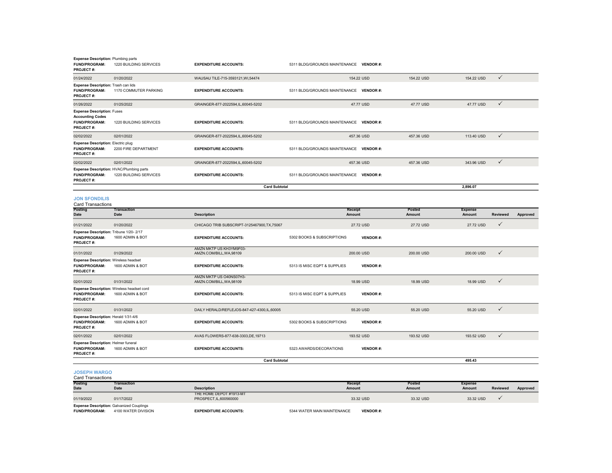| <b>Expense Description: Plumbing parts</b><br>FUND/PROGRAM:<br>PROJECT#:                   | 1220 BUILDING SERVICES     | <b>EXPENDITURE ACCOUNTS:</b>                        | 5311 BLDG/GROUNDS MAINTENANCE VENDOR #: |                   |                  |                          |                 |          |
|--------------------------------------------------------------------------------------------|----------------------------|-----------------------------------------------------|-----------------------------------------|-------------------|------------------|--------------------------|-----------------|----------|
| 01/24/2022                                                                                 | 01/20/2022                 | WAUSAU TILE-715-3593121, WI, 54474                  |                                         | 154.22 USD        | 154.22 USD       | 154.22 USD               | $\checkmark$    |          |
| Expense Description: Trash can lids<br>FUND/PROGRAM:<br>PROJECT#:                          | 1170 COMMUTER PARKING      | <b>EXPENDITURE ACCOUNTS:</b>                        | 5311 BLDG/GROUNDS MAINTENANCE VENDOR #: |                   |                  |                          |                 |          |
| 01/26/2022                                                                                 | 01/25/2022                 | GRAINGER-877-2022594,IL,60045-5202                  |                                         | 47.77 USD         | 47.77 USD        | 47.77 USD                | $\checkmark$    |          |
| <b>Expense Description: Fuses</b><br><b>Accounting Codes</b><br>FUND/PROGRAM:<br>PROJECT#: | 1220 BUILDING SERVICES     | <b>EXPENDITURE ACCOUNTS:</b>                        | 5311 BLDG/GROUNDS MAINTENANCE VENDOR #: |                   |                  |                          |                 |          |
| 02/02/2022                                                                                 | 02/01/2022                 | GRAINGER-877-2022594,IL,60045-5202                  |                                         | 457.36 USD        | 457.36 USD       | 113.40 USD               | $\checkmark$    |          |
| Expense Description: Electric plug<br>FUND/PROGRAM:<br>PROJECT#:                           | 2200 FIRE DEPARTMENT       | <b>EXPENDITURE ACCOUNTS:</b>                        | 5311 BLDG/GROUNDS MAINTENANCE VENDOR #: |                   |                  |                          |                 |          |
| 02/02/2022                                                                                 | 02/01/2022                 | GRAINGER-877-2022594,IL,60045-5202                  |                                         | 457.36 USD        | 457.36 USD       | 343.96 USD               | $\checkmark$    |          |
| <b>Expense Description: HVAC/Plumbing parts</b><br>FUND/PROGRAM:<br>PROJECT#:              | 1220 BUILDING SERVICES     | <b>EXPENDITURE ACCOUNTS:</b>                        | 5311 BLDG/GROUNDS MAINTENANCE VENDOR #: |                   |                  |                          |                 |          |
|                                                                                            |                            | <b>Card Subtotal</b>                                |                                         |                   |                  | 2,896.07                 |                 |          |
| <b>JON SFONDILIS</b><br><b>Card Transactions</b>                                           |                            |                                                     |                                         |                   |                  |                          |                 |          |
| Posting<br><b>Date</b>                                                                     | Transaction<br><b>Date</b> | <b>Description</b>                                  |                                         | Receipt<br>Amount | Posted<br>Amount | <b>Expense</b><br>Amount | Reviewed        | Approved |
| 01/21/2022                                                                                 | 01/20/2022                 | CHICAGO TRIB SUBSCRIPT-3125467900,TX,75067          |                                         | 27.72 USD         | 27.72 USD        | 27.72 USD                | $\checkmark$    |          |
| Expense Description: Tribune 1/20-2/17<br>FUND/PROGRAM:<br>PROJECT#:                       | 1600 ADMIN & BOT           | <b>EXPENDITURE ACCOUNTS:</b>                        | 5302 BOOKS & SUBSCRIPTIONS              | <b>VENDOR#:</b>   |                  |                          |                 |          |
| 01/31/2022                                                                                 | 01/29/2022                 | AMZN MKTP US KH3YM9F03-<br>AMZN.COM/BILL, WA, 98109 |                                         | 200.00 USD        | 200.00 USD       | 200.00 USD               | ✓               |          |
| <b>Expense Description: Wireless headset</b><br>FUND/PROGRAM:<br>PROJECT#:                 | 1600 ADMIN & BOT           | <b>EXPENDITURE ACCOUNTS:</b>                        | 5313 IS MISC EQPT & SUPPLIES            | <b>VENDOR#:</b>   |                  |                          |                 |          |
| 02/01/2022                                                                                 | 01/31/2022                 | AMZN MKTP US O40NS07H3-<br>AMZN.COM/BILL, WA, 98109 |                                         | 18.99 USD         | 18.99 USD        | 18.99 USD                | $\checkmark$    |          |
| Expense Description: Wireless headset cord<br>FUND/PROGRAM:<br>PROJECT#:                   | 1600 ADMIN & BOT           | <b>EXPENDITURE ACCOUNTS:</b>                        | 5313 IS MISC EQPT & SUPPLIES            | <b>VENDOR#:</b>   |                  |                          |                 |          |
| 02/01/2022                                                                                 | 01/31/2022                 | DAILY HERALD/REFLEJOS-847-427-4300,IL,60005         |                                         | 55.20 USD         | 55.20 USD        | 55.20 USD                | $\checkmark$    |          |
| Expense Description: Herald 1/31-4/6<br><b>FUND/PROGRAM:</b><br>PROJECT#:                  | 1600 ADMIN & BOT           | <b>EXPENDITURE ACCOUNTS:</b>                        | 5302 BOOKS & SUBSCRIPTIONS              | <b>VENDOR#:</b>   |                  |                          |                 |          |
| 02/01/2022                                                                                 | 02/01/2022                 | AVAS FLOWERS-877-638-3303.DE.19713                  |                                         | 193.52 USD        | 193.52 USD       | 193.52 USD               | $\checkmark$    |          |
| <b>Expense Description: Helmer funeral</b><br>FUND/PROGRAM:<br>PROJECT#:                   | 1600 ADMIN & BOT           | <b>EXPENDITURE ACCOUNTS:</b>                        | 5323 AWARDS/DECORATIONS                 | <b>VENDOR#:</b>   |                  |                          |                 |          |
|                                                                                            |                            | <b>Card Subtotal</b>                                |                                         |                   |                  | 495.43                   |                 |          |
| <b>JOSEPH WARGO</b><br><b>Card Transactions</b>                                            |                            |                                                     |                                         |                   |                  |                          |                 |          |
| Posting<br>Date                                                                            | Transaction<br>Date        | <b>Description</b>                                  |                                         | Receipt<br>Amount | Posted<br>Amount | <b>Expense</b><br>Amount | <b>Reviewed</b> | Approved |
| 01/19/2022                                                                                 | 01/17/2022                 | THE HOME DEPOT #1913-MT<br>PROSPECT, IL, 600560000  |                                         | 33.32 USD         | 33.32 USD        | 33.32 USD                | ✓               |          |

| 01/19/2022 | 01/17/2022                                       | THE HOME DEPOT #1913-MT<br>PROSPECT.IL.600560000 | 33.32 USD | 33.32 USD | 33.32 USD |  |
|------------|--------------------------------------------------|--------------------------------------------------|-----------|-----------|-----------|--|
|            | <b>Expense Description: Galvanized Couplings</b> |                                                  | ________  |           |           |  |

**FUND/PROGRAM:** 4100 WATER DIVISION**EXPENDITURE ACCOUNTS:** 5344 WATER MAIN MAINTENANCE **VENDOR #:**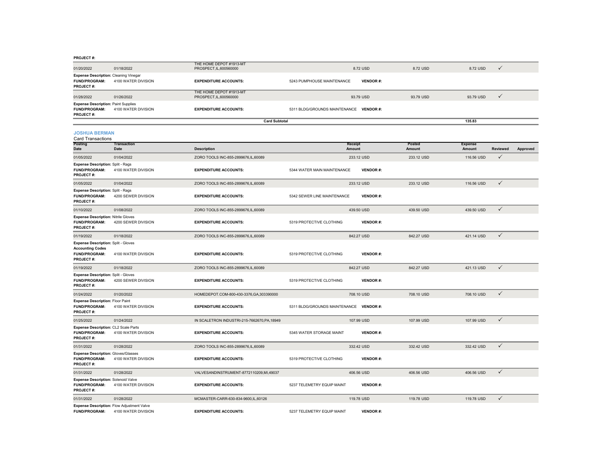| $1100 - 177$                                                                                 |                                   |                                                    |                                         |                   |                  |                          |              |          |
|----------------------------------------------------------------------------------------------|-----------------------------------|----------------------------------------------------|-----------------------------------------|-------------------|------------------|--------------------------|--------------|----------|
| 01/20/2022                                                                                   | 01/18/2022                        | THE HOME DEPOT #1913-MT<br>PROSPECT, IL, 600560000 |                                         | 8.72 USD          | 8.72 USD         | 8.72 USD                 | $\checkmark$ |          |
| <b>Expense Description: Cleaning Vinegar</b><br>FUND/PROGRAM:<br>PROJECT#:                   | 4100 WATER DIVISION               | <b>EXPENDITURE ACCOUNTS:</b>                       | 5243 PUMPHOUSE MAINTENANCE              | <b>VENDOR#:</b>   |                  |                          |              |          |
| 01/28/2022                                                                                   | 01/26/2022                        | THE HOME DEPOT #1913-MT<br>PROSPECT, IL, 600560000 |                                         | 93.79 USD         | 93.79 USD        | 93.79 USD                | $\checkmark$ |          |
| <b>Expense Description: Paint Supplies</b><br><b>FUND/PROGRAM:</b><br>PROJECT#:              | 4100 WATER DIVISION               | <b>EXPENDITURE ACCOUNTS:</b>                       | 5311 BLDG/GROUNDS MAINTENANCE VENDOR #: |                   |                  |                          |              |          |
|                                                                                              |                                   | <b>Card Subtotal</b>                               |                                         |                   |                  | 135.83                   |              |          |
| <b>JOSHUA BERMAN</b><br><b>Card Transactions</b>                                             |                                   |                                                    |                                         |                   |                  |                          |              |          |
| Posting<br><b>Date</b>                                                                       | <b>Transaction</b><br><b>Date</b> | <b>Description</b>                                 |                                         | Receipt<br>Amount | Posted<br>Amount | <b>Expense</b><br>Amount | Reviewed     | Approved |
| 01/05/2022                                                                                   | 01/04/2022                        | ZORO TOOLS INC-855-2899676, IL, 60089              |                                         | 233.12 USD        | 233.12 USD       | 116.56 USD               | ✓            |          |
| Expense Description: Split - Rags<br><b>FUND/PROGRAM:</b><br>PROJECT#:                       | 4100 WATER DIVISION               | <b>EXPENDITURE ACCOUNTS:</b>                       | 5344 WATER MAIN MAINTENANCE             | <b>VENDOR#:</b>   |                  |                          |              |          |
| 01/05/2022                                                                                   | 01/04/2022                        | ZORO TOOLS INC-855-2899676, IL, 60089              |                                         | 233.12 USD        | 233.12 USD       | 116.56 USD               | $\checkmark$ |          |
| <b>Expense Description: Split - Rags</b><br><b>FUND/PROGRAM:</b><br>PROJECT#:                | 4200 SEWER DIVISION               | <b>EXPENDITURE ACCOUNTS:</b>                       | 5342 SEWER LINE MAINTENANCE             | <b>VENDOR#:</b>   |                  |                          |              |          |
| 01/10/2022                                                                                   | 01/08/2022                        | ZORO TOOLS INC-855-2899676, IL, 60089              |                                         | 439.50 USD        | 439.50 USD       | 439.50 USD               | $\checkmark$ |          |
| <b>Expense Description: Nitrile Gloves</b><br>FUND/PROGRAM:<br>PROJECT#:                     | 4200 SEWER DIVISION               | <b>EXPENDITURE ACCOUNTS:</b>                       | 5319 PROTECTIVE CLOTHING                | <b>VENDOR#:</b>   |                  |                          |              |          |
| 01/19/2022                                                                                   | 01/18/2022                        | ZORO TOOLS INC-855-2899676, IL, 60089              |                                         | 842.27 USD        | 842.27 USD       | 421.14 USD               | $\checkmark$ |          |
| Expense Description: Split - Gloves<br><b>Accounting Codes</b><br>FUND/PROGRAM:<br>PROJECT#: | 4100 WATER DIVISION               | <b>EXPENDITURE ACCOUNTS:</b>                       | 5319 PROTECTIVE CLOTHING                | <b>VENDOR#:</b>   |                  |                          |              |          |
| 01/19/2022                                                                                   | 01/18/2022                        | ZORO TOOLS INC-855-2899676,IL,60089                |                                         | 842.27 USD        | 842.27 USD       | 421.13 USD               | $\checkmark$ |          |
| Expense Description: Split - Gloves<br><b>FUND/PROGRAM:</b><br>PROJECT#:                     | 4200 SEWER DIVISION               | <b>EXPENDITURE ACCOUNTS:</b>                       | 5319 PROTECTIVE CLOTHING                | <b>VENDOR#:</b>   |                  |                          |              |          |
| 01/24/2022                                                                                   | 01/20/2022                        | HOMEDEPOT.COM-800-430-3376,GA,303390000            |                                         | 708.10 USD        | 708.10 USD       | 708.10 USD               | $\checkmark$ |          |
| <b>Expense Description: Floor Paint</b><br>FUND/PROGRAM:<br>PROJECT#:                        | 4100 WATER DIVISION               | <b>EXPENDITURE ACCOUNTS:</b>                       | 5311 BLDG/GROUNDS MAINTENANCE VENDOR #: |                   |                  |                          |              |          |
| 01/25/2022                                                                                   | 01/24/2022                        | IN SCALETRON INDUSTRI-215-7662670,PA,18949         |                                         | 107.99 USD        | 107.99 USD       | 107.99 USD               | $\checkmark$ |          |
| Expense Description: CL2 Scale Parts<br>FUND/PROGRAM:<br>PROJECT#:                           | 4100 WATER DIVISION               | <b>EXPENDITURE ACCOUNTS:</b>                       | 5345 WATER STORAGE MAINT                | <b>VENDOR#:</b>   |                  |                          |              |          |
| 01/31/2022                                                                                   | 01/28/2022                        | ZORO TOOLS INC-855-2899676, IL, 60089              |                                         | 332.42 USD        | 332.42 USD       | 332.42 USD               | $\checkmark$ |          |
| <b>Expense Description: Gloves/Glasses</b><br>FUND/PROGRAM:<br><b>PROJECT#:</b>              | 4100 WATER DIVISION               | <b>EXPENDITURE ACCOUNTS:</b>                       | 5319 PROTECTIVE CLOTHING                | <b>VENDOR#:</b>   |                  |                          |              |          |
| 01/31/2022                                                                                   | 01/28/2022                        | VALVESANDINSTRUMENT-8772110209,MI,49037            |                                         | 406.56 USD        | 406.56 USD       | 406.56 USD               | $\checkmark$ |          |
| Expense Description: Solenoid Valve<br><b>FUND/PROGRAM:</b><br><b>PROJECT#:</b>              | 4100 WATER DIVISION               | <b>EXPENDITURE ACCOUNTS:</b>                       | 5237 TELEMETRY EQUIP MAINT              | <b>VENDOR#:</b>   |                  |                          |              |          |
| 01/31/2022                                                                                   | 01/28/2022                        | MCMASTER-CARR-630-834-9600.IL.60126                |                                         | 119,78 USD        | 119,78 USD       | 119,78 USD               | $\checkmark$ |          |
| <b>Exnance Description: Flow Adjustment Valve</b>                                            |                                   |                                                    |                                         |                   |                  |                          |              |          |

**Expense Description:** Flow Adjustment Valve<br>**FUND/PROGRAM:** 4100 WATER DIVISION **EXPENDITURE ACCOUNTS:** 5237 TELEMETRY EQUIP MAINT **VENDOR #:**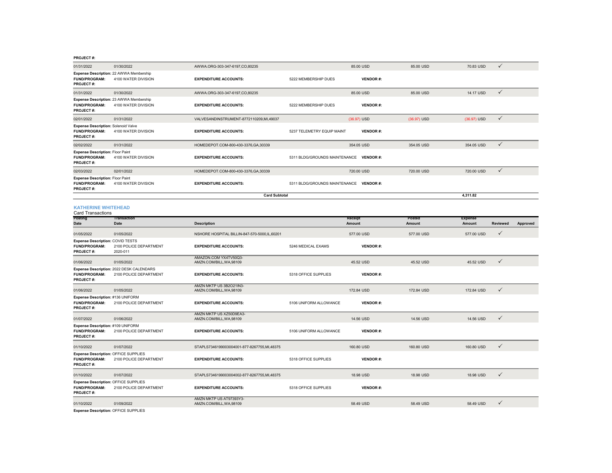| 01/31/2022                                                                   | 01/30/2022                                                         | AWWA.ORG-303-347-6197.CO.80235                      |                                         | 85.00 USD         | 85,00 USD               | 70.83 USD                | $\checkmark$    |          |
|------------------------------------------------------------------------------|--------------------------------------------------------------------|-----------------------------------------------------|-----------------------------------------|-------------------|-------------------------|--------------------------|-----------------|----------|
| FUND/PROGRAM:<br>PROJECT#:                                                   | Expense Description: 22 AWWA Membership<br>4100 WATER DIVISION     | <b>EXPENDITURE ACCOUNTS:</b>                        | 5222 MEMBERSHIP DUES                    | <b>VENDOR#:</b>   |                         |                          |                 |          |
| 01/31/2022                                                                   | 01/30/2022                                                         | AWWA.ORG-303-347-6197,CO,80235                      |                                         | 85.00 USD         | 85.00 USD               | 14.17 USD                | $\checkmark$    |          |
| <b>FUND/PROGRAM:</b><br><b>PROJECT#:</b>                                     | Expense Description: 23 AWWA Membership<br>4100 WATER DIVISION     | <b>EXPENDITURE ACCOUNTS:</b>                        | 5222 MEMBERSHIP DUES                    | <b>VENDOR#:</b>   |                         |                          |                 |          |
| 02/01/2022                                                                   | 01/31/2022                                                         | VALVESANDINSTRUMENT-8772110209,MI,49037             |                                         | (36.97) USD       | (36.97) USD             | (36.97) USD              | $\checkmark$    |          |
| Expense Description: Solenoid Valve<br>FUND/PROGRAM:<br>PROJECT#:            | 4100 WATER DIVISION                                                | <b>EXPENDITURE ACCOUNTS:</b>                        | 5237 TELEMETRY EQUIP MAINT              | <b>VENDOR#:</b>   |                         |                          |                 |          |
| 02/02/2022                                                                   | 01/31/2022                                                         | HOMEDEPOT.COM-800-430-3376,GA,30339                 |                                         | 354.05 USD        | 354.05 USD              | 354.05 USD               | $\checkmark$    |          |
| <b>Expense Description: Floor Paint</b><br>FUND/PROGRAM:<br>PROJECT#:        | 4100 WATER DIVISION                                                | <b>EXPENDITURE ACCOUNTS:</b>                        | 5311 BLDG/GROUNDS MAINTENANCE VENDOR #: |                   |                         |                          |                 |          |
| 02/03/2022                                                                   | 02/01/2022                                                         | HOMEDEPOT.COM-800-430-3376,GA,30339                 |                                         | 720.00 USD        | 720.00 USD              | 720.00 USD               | $\checkmark$    |          |
| Expense Description: Floor Paint<br><b>FUND/PROGRAM:</b><br><b>PROJECT#:</b> | 4100 WATER DIVISION                                                | <b>EXPENDITURE ACCOUNTS:</b>                        | 5311 BLDG/GROUNDS MAINTENANCE VENDOR #: |                   |                         |                          |                 |          |
|                                                                              |                                                                    | <b>Card Subtotal</b>                                |                                         |                   |                         | 4,311.82                 |                 |          |
| <b>KATHERINE WHITEHEAD</b><br><b>Card Transactions</b>                       |                                                                    |                                                     |                                         |                   |                         |                          |                 |          |
| Posting<br><b>Date</b>                                                       | Transaction<br><b>Date</b>                                         | <b>Description</b>                                  |                                         | Receipt<br>Amount | <b>Posted</b><br>Amount | <b>Expense</b><br>Amount | <b>Reviewed</b> | Approved |
| 01/05/2022                                                                   | 01/05/2022                                                         | NSHORE HOSPITAL BILLIN-847-570-5000.IL.60201        |                                         | 577.00 USD        | 577.00 USD              | 577,00 USD               | ✓               |          |
| Expense Description: COVID TESTS<br><b>FUND/PROGRAM:</b><br>PROJECT#:        | 2100 POLICE DEPARTMENT<br>2020-011                                 | <b>EXPENDITURE ACCOUNTS:</b>                        | 5246 MEDICAL EXAMS                      | <b>VENDOR#:</b>   |                         |                          |                 |          |
| 01/06/2022                                                                   | 01/05/2022                                                         | AMAZON COM YX4TV50O3-<br>AMZN.COM/BILL, WA, 98109   |                                         | 45.52 USD         | 45.52 USD               | 45.52 USD                | $\checkmark$    |          |
| <b>FUND/PROGRAM:</b><br>PROJECT#:                                            | Expense Description: 2022 DESK CALENDARS<br>2100 POLICE DEPARTMENT | <b>EXPENDITURE ACCOUNTS:</b>                        | 5318 OFFICE SUPPLIES                    | <b>VENDOR#:</b>   |                         |                          |                 |          |
| 01/06/2022                                                                   | 01/05/2022                                                         | AMZN MKTP US 3B2O21IN3-<br>AMZN.COM/BILL, WA, 98109 |                                         | 172.84 USD        | 172.84 USD              | 172.84 USD               | $\checkmark$    |          |
| Expense Description: #136 UNIFORM<br>FUND/PROGRAM:<br>PROJECT#:              | 2100 POLICE DEPARTMENT                                             | <b>EXPENDITURE ACCOUNTS:</b>                        | 5106 UNIFORM ALLOWANCE                  | <b>VENDOR#:</b>   |                         |                          |                 |          |
| 01/07/2022                                                                   | 01/06/2022                                                         | AMZN MKTP US XZ50D9EA3-<br>AMZN.COM/BILL, WA, 98109 |                                         | 14.56 USD         | 14.56 USD               | 14.56 USD                | ✓               |          |
| Expense Description: #109 UNIFORM<br><b>FUND/PROGRAM:</b><br>PROJECT#:       | 2100 POLICE DEPARTMENT                                             | <b>EXPENDITURE ACCOUNTS:</b>                        | 5106 UNIFORM ALLOWANCE                  | <b>VENDOR#:</b>   |                         |                          |                 |          |
| 01/10/2022                                                                   | 01/07/2022                                                         | STAPLS7346199003004001-877-8267755,MI,48375         |                                         | 160.80 USD        | 160.80 USD              | 160.80 USD               | $\checkmark$    |          |
| Expense Description: OFFICE SUPPLIES<br>FUND/PROGRAM:<br>PROJECT#:           | 2100 POLICE DEPARTMENT                                             | <b>EXPENDITURE ACCOUNTS:</b>                        | 5318 OFFICE SUPPLIES                    | <b>VENDOR#:</b>   |                         |                          |                 |          |
| 01/10/2022                                                                   | 01/07/2022                                                         | STAPLS7346199003004002-877-8267755,MI,48375         |                                         | 18.98 USD         | 18.98 USD               | 18.98 USD                | ✓               |          |
| Expense Description: OFFICE SUPPLIES<br>FUND/PROGRAM:<br>PROJECT#:           | 2100 POLICE DEPARTMENT                                             | <b>EXPENDITURE ACCOUNTS:</b>                        | 5318 OFFICE SUPPLIES                    | <b>VENDOR#:</b>   |                         |                          |                 |          |
| 01/10/2022                                                                   | 01/09/2022                                                         | AMZN MKTP US AT97393Y3-<br>AMZN.COM/BILL, WA, 98109 |                                         | 58.49 USD         | 58.49 USD               | 58.49 USD                | ✓               |          |

**Expense Description:** OFFICE SUPPLIES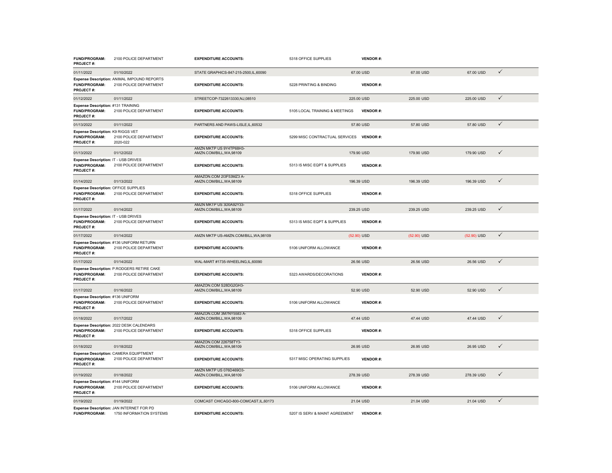| FUND/PROGRAM:<br>PROJECT#:                                             | 2100 POLICE DEPARTMENT                                                | <b>EXPENDITURE ACCOUNTS:</b>                        | 5318 OFFICE SUPPLIES           | <b>VENDOR#:</b> |             |             |              |
|------------------------------------------------------------------------|-----------------------------------------------------------------------|-----------------------------------------------------|--------------------------------|-----------------|-------------|-------------|--------------|
| 01/11/2022                                                             | 01/10/2022                                                            | STATE GRAPHICS-847-215-2500,IL,60090                |                                | 67.00 USD       | 67.00 USD   | 67.00 USD   | $\checkmark$ |
| <b>FUND/PROGRAM:</b><br>PROJECT#:                                      | Expense Description: ANIMAL IMPOUND REPORTS<br>2100 POLICE DEPARTMENT | <b>EXPENDITURE ACCOUNTS:</b>                        | 5228 PRINTING & BINDING        | <b>VENDOR#:</b> |             |             |              |
| 01/12/2022                                                             | 01/11/2022                                                            | STREETCOP-7322613330,NJ,08510                       |                                | 225.00 USD      | 225.00 USD  | 225.00 USD  | $\checkmark$ |
| Expense Description: #131 TRAINING<br>FUND/PROGRAM:<br>PROJECT#:       | 2100 POLICE DEPARTMENT                                                | <b>EXPENDITURE ACCOUNTS:</b>                        | 5105 LOCAL TRAINING & MEETINGS | <b>VENDOR#:</b> |             |             |              |
| 01/13/2022                                                             | 01/11/2022                                                            | PARTNERS AND PAWS-LISLE, IL, 60532                  |                                | 57.80 USD       | 57.80 USD   | 57.80 USD   | $\checkmark$ |
| Expense Description: K9 RIGGS VET<br>FUND/PROGRAM:<br>PROJECT#:        | 2100 POLICE DEPARTMENT<br>2020-022                                    | <b>EXPENDITURE ACCOUNTS:</b>                        | 5299 MISC CONTRACTUAL SERVICES | <b>VENDOR#:</b> |             |             |              |
| 01/13/2022                                                             | 01/12/2022                                                            | AMZN MKTP US 9Y4TP68H3-<br>AMZN.COM/BILL, WA, 98109 |                                | 179.90 USD      | 179.90 USD  | 179,90 USD  | $\checkmark$ |
| Expense Description: IT - USB DRIVES<br>FUND/PROGRAM:<br>PROJECT#:     | 2100 POLICE DEPARTMENT                                                | <b>EXPENDITURE ACCOUNTS:</b>                        | 5313 IS MISC EQPT & SUPPLIES   | <b>VENDOR#:</b> |             |             |              |
| 01/14/2022                                                             | 01/13/2022                                                            | AMAZON.COM 2I3F53MZ3 A-<br>AMZN.COM/BILL, WA, 98109 |                                | 196.39 USD      | 196.39 USD  | 196.39 USD  | $\checkmark$ |
| Expense Description: OFFICE SUPPLIES<br>FUND/PROGRAM:<br>PROJECT#:     | 2100 POLICE DEPARTMENT                                                | <b>EXPENDITURE ACCOUNTS:</b>                        | 5318 OFFICE SUPPLIES           | <b>VENDOR#:</b> |             |             |              |
| 01/17/2022                                                             | 01/14/2022                                                            | AMZN MKTP US 3D0A92Y33-<br>AMZN.COM/BILL, WA, 98109 |                                | 239.25 USD      | 239.25 USD  | 239.25 USD  | $\checkmark$ |
| Expense Description: IT - USB DRIVES<br>FUND/PROGRAM:<br>PROJECT#:     | 2100 POLICE DEPARTMENT                                                | <b>EXPENDITURE ACCOUNTS:</b>                        | 5313 IS MISC EQPT & SUPPLIES   | <b>VENDOR#:</b> |             |             |              |
| 01/17/2022                                                             | 01/14/2022                                                            | AMZN MKTP US-AMZN.COM/BILL, WA, 98109               |                                | $(52.90)$ USD   | (52.90) USD | (52.90) USD | $\checkmark$ |
| FUND/PROGRAM:<br>PROJECT#:                                             | Expense Description: #136 UNIFORM RETURN<br>2100 POLICE DEPARTMENT    | <b>EXPENDITURE ACCOUNTS:</b>                        | 5106 UNIFORM ALLOWANCE         | <b>VENDOR#:</b> |             |             |              |
| 01/17/2022                                                             | 01/14/2022                                                            | WAL-MART #1735-WHEELING,IL,60090                    |                                | 26.56 USD       | 26.56 USD   | 26.56 USD   | $\checkmark$ |
| FUND/PROGRAM:<br>PROJECT#:                                             | Expense Description: P.RODGERS RETIRE CAKE<br>2100 POLICE DEPARTMENT  | <b>EXPENDITURE ACCOUNTS:</b>                        | 5323 AWARDS/DECORATIONS        | <b>VENDOR#:</b> |             |             |              |
| 01/17/2022                                                             | 01/16/2022                                                            | AMAZON COM S28DG2GH3-<br>AMZN.COM/BILL, WA, 98109   |                                | 52.90 USD       | 52.90 USD   | 52,90 USD   | ✓            |
| Expense Description: #136 UNIFORM<br>FUND/PROGRAM:<br>PROJECT#:        | 2100 POLICE DEPARTMENT                                                | <b>EXPENDITURE ACCOUNTS:</b>                        | 5106 UNIFORM ALLOWANCE         | <b>VENDOR#:</b> |             |             |              |
| 01/18/2022                                                             | 01/17/2022                                                            | AMAZON.COM 3M7NY5583 A-<br>AMZN.COM/BILL, WA, 98109 |                                | 47.44 USD       | 47.44 USD   | 47.44 USD   | $\checkmark$ |
| FUND/PROGRAM:<br>PROJECT#:                                             | Expense Description: 2022 DESK CALENDARS<br>2100 POLICE DEPARTMENT    | <b>EXPENDITURE ACCOUNTS:</b>                        | 5318 OFFICE SUPPLIES           | <b>VENDOR#:</b> |             |             |              |
| 01/18/2022                                                             | 01/18/2022                                                            | AMAZON.COM 226758TY3-<br>AMZN.COM/BILL.WA.98109     |                                | 26.95 USD       | 26.95 USD   | 26.95 USD   | $\checkmark$ |
| FUND/PROGRAM:<br>PROJECT#:                                             | Expense Description: CAMERA EQUIPTMENT<br>2100 POLICE DEPARTMENT      | <b>EXPENDITURE ACCOUNTS:</b>                        | 5317 MISC OPERATING SUPPLIES   | <b>VENDOR#:</b> |             |             |              |
| 01/19/2022                                                             | 01/18/2022                                                            | AMZN MKTP US 076D469O3-<br>AMZN.COM/BILL, WA, 98109 |                                | 278.39 USD      | 278.39 USD  | 278.39 USD  | $\checkmark$ |
| Expense Description: #144 UNIFORM<br><b>FUND/PROGRAM:</b><br>PROJECT#: | 2100 POLICE DEPARTMENT                                                | <b>EXPENDITURE ACCOUNTS:</b>                        | 5106 UNIFORM ALLOWANCE         | <b>VENDOR#:</b> |             |             |              |
| 01/19/2022                                                             | 01/19/2022                                                            | COMCAST CHICAGO-800-COMCAST, IL, 60173              |                                | 21.04 USD       | 21.04 USD   | 21.04 USD   | $\checkmark$ |
| <b>FUND/PROGRAM:</b>                                                   | Expense Description: JAN INTERNET FOR PD<br>1750 INFORMATION SYSTEMS  | <b>EXPENDITURE ACCOUNTS:</b>                        | 5207 IS SERV & MAINT AGREEMENT | <b>VENDOR#:</b> |             |             |              |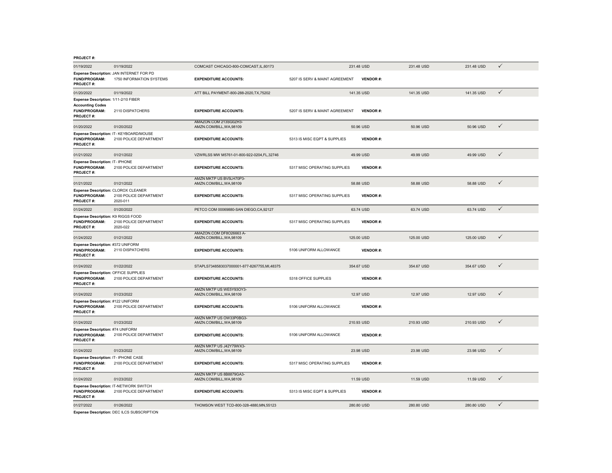| 01/19/2022                                                             | 01/19/2022                                                           | COMCAST CHICAGO-800-COMCAST,IL,60173                |                                | 231.48 USD      | 231.48 USD | 231.48 USD | ✓            |
|------------------------------------------------------------------------|----------------------------------------------------------------------|-----------------------------------------------------|--------------------------------|-----------------|------------|------------|--------------|
| FUND/PROGRAM:<br>PROJECT#:                                             | Expense Description: JAN INTERNET FOR PD<br>1750 INFORMATION SYSTEMS | <b>EXPENDITURE ACCOUNTS:</b>                        | 5207 IS SERV & MAINT AGREEMENT | <b>VENDOR#:</b> |            |            |              |
| 01/20/2022                                                             | 01/19/2022                                                           | ATT BILL PAYMENT-800-288-2020, TX, 75202            |                                | 141.35 USD      | 141.35 USD | 141.35 USD | $\checkmark$ |
| Expense Description: 1/11-2/10 FIBER<br><b>Accounting Codes</b>        |                                                                      |                                                     |                                |                 |            |            |              |
| FUND/PROGRAM:<br>PROJECT#:                                             | 2110 DISPATCHERS                                                     | <b>EXPENDITURE ACCOUNTS:</b>                        | 5207 IS SERV & MAINT AGREEMENT | <b>VENDOR#:</b> |            |            |              |
| 01/20/2022                                                             | 01/20/2022                                                           | AMAZON.COM 213SG0ZH3-<br>AMZN.COM/BILL, WA, 98109   |                                | 50.96 USD       | 50.96 USD  | 50.96 USD  | ✓            |
| FUND/PROGRAM:<br>PROJECT#:                                             | Expense Description: IT- KEYBOARD/MOUSE<br>2100 POLICE DEPARTMENT    | <b>EXPENDITURE ACCOUNTS:</b>                        | 5313 IS MISC EQPT & SUPPLIES   | <b>VENDOR#:</b> |            |            |              |
| 01/21/2022                                                             | 01/21/2022                                                           | VZWRLSS MW M5761-01-800-922-0204.FL.32746           |                                | 49.99 USD       | 49.99 USD  | 49.99 USD  | ✓            |
| Expense Description: IT- IPHONE<br>FUND/PROGRAM:<br>PROJECT#:          | 2100 POLICE DEPARTMENT                                               | <b>EXPENDITURE ACCOUNTS:</b>                        | 5317 MISC OPERATING SUPPLIES   | <b>VENDOR#:</b> |            |            |              |
| 01/21/2022                                                             | 01/21/2022                                                           | AMZN MKTP US BV5LH70P3-<br>AMZN.COM/BILL, WA, 98109 |                                | 58.88 USD       | 58.88 USD  | 58.88 USD  | $\checkmark$ |
| Expense Description: CLOROX CLEANER<br>FUND/PROGRAM:<br>PROJECT#:      | 2100 POLICE DEPARTMENT<br>2020-011                                   | <b>EXPENDITURE ACCOUNTS:</b>                        | 5317 MISC OPERATING SUPPLIES   | <b>VENDOR#:</b> |            |            |              |
| 01/24/2022                                                             | 01/20/2022                                                           | PETCO COM 00069880-SAN DIEGO.CA.92127               |                                | 63.74 USD       | 63.74 USD  | 63.74 USD  | $\checkmark$ |
| Expense Description: K9 RIGGS FOOD<br>FUND/PROGRAM:<br>PROJECT#:       | 2100 POLICE DEPARTMENT<br>2020-022                                   | <b>EXPENDITURE ACCOUNTS:</b>                        | 5317 MISC OPERATING SUPPLIES   | <b>VENDOR#:</b> |            |            |              |
| 01/24/2022                                                             | 01/21/2022                                                           | AMAZON.COM DF8O26663 A-<br>AMZN.COM/BILL, WA, 98109 |                                | 125.00 USD      | 125,00 USD | 125,00 USD | $\checkmark$ |
| Expense Description: #372 UNIFORM<br><b>FUND/PROGRAM:</b><br>PROJECT#: | 2110 DISPATCHERS                                                     | <b>EXPENDITURE ACCOUNTS:</b>                        | 5106 UNIFORM ALLOWANCE         | <b>VENDOR#:</b> |            |            |              |
| 01/24/2022                                                             | 01/22/2022                                                           | STAPLS7348583037000001-877-8267755,MI,48375         |                                | 354.67 USD      | 354.67 USD | 354.67 USD | ✓            |
| Expense Description: OFFICE SUPPLIES<br>FUND/PROGRAM:<br>PROJECT#:     | 2100 POLICE DEPARTMENT                                               | <b>EXPENDITURE ACCOUNTS:</b>                        | 5318 OFFICE SUPPLIES           | <b>VENDOR#:</b> |            |            |              |
| 01/24/2022                                                             | 01/23/2022                                                           | AMZN MKTP US WE5Y93OY3-<br>AMZN.COM/BILL, WA, 98109 |                                | 12.97 USD       | 12.97 USD  | 12.97 USD  | $\checkmark$ |
| Expense Description: #122 UNIFORM<br>FUND/PROGRAM:<br>PROJECT#:        | 2100 POLICE DEPARTMENT                                               | <b>EXPENDITURE ACCOUNTS:</b>                        | 5106 UNIFORM ALLOWANCE         | <b>VENDOR#:</b> |            |            |              |
| 01/24/2022                                                             | 01/23/2022                                                           | AMZN MKTP US OW33P0BG3-<br>AMZN.COM/BILL, WA, 98109 |                                | 210.93 USD      | 210.93 USD | 210.93 USD | ✓            |
| Expense Description: #74 UNIFORM<br>FUND/PROGRAM:<br>PROJECT#:         | 2100 POLICE DEPARTMENT                                               | <b>EXPENDITURE ACCOUNTS:</b>                        | 5106 UNIFORM ALLOWANCE         | <b>VENDOR#:</b> |            |            |              |
| 01/24/2022                                                             | 01/23/2022                                                           | AMZN MKTP US J42Y79WX3-<br>AMZN.COM/BILL, WA, 98109 |                                | 23.98 USD       | 23.98 USD  | 23.98 USD  | ✓            |
| Expense Description: IT- IPHONE CASE<br>FUND/PROGRAM:<br>PROJECT#:     | 2100 POLICE DEPARTMENT                                               | <b>EXPENDITURE ACCOUNTS:</b>                        | 5317 MISC OPERATING SUPPLIES   | <b>VENDOR#:</b> |            |            |              |
| 01/24/2022                                                             | 01/23/2022                                                           | AMZN MKTP US 8B8879GA3-<br>AMZN.COM/BILL, WA, 98109 |                                | 11.59 USD       | 11.59 USD  | 11.59 USD  | $\checkmark$ |
| FUND/PROGRAM:<br>PROJECT#:                                             | Expense Description: IT-NETWORK SWITCH<br>2100 POLICE DEPARTMENT     | <b>EXPENDITURE ACCOUNTS:</b>                        | 5313 IS MISC EQPT & SUPPLIES   | <b>VENDOR#:</b> |            |            |              |
| 01/27/2022                                                             | 01/26/2022                                                           | THOMSON WEST TCD-800-328-4880.MN.55123              |                                | 280.80 USD      | 280,80 USD | 280,80 USD | ✓            |
|                                                                        | $n - n$ $n - n$                                                      |                                                     |                                |                 |            |            |              |

**Expense Description:** DEC ILCS SUBSCRIPTION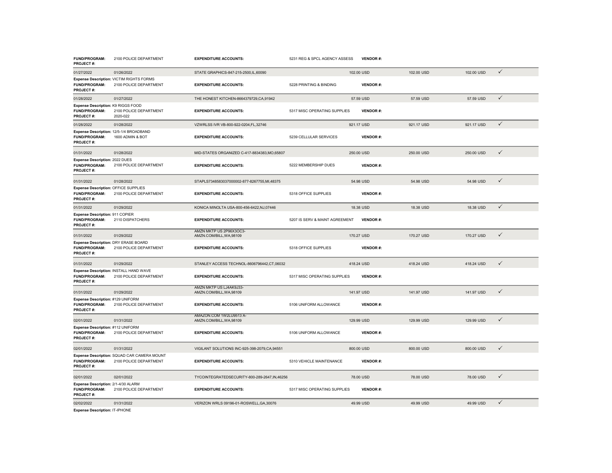| FUND/PROGRAM:<br>PROJECT#:                                                | 2100 POLICE DEPARTMENT                                                | <b>EXPENDITURE ACCOUNTS:</b>                        | 5231 REG & SPCL AGENCY ASSESS  | <b>VENDOR#:</b> |            |            |              |
|---------------------------------------------------------------------------|-----------------------------------------------------------------------|-----------------------------------------------------|--------------------------------|-----------------|------------|------------|--------------|
| 01/27/2022                                                                | 01/26/2022                                                            | STATE GRAPHICS-847-215-2500, IL, 60090              |                                | 102.00 USD      | 102.00 USD | 102.00 USD | $\checkmark$ |
| FUND/PROGRAM:<br>PROJECT#:                                                | Expense Description: VICTIM RIGHTS FORMS<br>2100 POLICE DEPARTMENT    | <b>EXPENDITURE ACCOUNTS:</b>                        | 5228 PRINTING & BINDING        | <b>VENDOR#:</b> |            |            |              |
| 01/28/2022                                                                | 01/27/2022                                                            | THE HONEST KITCHEN-8664379729, CA, 91942            |                                | 57.59 USD       | 57.59 USD  | 57.59 USD  | $\checkmark$ |
| Expense Description: K9 RIGGS FOOD<br>FUND/PROGRAM:<br>PROJECT#:          | 2100 POLICE DEPARTMENT<br>2020-022                                    | <b>EXPENDITURE ACCOUNTS:</b>                        | 5317 MISC OPERATING SUPPLIES   | <b>VENDOR#:</b> |            |            |              |
| 01/28/2022                                                                | 01/28/2022                                                            | VZWRLSS IVR VB-800-922-0204,FL,32746                |                                | 921.17 USD      | 921.17 USD | 921.17 USD | ✓            |
| FUND/PROGRAM:<br><b>PROJECT#:</b>                                         | Expense Description: 12/5-1/4 BROADBAND<br>1600 ADMIN & BOT           | <b>EXPENDITURE ACCOUNTS:</b>                        | 5239 CELLULAR SERVICES         | <b>VENDOR#:</b> |            |            |              |
| 01/31/2022                                                                | 01/28/2022                                                            | MID-STATES ORGANIZED C-417-8834383, MO, 65807       |                                | 250.00 USD      | 250.00 USD | 250.00 USD | $\checkmark$ |
| <b>Expense Description: 2022 DUES</b><br>FUND/PROGRAM:<br>PROJECT#:       | 2100 POLICE DEPARTMENT                                                | <b>EXPENDITURE ACCOUNTS:</b>                        | 5222 MEMBERSHIP DUES           | <b>VENDOR#:</b> |            |            |              |
| 01/31/2022                                                                | 01/28/2022                                                            | STAPLS7348583037000002-877-8267755,MI,48375         |                                | 54.98 USD       | 54.98 USD  | 54.98 USD  | $\checkmark$ |
| Expense Description: OFFICE SUPPLIES<br>FUND/PROGRAM:<br><b>PROJECT#:</b> | 2100 POLICE DEPARTMENT                                                | <b>EXPENDITURE ACCOUNTS:</b>                        | 5318 OFFICE SUPPLIES           | <b>VENDOR#:</b> |            |            |              |
| 01/31/2022                                                                | 01/29/2022                                                            | KONICA MINOLTA USA-800-456-6422, NJ, 07446          |                                | 18.38 USD       | 18.38 USD  | 18.38 USD  | $\checkmark$ |
| Expense Description: 911 COPIER<br>FUND/PROGRAM:<br>PROJECT#:             | 2110 DISPATCHERS                                                      | <b>EXPENDITURE ACCOUNTS:</b>                        | 5207 IS SERV & MAINT AGREEMENT | <b>VENDOR#:</b> |            |            |              |
| 01/31/2022                                                                | 01/29/2022                                                            | AMZN MKTP US 2P96X3OC3-<br>AMZN.COM/BILL, WA, 98109 |                                | 170.27 USD      | 170.27 USD | 170.27 USD | $\checkmark$ |
| Expense Description: DRY ERASE BOARD<br>FUND/PROGRAM:<br>PROJECT#:        | 2100 POLICE DEPARTMENT                                                | <b>EXPENDITURE ACCOUNTS:</b>                        | 5318 OFFICE SUPPLIES           | <b>VENDOR#:</b> |            |            |              |
| 01/31/2022                                                                | 01/29/2022                                                            | STANLEY ACCESS TECHNOL-8606796442,CT,06032          |                                | 418.24 USD      | 418.24 USD | 418.24 USD | $\checkmark$ |
| FUND/PROGRAM:<br><b>PROJECT#:</b>                                         | Expense Description: INSTALL HAND WAVE<br>2100 POLICE DEPARTMENT      | <b>EXPENDITURE ACCOUNTS:</b>                        | 5317 MISC OPERATING SUPPLIES   | <b>VENDOR#:</b> |            |            |              |
| 01/31/2022                                                                | 01/29/2022                                                            | AMZN MKTP US LJ4AK9J33-<br>AMZN.COM/BILL, WA, 98109 |                                | 141.97 USD      | 141.97 USD | 141.97 USD | $\checkmark$ |
| Expense Description: #129 UNIFORM<br>FUND/PROGRAM:<br>PROJECT#:           | 2100 POLICE DEPARTMENT                                                | <b>EXPENDITURE ACCOUNTS:</b>                        | 5106 UNIFORM ALLOWANCE         | <b>VENDOR#:</b> |            |            |              |
| 02/01/2022                                                                | 01/31/2022                                                            | AMAZON.COM 1W2LU9513 A-<br>AMZN.COM/BILL,WA,98109   |                                | 129.99 USD      | 129.99 USD | 129.99 USD | $\checkmark$ |
| Expense Description: #112 UNIFORM<br>FUND/PROGRAM:<br>PROJECT#:           | 2100 POLICE DEPARTMENT                                                | <b>EXPENDITURE ACCOUNTS:</b>                        | 5106 UNIFORM ALLOWANCE         | <b>VENDOR#:</b> |            |            |              |
| 02/01/2022                                                                | 01/31/2022                                                            | VIGILANT SOLUTIONS INC-925-398-2079,CA,94551        |                                | 800.00 USD      | 800.00 USD | 800.00 USD | $\checkmark$ |
| FUND/PROGRAM:<br>PROJECT#:                                                | Expense Description: SQUAD CAR CAMERA MOUNT<br>2100 POLICE DEPARTMENT | <b>EXPENDITURE ACCOUNTS:</b>                        | 5310 VEHICLE MAINTENANCE       | <b>VENDOR#:</b> |            |            |              |
| 02/01/2022                                                                | 02/01/2022                                                            | TYCOINTEGRATEDSECURITY-800-289-2647, IN, 46256      |                                | 78.00 USD       | 78,00 USD  | 78.00 USD  | $\checkmark$ |
| Expense Description: 2/1-4/30 ALARM<br>FUND/PROGRAM:<br><b>PROJECT#:</b>  | 2100 POLICE DEPARTMENT                                                | <b>EXPENDITURE ACCOUNTS:</b>                        | 5317 MISC OPERATING SUPPLIES   | <b>VENDOR#:</b> |            |            |              |
| 02/02/2022                                                                | 01/31/2022                                                            | VERIZON WRLS 09196-01-ROSWELL, GA, 30076            |                                | 49.99 USD       | 49.99 USD  | 49.99 USD  | $\checkmark$ |
| <b>Expense Description: IT-IPHONE</b>                                     |                                                                       |                                                     |                                |                 |            |            |              |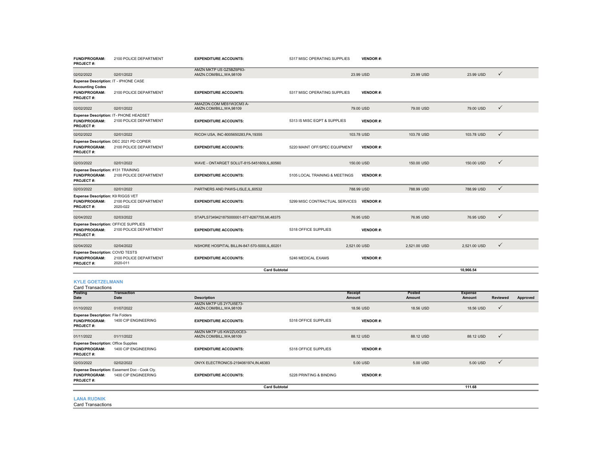| FUND/PROGRAM:<br>PROJECT#:                                                                     | 2100 POLICE DEPARTMENT                                                | <b>EXPENDITURE ACCOUNTS:</b>                        | 5317 MISC OPERATING SUPPLIES             | <b>VENDOR#:</b> |              |                |                 |          |
|------------------------------------------------------------------------------------------------|-----------------------------------------------------------------------|-----------------------------------------------------|------------------------------------------|-----------------|--------------|----------------|-----------------|----------|
| 02/02/2022                                                                                     | 02/01/2022                                                            | AMZN MKTP US GZ5BZ6P83-<br>AMZN.COM/BILL, WA, 98109 |                                          | 23.99 USD       | 23.99 USD    | 23.99 USD      | $\checkmark$    |          |
| Expense Description: IT - IPHONE CASE<br><b>Accounting Codes</b><br>FUND/PROGRAM:<br>PROJECT#: | 2100 POLICE DEPARTMENT                                                | <b>EXPENDITURE ACCOUNTS:</b>                        | 5317 MISC OPERATING SUPPLIES             | <b>VENDOR#:</b> |              |                |                 |          |
| 02/02/2022                                                                                     | 02/01/2022                                                            | AMAZON.COM ME61W2CM3 A-<br>AMZN.COM/BILL, WA, 98109 |                                          | 79.00 USD       | 79.00 USD    | 79.00 USD      | $\checkmark$    |          |
| FUND/PROGRAM:<br>PROJECT#:                                                                     | Expense Description: IT- PHONE HEADSET<br>2100 POLICE DEPARTMENT      | <b>EXPENDITURE ACCOUNTS:</b>                        | 5313 IS MISC EQPT & SUPPLIES             | <b>VENDOR#:</b> |              |                |                 |          |
| 02/02/2022                                                                                     | 02/01/2022                                                            | RICOH USA, INC-8005650283, PA, 19355                |                                          | 103.78 USD      | 103.78 USD   | 103.78 USD     | $\checkmark$    |          |
| <b>FUND/PROGRAM:</b><br>PROJECT#:                                                              | Expense Description: DEC 2021 PD COPIER<br>2100 POLICE DEPARTMENT     | <b>EXPENDITURE ACCOUNTS:</b>                        | 5220 MAINT OFF/SPEC EQUIPMENT            | <b>VENDOR#:</b> |              |                |                 |          |
| 02/03/2022                                                                                     | 02/01/2022                                                            | WAVE - ONTARGET SOLUT-815-5451609,IL,60560          |                                          | 150.00 USD      | 150.00 USD   | 150.00 USD     | $\checkmark$    |          |
| Expense Description: #131 TRAINING<br>FUND/PROGRAM:<br>PROJECT#:                               | 2100 POLICE DEPARTMENT                                                | <b>EXPENDITURE ACCOUNTS:</b>                        | 5105 LOCAL TRAINING & MEETINGS           | <b>VENDOR#:</b> |              |                |                 |          |
| 02/03/2022                                                                                     | 02/01/2022                                                            | PARTNERS AND PAWS-LISLE, IL, 60532                  |                                          | 788.99 USD      | 788.99 USD   | 788.99 USD     | $\checkmark$    |          |
| Expense Description: K9 RIGGS VET<br>FUND/PROGRAM:<br>PROJECT#:                                | 2100 POLICE DEPARTMENT<br>2020-022                                    | <b>EXPENDITURE ACCOUNTS:</b>                        | 5299 MISC CONTRACTUAL SERVICES VENDOR #: |                 |              |                |                 |          |
| 02/04/2022                                                                                     | 02/03/2022                                                            | STAPLS7349421875000001-877-8267755.MI.48375         |                                          | 76.95 USD       | 76.95 USD    | 76.95 USD      | $\checkmark$    |          |
| Expense Description: OFFICE SUPPLIES<br>FUND/PROGRAM:<br>PROJECT#:                             | 2100 POLICE DEPARTMENT                                                | <b>EXPENDITURE ACCOUNTS:</b>                        | 5318 OFFICE SUPPLIES                     | <b>VENDOR#:</b> |              |                |                 |          |
| 02/04/2022                                                                                     | 02/04/2022                                                            | NSHORE HOSPITAL BILLIN-847-570-5000,IL,60201        |                                          | 2,521.00 USD    | 2,521.00 USD | 2,521.00 USD   | $\checkmark$    |          |
| Expense Description: COVID TESTS<br>FUND/PROGRAM:<br>PROJECT#:                                 | 2100 POLICE DEPARTMENT<br>2020-011                                    | <b>EXPENDITURE ACCOUNTS:</b>                        | 5246 MEDICAL EXAMS                       | <b>VENDOR#:</b> |              |                |                 |          |
|                                                                                                |                                                                       | <b>Card Subtotal</b>                                |                                          |                 |              | 10,966.54      |                 |          |
| <b>KYLE GOETZELMANN</b><br><b>Card Transactions</b><br>Posting                                 | <b>Transaction</b>                                                    |                                                     |                                          | Receipt         | Posted       | <b>Expense</b> |                 |          |
| Date                                                                                           | Date                                                                  | <b>Description</b>                                  |                                          | Amount          | Amount       | Amount         | <b>Reviewed</b> | Approved |
| 01/10/2022                                                                                     | 01/07/2022                                                            | AMZN MKTP US 2Y7UI5E73-<br>AMZN.COM/BILL, WA, 98109 |                                          | 18.56 USD       | 18.56 USD    | 18.56 USD      | ✓               |          |
| <b>Expense Description: File Folders</b><br>FUND/PROGRAM:<br>PROJECT#:                         | 1400 CIP ENGINEERING                                                  | <b>EXPENDITURE ACCOUNTS:</b>                        | 5318 OFFICE SUPPLIES                     | <b>VENDOR#:</b> |              |                |                 |          |
| 01/11/2022                                                                                     | 01/11/2022                                                            | AMZN MKTP US KW2ZU0CE3-<br>AMZN.COM/BILL, WA, 98109 |                                          | 88.12 USD       | 88.12 USD    | 88.12 USD      | $\checkmark$    |          |
| <b>Expense Description: Office Supplies</b><br>FUND/PROGRAM:<br>PROJECT#:                      | 1400 CIP ENGINEERING                                                  | <b>EXPENDITURE ACCOUNTS:</b>                        | 5318 OFFICE SUPPLIES                     | <b>VENDOR#:</b> |              |                |                 |          |
| 02/03/2022                                                                                     | 02/02/2022                                                            | ONYX ELECTRONICS-2194061974, IN, 46383              |                                          | 5.00 USD        | 5.00 USD     | 5.00 USD       | $\checkmark$    |          |
| FUND/PROGRAM:<br>PROJECT#:                                                                     | Expense Description: Easement Doc - Cook Cty.<br>1400 CIP ENGINEERING | <b>EXPENDITURE ACCOUNTS:</b>                        | 5228 PRINTING & BINDING                  | <b>VENDOR#:</b> |              |                |                 |          |
|                                                                                                |                                                                       | <b>Card Subtotal</b>                                |                                          |                 |              | 111.68         |                 |          |
| <b>LANA RUDNIK</b><br><b>Card Transactions</b>                                                 |                                                                       |                                                     |                                          |                 |              |                |                 |          |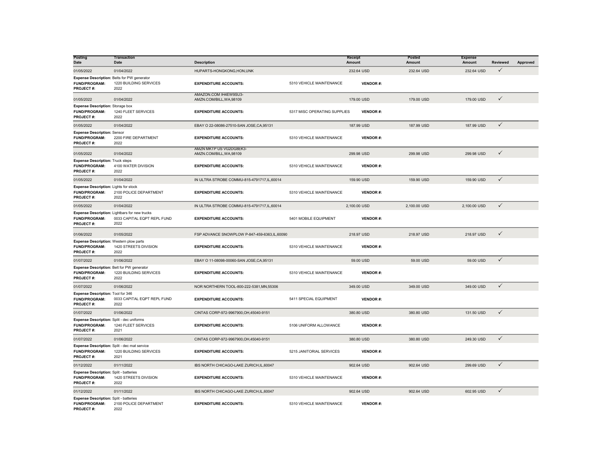| <b>Posting</b><br><b>Date</b>                                                            | <b>Transaction</b><br>Date                                                           | <b>Description</b>                                  |                              | Receipt<br>Amount | Posted<br>Amount | <b>Expense</b><br>Amount | <b>Reviewed</b> | Approved |
|------------------------------------------------------------------------------------------|--------------------------------------------------------------------------------------|-----------------------------------------------------|------------------------------|-------------------|------------------|--------------------------|-----------------|----------|
| 01/05/2022                                                                               | 01/04/2022                                                                           | HUPARTS-HONGKONG, HON, UNK                          |                              | 232.64 USD        | 232.64 USD       | 232.64 USD               | $\checkmark$    |          |
| Expense Description: Belts for PW generator<br>FUND/PROGRAM:<br>PROJECT#:                | 1220 BUILDING SERVICES<br>2022                                                       | <b>EXPENDITURE ACCOUNTS:</b>                        | 5310 VEHICLE MAINTENANCE     | <b>VENDOR#:</b>   |                  |                          |                 |          |
| 01/05/2022                                                                               | 01/04/2022                                                                           | AMAZON.COM IH4EW9SU3-<br>AMZN.COM/BILL, WA, 98109   |                              | 179.00 USD        | 179.00 USD       | 179.00 USD               | $\checkmark$    |          |
| <b>Expense Description: Storage box</b><br>FUND/PROGRAM:<br>PROJECT#:                    | 1240 FLEET SERVICES<br>2022                                                          | <b>EXPENDITURE ACCOUNTS:</b>                        | 5317 MISC OPERATING SUPPLIES | <b>VENDOR#:</b>   |                  |                          |                 |          |
| 01/05/2022                                                                               | 01/04/2022                                                                           | EBAY O 22-08086-27510-SAN JOSE, CA, 95131           |                              | 187.99 USD        | 187.99 USD       | 187.99 USD               | $\checkmark$    |          |
| <b>Expense Description: Sensor</b><br>FUND/PROGRAM:<br>PROJECT#:                         | 2200 FIRE DEPARTMENT<br>2022                                                         | <b>EXPENDITURE ACCOUNTS:</b>                        | 5310 VEHICLE MAINTENANCE     | <b>VENDOR#:</b>   |                  |                          |                 |          |
| 01/05/2022                                                                               | 01/04/2022                                                                           | AMZN MKTP US VG2DG8EK3-<br>AMZN.COM/BILL, WA, 98109 |                              | 299.98 USD        | 299.98 USD       | 299.98 USD               | $\checkmark$    |          |
| <b>Expense Description: Truck steps</b><br>FUND/PROGRAM:<br>PROJECT#:                    | 4100 WATER DIVISION<br>2022                                                          | <b>EXPENDITURE ACCOUNTS:</b>                        | 5310 VEHICLE MAINTENANCE     | <b>VENDOR#:</b>   |                  |                          |                 |          |
| 01/05/2022                                                                               | 01/04/2022                                                                           | IN ULTRA STROBE COMMU-815-4791717, IL, 60014        |                              | 159.90 USD        | 159.90 USD       | 159.90 USD               | $\checkmark$    |          |
| Expense Description: Lights for stock<br><b>FUND/PROGRAM:</b><br>PROJECT#:               | 2100 POLICE DEPARTMENT<br>2022                                                       | <b>EXPENDITURE ACCOUNTS:</b>                        | 5310 VEHICLE MAINTENANCE     | <b>VENDOR#:</b>   |                  |                          |                 |          |
| 01/05/2022                                                                               | 01/04/2022                                                                           | IN ULTRA STROBE COMMU-815-4791717.IL.60014          |                              | 2.100.00 USD      | 2.100.00 USD     | 2.100.00 USD             | $\checkmark$    |          |
| FUND/PROGRAM:<br>PROJECT#:                                                               | Expense Description: Lightbars for new trucks<br>0033 CAPITAL EQPT REPL FUND<br>2022 | <b>EXPENDITURE ACCOUNTS:</b>                        | 5401 MOBILE EQUIPMENT        | <b>VENDOR#:</b>   |                  |                          |                 |          |
| 01/06/2022                                                                               | 01/05/2022                                                                           | FSP ADVANCE SNOWPLOW P-847-459-6363,IL,60090        |                              | 218.97 USD        | 218.97 USD       | 218.97 USD               | $\checkmark$    |          |
| Expense Description: Western plow parts<br>FUND/PROGRAM:<br>PROJECT#:                    | 1420 STREETS DIVISION<br>2022                                                        | <b>EXPENDITURE ACCOUNTS:</b>                        | 5310 VEHICLE MAINTENANCE     | <b>VENDOR#:</b>   |                  |                          |                 |          |
| 01/07/2022                                                                               | 01/06/2022                                                                           | EBAY O 11-08098-00060-SAN JOSE, CA, 95131           |                              | 59.00 USD         | 59.00 USD        | 59.00 USD                | $\checkmark$    |          |
| Expense Description: Belt for PW generator<br>FUND/PROGRAM:<br>PROJECT#:                 | 1220 BUILDING SERVICES<br>2022                                                       | <b>EXPENDITURE ACCOUNTS:</b>                        | 5310 VEHICLE MAINTENANCE     | <b>VENDOR#:</b>   |                  |                          |                 |          |
| 01/07/2022                                                                               | 01/06/2022                                                                           | NOR NORTHERN TOOL-800-222-5381, MN, 55306           |                              | 349.00 USD        | 349.00 USD       | 349.00 USD               | $\checkmark$    |          |
| Expense Description: Tool for 346<br><b>FUND/PROGRAM:</b><br>PROJECT#:                   | 0033 CAPITAL EQPT REPL FUND<br>2022                                                  | <b>EXPENDITURE ACCOUNTS:</b>                        | 5411 SPECIAL EQUIPMENT       | <b>VENDOR#:</b>   |                  |                          |                 |          |
| 01/07/2022                                                                               | 01/06/2022                                                                           | CINTAS CORP-972-9967900.OH.45040-9151               |                              | 380.80 USD        | 380,80 USD       | 131,50 USD               | $\checkmark$    |          |
| Expense Description: Split - dec uniforms<br><b>FUND/PROGRAM:</b><br>PROJECT#:           | 1240 FLEET SERVICES<br>2021                                                          | <b>EXPENDITURE ACCOUNTS:</b>                        | 5106 UNIFORM ALLOWANCE       | <b>VENDOR#:</b>   |                  |                          |                 |          |
| 01/07/2022                                                                               | 01/06/2022                                                                           | CINTAS CORP-972-9967900, OH, 45040-9151             |                              | 380.80 USD        | 380.80 USD       | 249.30 USD               | $\checkmark$    |          |
| Expense Description: Split - dec mat service<br><b>FUND/PROGRAM:</b><br><b>PROJECT#:</b> | 1220 BUILDING SERVICES<br>2021                                                       | <b>EXPENDITURE ACCOUNTS:</b>                        | 5215 JANITORIAL SERVICES     | <b>VENDOR#:</b>   |                  |                          |                 |          |
| 01/12/2022                                                                               | 01/11/2022                                                                           | IBS NORTH CHICAGO-LAKE ZURICH, IL, 60047            |                              | 902.64 USD        | 902.64 USD       | 299.69 USD               | $\checkmark$    |          |
| Expense Description: Split - batteries<br><b>FUND/PROGRAM:</b><br>PROJECT#:              | 1420 STREETS DIVISION<br>2022                                                        | <b>EXPENDITURE ACCOUNTS:</b>                        | 5310 VEHICLE MAINTENANCE     | <b>VENDOR#:</b>   |                  |                          |                 |          |
| 01/12/2022                                                                               | 01/11/2022                                                                           | IBS NORTH CHICAGO-LAKE ZURICH, IL, 60047            |                              | 902.64 USD        | 902.64 USD       | 602.95 USD               | $\checkmark$    |          |
| <b>Expense Description: Split - batteries</b><br><b>FUND/PROGRAM:</b><br>PROJECT#:       | 2100 POLICE DEPARTMENT<br>2022                                                       | <b>EXPENDITURE ACCOUNTS:</b>                        | 5310 VEHICLE MAINTENANCE     | <b>VENDOR#:</b>   |                  |                          |                 |          |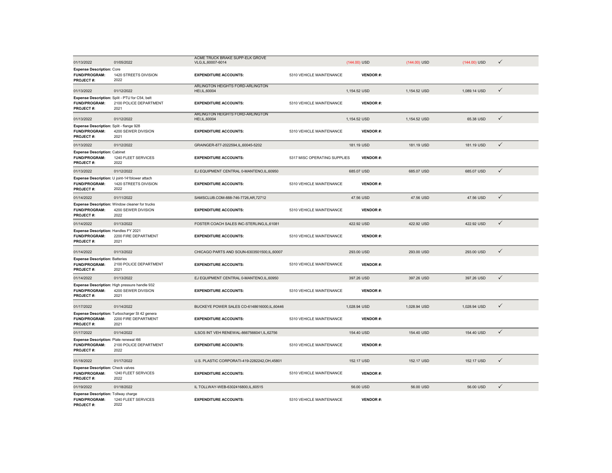| 01/13/2022                                                                       | 01/05/2022                                                                       | ACME TRUCK BRAKE SUPP-ELK GROVE<br>VLG,IL,60007-6014 |                              | (144.00) USD    | $(144.00)$ USD | $(144.00)$ USD | $\checkmark$ |
|----------------------------------------------------------------------------------|----------------------------------------------------------------------------------|------------------------------------------------------|------------------------------|-----------------|----------------|----------------|--------------|
| <b>Expense Description: Core</b>                                                 |                                                                                  |                                                      |                              |                 |                |                |              |
| <b>FUND/PROGRAM:</b><br>PROJECT#:                                                | 1420 STREETS DIVISION<br>2022                                                    | <b>EXPENDITURE ACCOUNTS:</b>                         | 5310 VEHICLE MAINTENANCE     | <b>VENDOR#:</b> |                |                |              |
| 01/13/2022                                                                       | 01/12/2022                                                                       | ARLINGTON HEIGHTS FORD-ARLINGTON<br>HEI, IL, 60004   |                              | 1,154.52 USD    | 1,154.52 USD   | 1,089.14 USD   | $\checkmark$ |
| <b>FUND/PROGRAM:</b><br>PROJECT#:                                                | Expense Description: Split - PTU for C54, belt<br>2100 POLICE DEPARTMENT<br>2021 | <b>EXPENDITURE ACCOUNTS:</b>                         | 5310 VEHICLE MAINTENANCE     | <b>VENDOR#:</b> |                |                |              |
| 01/13/2022                                                                       | 01/12/2022                                                                       | ARLINGTON HEIGHTS FORD-ARLINGTON<br>HEI, IL, 60004   |                              | 1,154.52 USD    | 1,154.52 USD   | 65.38 USD      | $\checkmark$ |
| Expense Description: Split - flange 928<br>FUND/PROGRAM:<br>PROJECT#:            | 4200 SEWER DIVISION<br>2021                                                      | <b>EXPENDITURE ACCOUNTS:</b>                         | 5310 VEHICLE MAINTENANCE     | <b>VENDOR#:</b> |                |                |              |
| 01/13/2022                                                                       | 01/12/2022                                                                       | GRAINGER-877-2022594,IL,60045-5202                   |                              | 181.19 USD      | 181.19 USD     | 181.19 USD     | $\checkmark$ |
| <b>Expense Description: Cabinet</b><br><b>FUND/PROGRAM:</b><br>PROJECT#:         | 1240 FLEET SERVICES<br>2022                                                      | <b>EXPENDITURE ACCOUNTS:</b>                         | 5317 MISC OPERATING SUPPLIES | <b>VENDOR#:</b> |                |                |              |
| 01/13/2022                                                                       | 01/12/2022                                                                       | EJ EQUIPMENT CENTRAL 0-MANTENO,IL,60950              |                              | 685.07 USD      | 685.07 USD     | 685.07 USD     | ✓            |
| FUND/PROGRAM:<br><b>PROJECT#:</b>                                                | Expense Description: U joint-141blower attach<br>1420 STREETS DIVISION<br>2022   | <b>EXPENDITURE ACCOUNTS:</b>                         | 5310 VEHICLE MAINTENANCE     | <b>VENDOR#:</b> |                |                |              |
| 01/14/2022                                                                       | 01/11/2022                                                                       | SAMSCLUB.COM-888-746-7726,AR,72712                   |                              | 47.56 USD       | 47.56 USD      | 47.56 USD      | $\checkmark$ |
| <b>FUND/PROGRAM:</b><br>PROJECT#:                                                | Expense Description: Window cleaner for trucks<br>4200 SEWER DIVISION<br>2022    | <b>EXPENDITURE ACCOUNTS:</b>                         | 5310 VEHICLE MAINTENANCE     | <b>VENDOR#:</b> |                |                |              |
| 01/14/2022                                                                       | 01/13/2022                                                                       | FOSTER COACH SALES INC-STERLING, IL, 61081           |                              | 422.92 USD      | 422.92 USD     | 422.92 USD     | $\checkmark$ |
| Expense Description: Handles FY 2021<br><b>FUND/PROGRAM:</b><br><b>PROJECT#:</b> | 2200 FIRE DEPARTMENT<br>2021                                                     | <b>EXPENDITURE ACCOUNTS:</b>                         | 5310 VEHICLE MAINTENANCE     | <b>VENDOR#:</b> |                |                |              |
| 01/14/2022                                                                       | 01/13/2022                                                                       | CHICAGO PARTS AND SOUN-6303501500.IL.60007           |                              | 293.00 USD      | 293,00 USD     | 293.00 USD     | $\checkmark$ |
| <b>Expense Description: Batteries</b><br>FUND/PROGRAM:<br>PROJECT#:              | 2100 POLICE DEPARTMENT<br>2021                                                   | <b>EXPENDITURE ACCOUNTS:</b>                         | 5310 VEHICLE MAINTENANCE     | <b>VENDOR#:</b> |                |                |              |
| 01/14/2022                                                                       | 01/13/2022                                                                       | EJ EQUIPMENT CENTRAL 0-MANTENO,IL,60950              |                              | 397.26 USD      | 397.26 USD     | 397.26 USD     | $\checkmark$ |
| FUND/PROGRAM:<br>PROJECT#:                                                       | Expense Description: High pressure handle 932<br>4200 SEWER DIVISION<br>2021     | <b>EXPENDITURE ACCOUNTS:</b>                         | 5310 VEHICLE MAINTENANCE     | <b>VENDOR#:</b> |                |                |              |
| 01/17/2022                                                                       | 01/14/2022                                                                       | BUCKEYE POWER SALES CO-6148616000,IL,60446           |                              | 1,028.94 USD    | 1,028.94 USD   | 1,028.94 USD   | $\checkmark$ |
| FUND/PROGRAM:<br>PROJECT#:                                                       | Expense Description: Turbocharger St 42 genera<br>2200 FIRE DEPARTMENT<br>2021   | <b>EXPENDITURE ACCOUNTS:</b>                         | 5310 VEHICLE MAINTENANCE     | <b>VENDOR#:</b> |                |                |              |
| 01/17/2022                                                                       | 01/14/2022                                                                       | ILSOS INT VEH RENEWAL-8667566041,IL,62756            |                              | 154.40 USD      | 154.40 USD     | 154.40 USD     | $\checkmark$ |
| Expense Description: Plate renewal I66<br>FUND/PROGRAM:<br>PROJECT#:             | 2100 POLICE DEPARTMENT<br>2022                                                   | <b>EXPENDITURE ACCOUNTS:</b>                         | 5310 VEHICLE MAINTENANCE     | <b>VENDOR#:</b> |                |                |              |
| 01/18/2022                                                                       | 01/17/2022                                                                       | U.S. PLASTIC CORPORATI-419-2282242, OH, 45801        |                              | 152.17 USD      | 152.17 USD     | 152.17 USD     | ✓            |
| <b>Expense Description: Check valves</b><br>FUND/PROGRAM:<br>PROJECT#:           | 1240 FLEET SERVICES<br>2022                                                      | <b>EXPENDITURE ACCOUNTS:</b>                         | 5310 VEHICLE MAINTENANCE     | <b>VENDOR#:</b> |                |                |              |
| 01/19/2022                                                                       | 01/18/2022                                                                       | IL TOLLWAY-WEB-6302416800,IL,60515                   |                              | 56.00 USD       | 56.00 USD      | 56.00 USD      | $\checkmark$ |
| Expense Description: Tollway charge<br><b>FUND/PROGRAM:</b><br>PROJECT#:         | 1240 FLEET SERVICES<br>2022                                                      | <b>EXPENDITURE ACCOUNTS:</b>                         | 5310 VEHICLE MAINTENANCE     | <b>VENDOR#:</b> |                |                |              |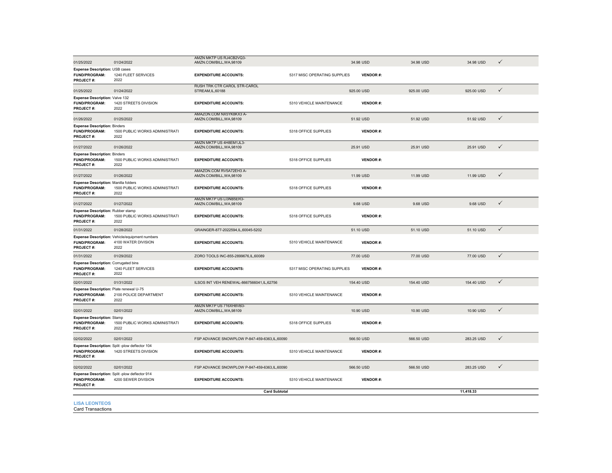| 01/25/2022                                                                       | 01/24/2022                                                                    | AMZN MKTP US RJ4CB2VQ3-<br>AMZN.COM/BILL, WA, 98109      |                              | 34.98 USD       | 34.98 USD  | 34.98 USD  | $\checkmark$ |
|----------------------------------------------------------------------------------|-------------------------------------------------------------------------------|----------------------------------------------------------|------------------------------|-----------------|------------|------------|--------------|
| <b>Expense Description: USB cases</b><br><b>FUND/PROGRAM:</b><br>PROJECT#:       | 1240 FLEET SERVICES<br>2022                                                   | <b>EXPENDITURE ACCOUNTS:</b>                             | 5317 MISC OPERATING SUPPLIES | <b>VENDOR#:</b> |            |            |              |
| 01/25/2022                                                                       | 01/24/2022                                                                    | <b>RUSH TRK CTR CAROL STR-CAROL</b><br>STREAM, IL, 60188 |                              | 925.00 USD      | 925.00 USD | 925.00 USD | $\checkmark$ |
| Expense Description: Valve 132<br>FUND/PROGRAM:<br>PROJECT#:                     | 1420 STREETS DIVISION<br>2022                                                 | <b>EXPENDITURE ACCOUNTS:</b>                             | 5310 VEHICLE MAINTENANCE     | <b>VENDOR#:</b> |            |            |              |
| 01/26/2022                                                                       | 01/25/2022                                                                    | AMAZON COM NX5YK8KX3 A-<br>AMZN.COM/BILL, WA, 98109      |                              | 51.92 USD       | 51.92 USD  | 51.92 USD  | $\checkmark$ |
| <b>Expense Description: Binders</b><br>FUND/PROGRAM:<br>PROJECT#:                | 1500 PUBLIC WORKS ADMINISTRATI<br>2022                                        | <b>EXPENDITURE ACCOUNTS:</b>                             | 5318 OFFICE SUPPLIES         | <b>VENDOR#:</b> |            |            |              |
| 01/27/2022                                                                       | 01/26/2022                                                                    | AMZN MKTP US 4H8EM1JL3-<br>AMZN.COM/BILL, WA, 98109      |                              | 25.91 USD       | 25.91 USD  | 25.91 USD  | $\checkmark$ |
| <b>Expense Description: Binders</b><br>FUND/PROGRAM:<br>PROJECT#:                | 1500 PUBLIC WORKS ADMINISTRATI<br>2022                                        | <b>EXPENDITURE ACCOUNTS:</b>                             | 5318 OFFICE SUPPLIES         | <b>VENDOR#:</b> |            |            |              |
| 01/27/2022                                                                       | 01/26/2022                                                                    | AMAZON.COM RV5A72EH3 A-<br>AMZN.COM/BILL, WA, 98109      |                              | 11.99 USD       | 11.99 USD  | 11.99 USD  | $\checkmark$ |
| <b>Expense Description: Manilla folders</b><br><b>FUND/PROGRAM:</b><br>PROJECT#: | 1500 PUBLIC WORKS ADMINISTRATI<br>2022                                        | <b>EXPENDITURE ACCOUNTS:</b>                             | 5318 OFFICE SUPPLIES         | <b>VENDOR#:</b> |            |            |              |
| 01/27/2022                                                                       | 01/27/2022                                                                    | AMZN MKTP US LI3NB5ER3-<br>AMZN.COM/BILL, WA, 98109      |                              | 9.68 USD        | 9.68 USD   | 9.68 USD   | $\checkmark$ |
| <b>Expense Description: Rubber stamp</b><br>FUND/PROGRAM:<br>PROJECT#:           | 1500 PUBLIC WORKS ADMINISTRATI<br>2022                                        | <b>EXPENDITURE ACCOUNTS:</b>                             | 5318 OFFICE SUPPLIES         | <b>VENDOR#:</b> |            |            |              |
| 01/31/2022                                                                       | 01/28/2022                                                                    | GRAINGER-877-2022594,IL,60045-5202                       |                              | 51.10 USD       | 51.10 USD  | 51.10 USD  | $\checkmark$ |
| FUND/PROGRAM:<br>PROJECT#:                                                       | Expense Description: Vehicle/equipment numbers<br>4100 WATER DIVISION<br>2022 | <b>EXPENDITURE ACCOUNTS:</b>                             | 5310 VEHICLE MAINTENANCE     | <b>VENDOR#:</b> |            |            |              |
| 01/31/2022                                                                       | 01/29/2022                                                                    | ZORO TOOLS INC-855-2899676,IL,60089                      |                              | 77.00 USD       | 77.00 USD  | 77.00 USD  | $\checkmark$ |
| <b>Expense Description: Corrugated bins</b><br>FUND/PROGRAM:<br>PROJECT#:        | 1240 FLEET SERVICES<br>2022                                                   | <b>EXPENDITURE ACCOUNTS:</b>                             | 5317 MISC OPERATING SUPPLIES | <b>VENDOR#:</b> |            |            |              |
| 02/01/2022                                                                       | 01/31/2022                                                                    | ILSOS INT VEH RENEWAL-8667566041,IL,62756                |                              | 154.40 USD      | 154.40 USD | 154.40 USD | $\checkmark$ |
| Expense Description: Plate renewal U-75<br><b>FUND/PROGRAM:</b><br>PROJECT#:     | 2100 POLICE DEPARTMENT<br>2022                                                | <b>EXPENDITURE ACCOUNTS:</b>                             | 5310 VEHICLE MAINTENANCE     | <b>VENDOR#:</b> |            |            |              |
| 02/01/2022                                                                       | 02/01/2022                                                                    | AMZN MKTP US 716XH8VB3-<br>AMZN.COM/BILL, WA, 98109      |                              | 10.90 USD       | 10.90 USD  | 10.90 USD  | $\checkmark$ |
| <b>Expense Description: Stamp</b><br><b>FUND/PROGRAM:</b><br>PROJECT#:           | 1500 PUBLIC WORKS ADMINISTRATI<br>2022                                        | <b>EXPENDITURE ACCOUNTS:</b>                             | 5318 OFFICE SUPPLIES         | <b>VENDOR#:</b> |            |            |              |
| 02/02/2022                                                                       | 02/01/2022                                                                    | FSP ADVANCE SNOWPLOW P-847-459-6363,IL,60090             |                              | 566.50 USD      | 566.50 USD | 283.25 USD | $\checkmark$ |
| FUND/PROGRAM:<br>PROJECT#:                                                       | Expense Description: Split -plow deflector 104<br>1420 STREETS DIVISION       | <b>EXPENDITURE ACCOUNTS:</b>                             | 5310 VEHICLE MAINTENANCE     | <b>VENDOR#:</b> |            |            |              |
| 02/02/2022                                                                       | 02/01/2022                                                                    | FSP ADVANCE SNOWPLOW P-847-459-6363,IL,60090             |                              | 566.50 USD      | 566.50 USD | 283.25 USD | $\checkmark$ |
| FUND/PROGRAM:<br>PROJECT#:                                                       | Expense Description: Split-plow deflector 914<br>4200 SEWER DIVISION          | <b>EXPENDITURE ACCOUNTS:</b>                             | 5310 VEHICLE MAINTENANCE     | <b>VENDOR#:</b> |            |            |              |
|                                                                                  |                                                                               | <b>Card Subtotal</b>                                     |                              |                 |            | 11,418.33  |              |
| <b>LISA LEONTEOS</b><br><b>Card Transactions</b>                                 |                                                                               |                                                          |                              |                 |            |            |              |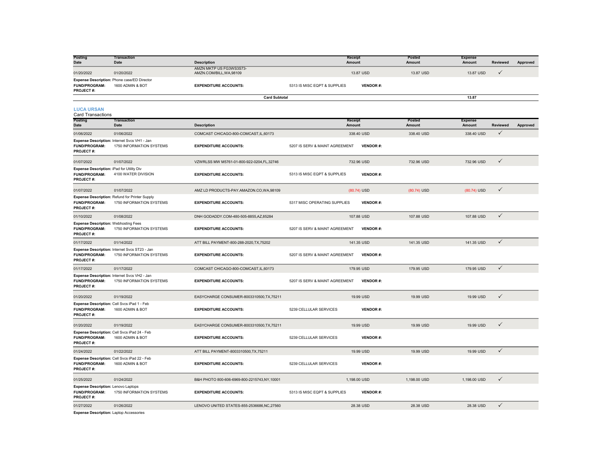| Posting<br><b>Date</b>                                                    | <b>Transaction</b><br>Date                                                        | <b>Description</b>                                  | Receipt<br>Amount              |                 | Posted<br>Amount | <b>Expense</b><br>Amount | <b>Reviewed</b> | Approved |
|---------------------------------------------------------------------------|-----------------------------------------------------------------------------------|-----------------------------------------------------|--------------------------------|-----------------|------------------|--------------------------|-----------------|----------|
| 01/20/2022                                                                | 01/20/2022                                                                        | AMZN MKTP US FG3WS3S73-<br>AMZN.COM/BILL, WA, 98109 |                                | 13.87 USD       | 13.87 USD        | 13.87 USD                | $\checkmark$    |          |
| FUND/PROGRAM:<br>PROJECT#:                                                | Expense Description: Phone case/ED Director<br>1600 ADMIN & BOT                   | <b>EXPENDITURE ACCOUNTS:</b>                        | 5313 IS MISC EQPT & SUPPLIES   | <b>VENDOR#:</b> |                  |                          |                 |          |
|                                                                           |                                                                                   | <b>Card Subtotal</b>                                |                                |                 |                  | 13.87                    |                 |          |
| <b>LUCA URSAN</b><br>Card Transactions                                    |                                                                                   |                                                     |                                |                 |                  |                          |                 |          |
| Posting<br><b>Date</b>                                                    | <b>Transaction</b><br>Date                                                        | <b>Description</b>                                  | Receipt<br>Amount              |                 | Posted<br>Amount | Expense<br>Amount        | Reviewed        | Approved |
| 01/06/2022                                                                | 01/06/2022                                                                        | COMCAST CHICAGO-800-COMCAST, IL, 60173              |                                | 338.40 USD      | 338.40 USD       | 338.40 USD               | ✓               |          |
| <b>FUND/PROGRAM:</b><br>PROJECT#:                                         | Expense Description: Internet Svcs VH1 - Jan<br>1750 INFORMATION SYSTEMS          | <b>EXPENDITURE ACCOUNTS:</b>                        | 5207 IS SERV & MAINT AGREEMENT | <b>VENDOR#:</b> |                  |                          |                 |          |
| 01/07/2022                                                                | 01/07/2022                                                                        | VZWRLSS MW M5761-01-800-922-0204,FL,32746           |                                | 732.96 USD      | 732.96 USD       | 732.96 USD               | $\checkmark$    |          |
| Expense Description: iPad for Utility Div<br>FUND/PROGRAM:<br>PROJECT#:   | 4100 WATER DIVISION                                                               | <b>EXPENDITURE ACCOUNTS:</b>                        | 5313 IS MISC EQPT & SUPPLIES   | <b>VENDOR#:</b> |                  |                          |                 |          |
| 01/07/2022                                                                | 01/07/2022                                                                        | AMZ LD PRODUCTS-PAY.AMAZON.CO, WA, 98109            |                                | (80.74) USD     | (80.74) USD      | (80.74) USD              | $\checkmark$    |          |
| FUND/PROGRAM:<br>PROJECT#:                                                | <b>Expense Description: Refund for Printer Supply</b><br>1750 INFORMATION SYSTEMS | <b>EXPENDITURE ACCOUNTS:</b>                        | 5317 MISC OPERATING SUPPLIES   | <b>VENDOR#:</b> |                  |                          |                 |          |
| 01/10/2022                                                                | 01/08/2022                                                                        | DNH GODADDY.COM-480-505-8855,AZ,85284               |                                | 107.88 USD      | 107.88 USD       | 107.88 USD               | $\checkmark$    |          |
| <b>Expense Description: Webhosting Fees</b><br>FUND/PROGRAM:<br>PROJECT#: | 1750 INFORMATION SYSTEMS                                                          | <b>EXPENDITURE ACCOUNTS:</b>                        | 5207 IS SERV & MAINT AGREEMENT | <b>VENDOR#:</b> |                  |                          |                 |          |
| 01/17/2022                                                                | 01/14/2022                                                                        | ATT BILL PAYMENT-800-288-2020, TX, 75202            |                                | 141.35 USD      | 141.35 USD       | 141.35 USD               | $\checkmark$    |          |
| FUND/PROGRAM:<br>PROJECT#:                                                | Expense Description: Internet Svcs ST23 - Jan<br>1750 INFORMATION SYSTEMS         | <b>EXPENDITURE ACCOUNTS:</b>                        | 5207 IS SERV & MAINT AGREEMENT | <b>VENDOR#:</b> |                  |                          |                 |          |
| 01/17/2022                                                                | 01/17/2022                                                                        | COMCAST CHICAGO-800-COMCAST, IL, 60173              |                                | 179.95 USD      | 179.95 USD       | 179.95 USD               | $\checkmark$    |          |
| FUND/PROGRAM:<br>PROJECT#:                                                | Expense Description: Internet Svcs VH2 - Jan<br>1750 INFORMATION SYSTEMS          | <b>EXPENDITURE ACCOUNTS:</b>                        | 5207 IS SERV & MAINT AGREEMENT | <b>VENDOR#:</b> |                  |                          |                 |          |
| 01/20/2022                                                                | 01/19/2022                                                                        | EASYCHARGE CONSUMER-8003310500, TX, 75211           |                                | 19.99 USD       | 19.99 USD        | 19.99 USD                | ✓               |          |
| FUND/PROGRAM:<br>PROJECT#:                                                | Expense Description: Cell Svcs iPad 1 - Feb<br>1600 ADMIN & BOT                   | <b>EXPENDITURE ACCOUNTS:</b>                        | 5239 CELLULAR SERVICES         | <b>VENDOR#:</b> |                  |                          |                 |          |
| 01/20/2022                                                                | 01/19/2022                                                                        | EASYCHARGE CONSUMER-8003310500, TX, 75211           |                                | 19.99 USD       | 19.99 USD        | 19.99 USD                | $\checkmark$    |          |
| FUND/PROGRAM:<br>PROJECT#:                                                | Expense Description: Cell Svcs iPad 24 - Feb<br>1600 ADMIN & BOT                  | <b>EXPENDITURE ACCOUNTS:</b>                        | 5239 CELLULAR SERVICES         | <b>VENDOR#:</b> |                  |                          |                 |          |
| 01/24/2022                                                                | 01/22/2022                                                                        | ATT BILL PAYMENT-8003310500.TX.75211                |                                | 19.99 USD       | 19.99 USD        | 19.99 USD                | $\checkmark$    |          |
| FUND/PROGRAM:<br>PROJECT#:                                                | Expense Description: Cell Svcs iPad 22 - Feb<br>1600 ADMIN & BOT                  | <b>EXPENDITURE ACCOUNTS:</b>                        | 5239 CELLULAR SERVICES         | <b>VENDOR#:</b> |                  |                          |                 |          |
| 01/25/2022                                                                | 01/24/2022                                                                        | B&H PHOTO 800-606-6969-800-2215743,NY,10001         |                                | 1,198.00 USD    | 1,198.00 USD     | 1,198.00 USD             | $\checkmark$    |          |
| Expense Description: Lenovo Laptops<br>FUND/PROGRAM:<br>PROJECT#:         | 1750 INFORMATION SYSTEMS                                                          | <b>EXPENDITURE ACCOUNTS:</b>                        | 5313 IS MISC EQPT & SUPPLIES   | <b>VENDOR#:</b> |                  |                          |                 |          |
| 01/27/2022<br><b>Expense Description: Laptop Accessories</b>              | 01/26/2022                                                                        | LENOVO UNITED STATES-855-2536686, NC, 27560         |                                | 28.38 USD       | 28.38 USD        | 28.38 USD                | $\checkmark$    |          |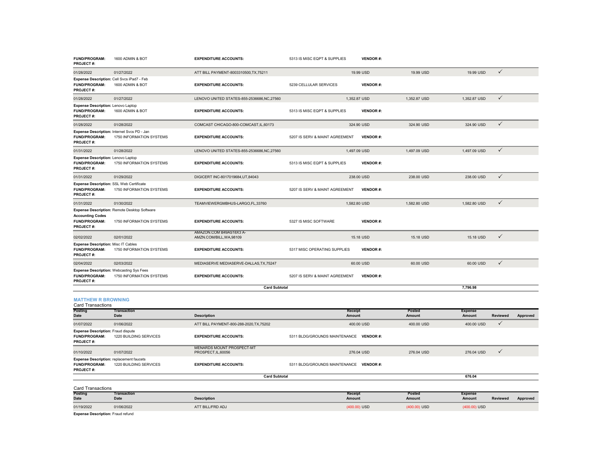| <b>FUND/PROGRAM:</b><br>PROJECT#:                                                    | 1600 ADMIN & BOT                             | <b>EXPENDITURE ACCOUNTS:</b>                            | 5313 IS MISC EQPT & SUPPLIES            |                          | <b>VENDOR#:</b> |                  |                          |                 |          |
|--------------------------------------------------------------------------------------|----------------------------------------------|---------------------------------------------------------|-----------------------------------------|--------------------------|-----------------|------------------|--------------------------|-----------------|----------|
| 01/28/2022                                                                           | 01/27/2022                                   | ATT BILL PAYMENT-8003310500, TX, 75211                  |                                         | 19.99 USD                |                 | 19.99 USD        | 19.99 USD                | $\checkmark$    |          |
| Expense Description: Cell Svcs iPad7 - Feb<br>FUND/PROGRAM:<br>PROJECT#:             | 1600 ADMIN & BOT                             | <b>EXPENDITURE ACCOUNTS:</b>                            | 5239 CELLULAR SERVICES                  |                          | <b>VENDOR#:</b> |                  |                          |                 |          |
| 01/28/2022                                                                           | 01/27/2022                                   | LENOVO UNITED STATES-855-2536686, NC, 27560             |                                         | 1,352.87 USD             |                 | 1,352.87 USD     | 1,352.87 USD             | $\checkmark$    |          |
| <b>Expense Description: Lenovo Laptop</b><br>FUND/PROGRAM:<br>PROJECT#:              | 1600 ADMIN & BOT                             | <b>EXPENDITURE ACCOUNTS:</b>                            | 5313 IS MISC EQPT & SUPPLIES            |                          | <b>VENDOR#:</b> |                  |                          |                 |          |
| 01/28/2022                                                                           | 01/28/2022                                   | COMCAST CHICAGO-800-COMCAST, IL, 60173                  |                                         | 324.90 USD               |                 | 324.90 USD       | 324.90 USD               | $\checkmark$    |          |
| Expense Description: Internet Svcs PD - Jan<br>FUND/PROGRAM:<br>PROJECT#:            | 1750 INFORMATION SYSTEMS                     | <b>EXPENDITURE ACCOUNTS:</b>                            | 5207 IS SERV & MAINT AGREEMENT          |                          | <b>VENDOR#:</b> |                  |                          |                 |          |
| 01/31/2022                                                                           | 01/28/2022                                   | LENOVO UNITED STATES-855-2536686, NC, 27560             |                                         | 1,497.09 USD             |                 | 1,497.09 USD     | 1,497.09 USD             | $\checkmark$    |          |
| <b>Expense Description: Lenovo Laptop</b><br>FUND/PROGRAM:<br>PROJECT#:              | 1750 INFORMATION SYSTEMS                     | <b>EXPENDITURE ACCOUNTS:</b>                            | 5313 IS MISC EQPT & SUPPLIES            |                          | <b>VENDOR#:</b> |                  |                          |                 |          |
| 01/31/2022                                                                           | 01/29/2022                                   | DIGICERT INC-8017019684,UT,84043                        |                                         | 238.00 USD               |                 | 238.00 USD       | 238.00 USD               | $\checkmark$    |          |
| Expense Description: SSL Web Certificate<br><b>FUND/PROGRAM:</b><br>PROJECT#:        | 1750 INFORMATION SYSTEMS                     | <b>EXPENDITURE ACCOUNTS:</b>                            | 5207 IS SERV & MAINT AGREEMENT          |                          | <b>VENDOR#:</b> |                  |                          |                 |          |
| 01/31/2022                                                                           | 01/30/2022                                   | TEAMVIEWERGMBHUS-LARGO,FL,33760                         |                                         | 1,582.80 USD             |                 | 1,582.80 USD     | 1,582.80 USD             | $\checkmark$    |          |
| <b>Accounting Codes</b>                                                              | Expense Description: Remote Desktop Software |                                                         |                                         |                          |                 |                  |                          |                 |          |
| FUND/PROGRAM:<br>PROJECT#:                                                           | 1750 INFORMATION SYSTEMS                     | <b>EXPENDITURE ACCOUNTS:</b>                            | 5327 IS MISC SOFTWARE                   |                          | <b>VENDOR#:</b> |                  |                          |                 |          |
| 02/02/2022                                                                           | 02/01/2022                                   | AMAZON.COM B49AS18X3 A-<br>AMZN.COM/BILL.WA.98109       |                                         | 15.18 USD                |                 | 15.18 USD        | 15.18 USD                | $\checkmark$    |          |
| Expense Description: Misc IT Cables<br><b>FUND/PROGRAM:</b><br>PROJECT#:             | 1750 INFORMATION SYSTEMS                     | <b>EXPENDITURE ACCOUNTS:</b>                            | 5317 MISC OPERATING SUPPLIES            |                          | <b>VENDOR#:</b> |                  |                          |                 |          |
| 02/04/2022                                                                           | 02/03/2022                                   | MEDIASERVE MEDIASERVE-DALLAS, TX, 75247                 |                                         | 60.00 USD                |                 | 60.00 USD        | 60.00 USD                | ✓               |          |
| <b>Expense Description: Webcasting Sys Fees</b><br>FUND/PROGRAM:<br>PROJECT#:        | 1750 INFORMATION SYSTEMS                     | <b>EXPENDITURE ACCOUNTS:</b>                            | 5207 IS SERV & MAINT AGREEMENT          |                          | <b>VENDOR#:</b> |                  |                          |                 |          |
|                                                                                      |                                              | <b>Card Subtotal</b>                                    |                                         |                          |                 |                  | 7,796.98                 |                 |          |
| <b>MATTHEW R BROWNING</b><br><b>Card Transactions</b>                                |                                              |                                                         |                                         |                          |                 |                  |                          |                 |          |
| Postino<br><b>Date</b>                                                               | <b>Transaction</b><br>Date                   | <b>Description</b>                                      |                                         | Receipt<br>Amount        |                 | Posted<br>Amount | <b>Expense</b><br>Amount | Reviewed        | Approved |
| 01/07/2022                                                                           | 01/06/2022                                   | ATT BILL PAYMENT-800-288-2020, TX, 75202                |                                         | 400.00 USD               |                 | 400.00 USD       | 400.00 USD               | ✓               |          |
| <b>Expense Description: Fraud dispute</b><br><b>FUND/PROGRAM:</b><br>PROJECT#:       | 1220 BUILDING SERVICES                       | <b>EXPENDITURE ACCOUNTS:</b>                            | 5311 BLDG/GROUNDS MAINTENANCE VENDOR #: |                          |                 |                  |                          |                 |          |
| 01/10/2022                                                                           | 01/07/2022                                   | <b>MENARDS MOUNT PROSPECT-MT</b><br>PROSPECT, IL, 60056 |                                         | 276.04 USD               |                 | 276.04 USD       | 276.04 USD               | ✓               |          |
| <b>Expense Description: replacement faucets</b><br><b>FUND/PROGRAM:</b><br>PROJECT#: | 1220 BUILDING SERVICES                       | <b>EXPENDITURE ACCOUNTS:</b>                            | 5311 BLDG/GROUNDS MAINTENANCE VENDOR #: |                          |                 |                  |                          |                 |          |
|                                                                                      |                                              | <b>Card Subtotal</b>                                    |                                         |                          |                 |                  | 676.04                   |                 |          |
| <b>Card Transactions</b>                                                             |                                              |                                                         |                                         |                          |                 |                  |                          |                 |          |
| Posting<br>Date                                                                      | <b>Transaction</b><br>Date                   | <b>Description</b>                                      |                                         | <b>Receipt</b><br>Amount |                 | Posted<br>Amount | <b>Expense</b><br>Amount | <b>Reviewed</b> | Approved |
| 01/19/2022                                                                           | 01/06/2022                                   | ATT BILL/FRD ADJ                                        |                                         | (400.00) USD             |                 | (400.00) USD     | (400.00) USD             |                 |          |

**Expense Description:** Fraud refund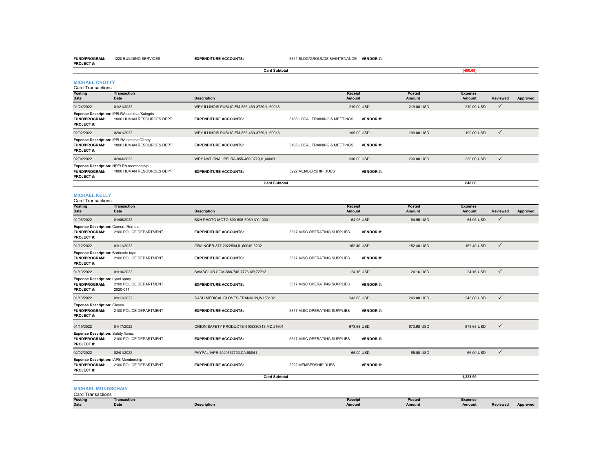**FUND/PROGRAM:** 1220 BUILDING SERVICES

**EXPENDITURE ACCOUNTS:** 5311 BLDG/GROUNDS MAINTENANCE **VENDOR #:**

| <b>PROJECT#:</b>                                                          |                                                                           | <b>Card Subtotal</b>                         |                                |                          |                  | (400.00)                 |                 |          |
|---------------------------------------------------------------------------|---------------------------------------------------------------------------|----------------------------------------------|--------------------------------|--------------------------|------------------|--------------------------|-----------------|----------|
|                                                                           |                                                                           |                                              |                                |                          |                  |                          |                 |          |
| <b>MICHAEL CROTTY</b><br><b>Card Transactions</b>                         |                                                                           |                                              |                                |                          |                  |                          |                 |          |
| Posting                                                                   | <b>Transaction</b>                                                        |                                              |                                | Receipt                  | <b>Posted</b>    | <b>Expense</b>           |                 |          |
| Date                                                                      | <b>Date</b>                                                               | <b>Description</b>                           |                                | Amount                   | <b>Amount</b>    | <b>Amount</b>            | <b>Reviewed</b> | Approved |
| 01/24/2022                                                                | 01/21/2022                                                                | WPY ILLINOIS PUBLIC EM-855-469-3729,IL,60018 |                                | 219.00 USD               | 219.00 USD       | 219.00 USD               | $\checkmark$    |          |
| FUND/PROGRAM:<br>PROJECT#:                                                | Expense Description: IPELRA seminar/Kalogris<br>1800 HUMAN RESOURCES DEPT | <b>EXPENDITURE ACCOUNTS:</b>                 | 5105 LOCAL TRAINING & MEETINGS | <b>VENDOR#:</b>          |                  |                          |                 |          |
| 02/02/2022                                                                | 02/01/2022                                                                | WPY ILLINOIS PUBLIC EM-855-469-3729,IL,60018 |                                | 199.00 USD               | 199.00 USD       | 199.00 USD               | $\checkmark$    |          |
| FUND/PROGRAM:<br>PROJECT#:                                                | Expense Description: IPELRA seminar/Crotty<br>1800 HUMAN RESOURCES DEPT   | <b>EXPENDITURE ACCOUNTS:</b>                 | 5105 LOCAL TRAINING & MEETINGS | <b>VENDOR#:</b>          |                  |                          |                 |          |
| 02/04/2022                                                                | 02/03/2022                                                                | WPY NATIONAL PELRA-855-469-3729,IL,60061     |                                | 230.00 USD               | 230.00 USD       | 230.00 USD               | $\checkmark$    |          |
| FUND/PROGRAM:<br>PROJECT#:                                                | Expense Description: NPELRA membership<br>1800 HUMAN RESOURCES DEPT       | <b>EXPENDITURE ACCOUNTS:</b>                 | 5222 MEMBERSHIP DUES           | <b>VENDOR#:</b>          |                  |                          |                 |          |
|                                                                           |                                                                           | <b>Card Subtotal</b>                         |                                |                          |                  | 648.00                   |                 |          |
| <b>MICHAEL KELLY</b><br><b>Card Transactions</b>                          |                                                                           |                                              |                                |                          |                  |                          |                 |          |
| <b>Posting</b><br><b>Date</b>                                             | <b>Transaction</b><br><b>Date</b>                                         | <b>Description</b>                           |                                | Receipt<br>Amount        | Posted<br>Amount | <b>Expense</b><br>Amount | Reviewed        | Approved |
| 01/06/2022                                                                | 01/05/2022                                                                | B&H PHOTO MOTO-800-606-6969,NY,10001         |                                | 64.95 USD                | 64.95 USD        | 64.95 USD                | $\checkmark$    |          |
| Expense Description: Camera Remote.<br>FUND/PROGRAM:<br>PROJECT#:         | 2100 POLICE DEPARTMENT                                                    | <b>EXPENDITURE ACCOUNTS:</b>                 | 5317 MISC OPERATING SUPPLIES   | <b>VENDOR#:</b>          |                  |                          |                 |          |
| 01/12/2022                                                                | 01/11/2022                                                                | GRAINGER-877-2022594,IL,60045-5202           |                                | 152.40 USD               | 152.40 USD       | 152.40 USD               | $\checkmark$    |          |
| Expense Description: Barricade tape.<br>FUND/PROGRAM:<br>PROJECT#:        | 2100 POLICE DEPARTMENT                                                    | <b>EXPENDITURE ACCOUNTS:</b>                 | 5317 MISC OPERATING SUPPLIES   | <b>VENDOR#:</b>          |                  |                          |                 |          |
| 01/13/2022                                                                | 01/10/2022                                                                | SAMSCLUB.COM-888-746-7726,AR,72712           |                                | 24.16 USD                | 24.16 USD        | 24.16 USD                | $\checkmark$    |          |
| Expense Description: Lysol spray.<br>FUND/PROGRAM:<br>PROJECT#:           | 2100 POLICE DEPARTMENT<br>2020-011                                        | <b>EXPENDITURE ACCOUNTS:</b>                 | 5317 MISC OPERATING SUPPLIES   | <b>VENDOR#:</b>          |                  |                          |                 |          |
| 01/13/2022                                                                | 01/11/2022                                                                | DASH MEDICAL GLOVES-FRANKLIN, WI,53132       |                                | 243.80 USD               | 243.80 USD       | 243.80 USD               | $\checkmark$    |          |
| <b>Expense Description: Gloves.</b><br>FUND/PROGRAM:<br>PROJECT#:         | 2100 POLICE DEPARTMENT                                                    | <b>EXPENDITURE ACCOUNTS:</b>                 | 5317 MISC OPERATING SUPPLIES   | <b>VENDOR#:</b>          |                  |                          |                 |          |
| 01/19/2022                                                                | 01/17/2022                                                                | ORION SAFETY PRODUCTS-4108330318,MD,21601    |                                | 673.68 USD               | 673.68 USD       | 673.68 USD               | $\checkmark$    |          |
| <b>Expense Description: Safety flares.</b><br>FUND/PROGRAM:<br>PROJECT#:  | 2100 POLICE DEPARTMENT                                                    | <b>EXPENDITURE ACCOUNTS:</b>                 | 5317 MISC OPERATING SUPPLIES   | <b>VENDOR#:</b>          |                  |                          |                 |          |
| 02/02/2022                                                                | 02/01/2022                                                                | PAYPAL IAPE-4029357733,CA,90041              |                                | 65.00 USD                | 65.00 USD        | 65.00 USD                | $\checkmark$    |          |
| <b>Expense Description: IAPE Membership</b><br>FUND/PROGRAM:<br>PROJECT#: | 2100 POLICE DEPARTMENT                                                    | <b>EXPENDITURE ACCOUNTS:</b>                 | 5222 MEMBERSHIP DUES           | <b>VENDOR#:</b>          |                  |                          |                 |          |
|                                                                           |                                                                           | <b>Card Subtotal</b>                         |                                |                          |                  | 1,223.99                 |                 |          |
| <b>MICHAEL MONDSCHAIN</b><br><b>Card Transactions</b>                     |                                                                           |                                              |                                |                          |                  |                          |                 |          |
| Posting<br>Date                                                           | Transaction<br><b>Date</b>                                                | <b>Description</b>                           |                                | <b>Receipt</b><br>Amount | Posted<br>Amount | <b>Expense</b><br>Amount | Reviewed        | Approved |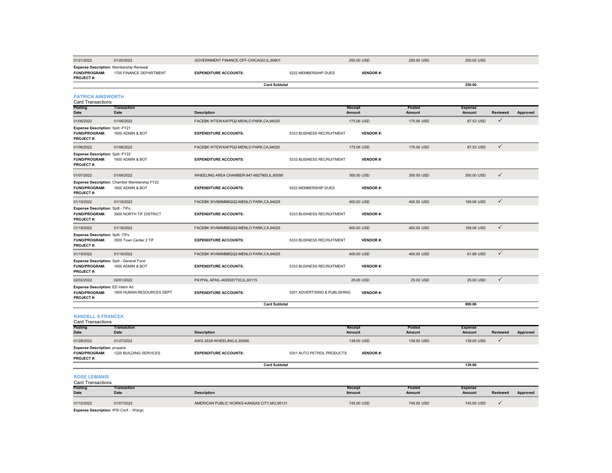| 01/21/2022                                                                          | 01/20/2022                                                       | GOVERNMENT FINANCE OFF-CHICAGO,IL,60601    |                               | 250.00 USD        | 250.00 USD       | 250.00 USD               |                 |          |
|-------------------------------------------------------------------------------------|------------------------------------------------------------------|--------------------------------------------|-------------------------------|-------------------|------------------|--------------------------|-----------------|----------|
| <b>Expense Description: Membership Renewal</b><br><b>FUND/PROGRAM:</b><br>PROJECT#: | 1700 FINANCE DEPARTMENT                                          | <b>EXPENDITURE ACCOUNTS:</b>               | 5222 MEMBERSHIP DUES          | <b>VENDOR#:</b>   |                  |                          |                 |          |
|                                                                                     |                                                                  | <b>Card Subtotal</b>                       |                               |                   |                  | 250.00                   |                 |          |
| <b>PATRICK AINSWORTH</b><br><b>Card Transactions</b><br>Posting                     | <b>Transaction</b>                                               |                                            |                               | Receipt           | Posted           | <b>Expense</b>           |                 |          |
| <b>Date</b>                                                                         | Date                                                             | <b>Description</b>                         |                               | Amount            | Amount           | Amount                   | <b>Reviewed</b> | Approved |
| 01/06/2022                                                                          | 01/06/2022                                                       | FACEBK WTEWXAFPQ2-MENLO PARK,CA,94025      |                               | 175.06 USD        | 175.06 USD       | 87.53 USD                | $\checkmark$    |          |
| Expense Description: Split-FY21<br>FUND/PROGRAM:<br>PROJECT#:                       | 1600 ADMIN & BOT                                                 | <b>EXPENDITURE ACCOUNTS:</b>               | 5333 BUSINESS RECRUITMENT     | <b>VENDOR#:</b>   |                  |                          |                 |          |
| 01/06/2022                                                                          | 01/06/2022                                                       | FACEBK WTEWXAFPQ2-MENLO PARK,CA,94025      |                               | 175.06 USD        | 175.06 USD       | 87.53 USD                | $\checkmark$    |          |
| Expense Description: Split-FY22<br><b>FUND/PROGRAM:</b><br>PROJECT#:                | 1600 ADMIN & BOT                                                 | <b>EXPENDITURE ACCOUNTS:</b>               | 5333 BUSINESS RECRUITMENT     | <b>VENDOR#:</b>   |                  |                          |                 |          |
| 01/07/2022                                                                          | 01/06/2022                                                       | WHEELING AREA CHAMBER-847-8927900,IL,60090 |                               | 300.00 USD        | 300.00 USD       | 300.00 USD               | $\checkmark$    |          |
| FUND/PROGRAM:<br>PROJECT#:                                                          | Expense Description: Chamber Membership FY22<br>1600 ADMIN & BOT | <b>EXPENDITURE ACCOUNTS:</b>               | 5222 MEMBERSHIP DUES          | <b>VENDOR#:</b>   |                  |                          |                 |          |
| 01/19/2022                                                                          | 01/19/2022                                                       | FACEBK WV6MMBBQQ2-MENLO PARK,CA,94025      |                               | 400.00 USD        | 400.00 USD       | 169.06 USD               | $\checkmark$    |          |
| Expense Description: Split - TIFs<br><b>FUND/PROGRAM:</b><br>PROJECT#:              | 3900 NORTH TIF DISTRICT                                          | <b>EXPENDITURE ACCOUNTS:</b>               | 5333 BUSINESS RECRUITMENT     | <b>VENDOR#:</b>   |                  |                          |                 |          |
| 01/19/2022                                                                          | 01/19/2022                                                       | FACEBK WV6MMBBQQ2-MENLO PARK,CA,94025      |                               | 400.00 USD        | 400.00 USD       | 169.06 USD               | $\checkmark$    |          |
| Expense Description: Split -TIFs<br>FUND/PROGRAM:<br>PROJECT#:                      | 3500 Town Center 2 TIF                                           | <b>EXPENDITURE ACCOUNTS:</b>               | 5333 BUSINESS RECRUITMENT     | <b>VENDOR#:</b>   |                  |                          |                 |          |
| 01/19/2022                                                                          | 01/19/2022                                                       | FACEBK WV6MMBBQQ2-MENLO PARK,CA,94025      |                               | 400.00 USD        | 400.00 USD       | 61.88 USD                | $\checkmark$    |          |
| Expense Description: Split - General Fund<br><b>FUND/PROGRAM:</b><br>PROJECT#:      | 1600 ADMIN & BOT                                                 | <b>EXPENDITURE ACCOUNTS:</b>               | 5333 BUSINESS RECRUITMENT     | <b>VENDOR#:</b>   |                  |                          |                 |          |
| 02/02/2022                                                                          | 02/01/2022                                                       | PAYPAL APAIL-4029357733,IL,60115           |                               | 25.00 USD         | 25.00 USD        | 25.00 USD                | $\checkmark$    |          |
| Expense Description: ED Intern Ad<br>FUND/PROGRAM:<br>PROJECT#:                     | 1800 HUMAN RESOURCES DEPT                                        | <b>EXPENDITURE ACCOUNTS:</b>               | 5201 ADVERTISING & PUBLISHING | <b>VENDOR#:</b>   |                  |                          |                 |          |
|                                                                                     |                                                                  | <b>Card Subtotal</b>                       |                               |                   |                  | 900.06                   |                 |          |
| <b>RANDELL S FRANCEK</b><br><b>Card Transactions</b><br>Posting                     | Transaction                                                      |                                            |                               | Receipt           | Posted           | <b>Expense</b>           |                 |          |
| <b>Date</b>                                                                         | Date                                                             | <b>Description</b>                         |                               | Amount            | Amount           | Amount                   | <b>Reviewed</b> | Approved |
| 01/28/2022                                                                          | 01/27/2022                                                       | AWG 2539-WHEELING, IL, 60090               |                               | 139.00 USD        | 139.00 USD       | 139.00 USD               | $\checkmark$    |          |
| <b>Expense Description: propane</b><br><b>FUND/PROGRAM:</b><br>PROJECT#:            | 1220 BUILDING SERVICES                                           | <b>EXPENDITURE ACCOUNTS:</b>               | 5301 AUTO PETROL PRODUCTS     | <b>VENDOR#:</b>   |                  |                          |                 |          |
|                                                                                     |                                                                  | <b>Card Subtotal</b>                       |                               |                   |                  | 139.00                   |                 |          |
| <b>ROSE LEMANIS</b><br><b>Card Transactions</b>                                     |                                                                  |                                            |                               |                   |                  |                          |                 |          |
| Posting<br>Date                                                                     | Transaction<br>Date                                              | <b>Description</b>                         |                               | Receipt<br>Amount | Posted<br>Amount | <b>Expense</b><br>Amount | <b>Reviewed</b> | Approved |
| 01/10/2022                                                                          | 01/07/2022                                                       | AMERICAN PUBLIC WORKS-KANSAS CITY.MO.95131 |                               | 745,00 USD        | 745,00 USD       | 745.00 USD               | ✓               |          |

**Expense Description:** IPSI Conf. - Wargo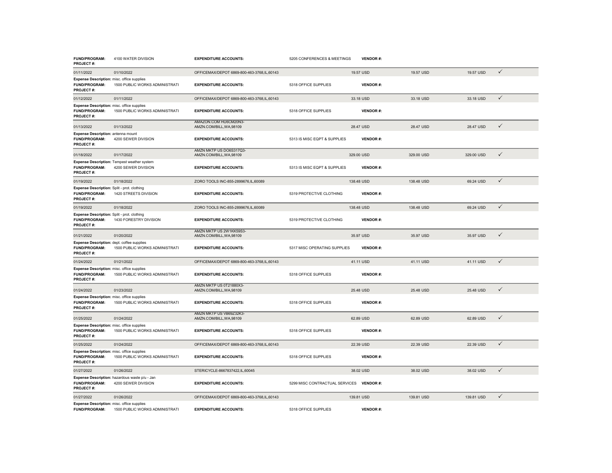| FUND/PROGRAM:<br>PROJECT#:                                                | 4100 WATER DIVISION                                                   | <b>EXPENDITURE ACCOUNTS:</b>                        | 5205 CONFERENCES & MEETINGS    | <b>VENDOR#:</b> |            |            |              |
|---------------------------------------------------------------------------|-----------------------------------------------------------------------|-----------------------------------------------------|--------------------------------|-----------------|------------|------------|--------------|
| 01/11/2022                                                                | 01/10/2022                                                            | OFFICEMAX/DEPOT 6869-800-463-3768,IL,60143          |                                | 19.57 USD       | 19.57 USD  | 19.57 USD  | $\checkmark$ |
| Expense Description: misc. office supplies<br>FUND/PROGRAM:<br>PROJECT#:  | 1500 PUBLIC WORKS ADMINISTRATI                                        | <b>EXPENDITURE ACCOUNTS:</b>                        | 5318 OFFICE SUPPLIES           | <b>VENDOR#:</b> |            |            |              |
| 01/12/2022                                                                | 01/11/2022                                                            | OFFICEMAX/DEPOT 6869-800-463-3768,IL,60143          |                                | 33.18 USD       | 33.18 USD  | 33.18 USD  | $\checkmark$ |
| Expense Description: misc. office supplies<br>FUND/PROGRAM:<br>PROJECT#:  | 1500 PUBLIC WORKS ADMINISTRATI                                        | <b>EXPENDITURE ACCOUNTS:</b>                        | 5318 OFFICE SUPPLIES           | <b>VENDOR#:</b> |            |            |              |
| 01/13/2022                                                                | 01/13/2022                                                            | AMAZON.COM HU6CM20N3-<br>AMZN.COM/BILL, WA, 98109   |                                | 28.47 USD       | 28.47 USD  | 28.47 USD  | $\checkmark$ |
| Expense Description: antenna mount<br>FUND/PROGRAM:<br>PROJECT#:          | 4200 SEWER DIVISION                                                   | <b>EXPENDITURE ACCOUNTS:</b>                        | 5313 IS MISC EQPT & SUPPLIES   | <b>VENDOR#:</b> |            |            |              |
| 01/18/2022                                                                | 01/17/2022                                                            | AMZN MKTP US DO6S317Q3-<br>AMZN.COM/BILL, WA, 98109 |                                | 329.00 USD      | 329.00 USD | 329.00 USD | $\checkmark$ |
| FUND/PROGRAM:<br>PROJECT#:                                                | Expense Description: Tempest weather system<br>4200 SEWER DIVISION    | <b>EXPENDITURE ACCOUNTS:</b>                        | 5313 IS MISC EQPT & SUPPLIES   | <b>VENDOR#:</b> |            |            |              |
| 01/19/2022                                                                | 01/18/2022                                                            | ZORO TOOLS INC-855-2899676,IL,60089                 |                                | 138.48 USD      | 138.48 USD | 69.24 USD  | $\checkmark$ |
| Expense Description: Split - prot. clothing<br>FUND/PROGRAM:<br>PROJECT#: | 1420 STREETS DIVISION                                                 | <b>EXPENDITURE ACCOUNTS:</b>                        | 5319 PROTECTIVE CLOTHING       | <b>VENDOR#:</b> |            |            |              |
| 01/19/2022                                                                | 01/18/2022                                                            | ZORO TOOLS INC-855-2899676,IL,60089                 |                                | 138.48 USD      | 138.48 USD | 69.24 USD  | $\checkmark$ |
| Expense Description: Split - prot. clothing<br>FUND/PROGRAM:<br>PROJECT#: | 1430 FORESTRY DIVISION                                                | <b>EXPENDITURE ACCOUNTS:</b>                        | 5319 PROTECTIVE CLOTHING       | <b>VENDOR#:</b> |            |            |              |
| 01/21/2022                                                                | 01/20/2022                                                            | AMZN MKTP US 2W1KK59S3-<br>AMZN.COM/BILL, WA, 98109 |                                | 35.97 USD       | 35.97 USD  | 35.97 USD  | $\checkmark$ |
| Expense Description: dept. coffee supplies<br>FUND/PROGRAM:<br>PROJECT#:  | 1500 PUBLIC WORKS ADMINISTRATI                                        | <b>EXPENDITURE ACCOUNTS:</b>                        | 5317 MISC OPERATING SUPPLIES   | <b>VENDOR#:</b> |            |            |              |
| 01/24/2022                                                                | 01/21/2022                                                            | OFFICEMAX/DEPOT 6869-800-463-3768,IL,60143          |                                | 41.11 USD       | 41.11 USD  | 41.11 USD  | $\checkmark$ |
| Expense Description: misc. office supplies<br>FUND/PROGRAM:<br>PROJECT#:  | 1500 PUBLIC WORKS ADMINISTRATI                                        | <b>EXPENDITURE ACCOUNTS:</b>                        | 5318 OFFICE SUPPLIES           | <b>VENDOR#:</b> |            |            |              |
| 01/24/2022                                                                | 01/23/2022                                                            | AMZN MKTP US 0T21880X3-<br>AMZN.COM/BILL, WA, 98109 |                                | 25.48 USD       | 25.48 USD  | 25.48 USD  | $\checkmark$ |
| Expense Description: misc. office supplies<br>FUND/PROGRAM:<br>PROJECT#:  | 1500 PUBLIC WORKS ADMINISTRATI                                        | <b>EXPENDITURE ACCOUNTS:</b>                        | 5318 OFFICE SUPPLIES           | <b>VENDOR#:</b> |            |            |              |
| 01/25/2022                                                                | 01/24/2022                                                            | AMZN MKTP US VB69Z32K3-<br>AMZN.COM/BILL, WA, 98109 |                                | 62.89 USD       | 62.89 USD  | 62.89 USD  | $\checkmark$ |
| Expense Description: misc. office supplies<br>FUND/PROGRAM:<br>PROJECT#:  | 1500 PUBLIC WORKS ADMINISTRATI                                        | <b>EXPENDITURE ACCOUNTS:</b>                        | 5318 OFFICE SUPPLIES           | <b>VENDOR#:</b> |            |            |              |
| 01/25/2022                                                                | 01/24/2022                                                            | OFFICEMAX/DEPOT 6869-800-463-3768,IL,60143          |                                | 22.39 USD       | 22.39 USD  | 22.39 USD  | $\checkmark$ |
| Expense Description: misc. office supplies<br>FUND/PROGRAM:<br>PROJECT#:  | 1500 PUBLIC WORKS ADMINISTRATI                                        | <b>EXPENDITURE ACCOUNTS:</b>                        | 5318 OFFICE SUPPLIES           | <b>VENDOR#:</b> |            |            |              |
| 01/27/2022                                                                | 01/26/2022                                                            | STERICYCLE-8667837422,IL,60045                      |                                | 38.02 USD       | 38.02 USD  | 38.02 USD  | $\checkmark$ |
| FUND/PROGRAM:<br>PROJECT#:                                                | Expense Description: hazardous waste p/u - Jan<br>4200 SEWER DIVISION | <b>EXPENDITURE ACCOUNTS:</b>                        | 5299 MISC CONTRACTUAL SERVICES | <b>VENDOR#:</b> |            |            |              |
| 01/27/2022                                                                | 01/26/2022                                                            | OFFICEMAX/DEPOT 6869-800-463-3768,IL,60143          |                                | 139.81 USD      | 139.81 USD | 139.81 USD | $\checkmark$ |
| Expense Description: misc. office supplies<br><b>FUND/PROGRAM:</b>        | 1500 PUBLIC WORKS ADMINISTRATI                                        | <b>EXPENDITURE ACCOUNTS:</b>                        | 5318 OFFICE SUPPLIES           | <b>VENDOR#:</b> |            |            |              |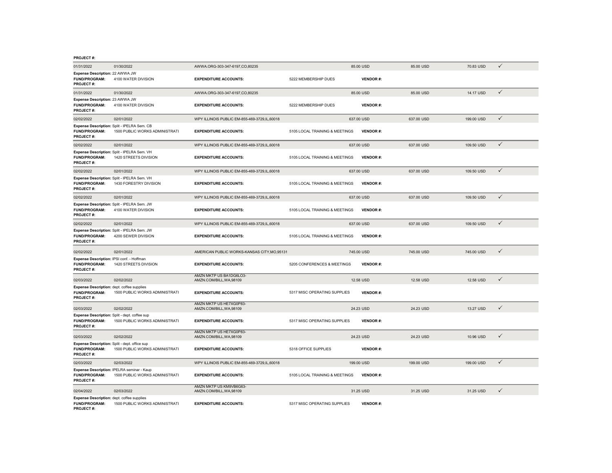| 01/31/2022                                                                            | 01/30/2022                                                                    | AWWA.ORG-303-347-6197,CO,80235                      |                                | 85.00 USD       | 85.00 USD  | 70.83 USD  | ✓            |
|---------------------------------------------------------------------------------------|-------------------------------------------------------------------------------|-----------------------------------------------------|--------------------------------|-----------------|------------|------------|--------------|
| Expense Description: 22 AWWA JW<br><b>FUND/PROGRAM:</b><br>PROJECT#:                  | 4100 WATER DIVISION                                                           | <b>EXPENDITURE ACCOUNTS:</b>                        | 5222 MEMBERSHIP DUES           | <b>VENDOR#:</b> |            |            |              |
| 01/31/2022                                                                            | 01/30/2022                                                                    | AWWA.ORG-303-347-6197,CO,80235                      |                                | 85.00 USD       | 85.00 USD  | 14.17 USD  | $\checkmark$ |
| Expense Description: 23 AWWA JW<br><b>FUND/PROGRAM:</b><br>PROJECT#:                  | 4100 WATER DIVISION                                                           | <b>EXPENDITURE ACCOUNTS:</b>                        | 5222 MEMBERSHIP DUES           | <b>VENDOR#:</b> |            |            |              |
| 02/02/2022                                                                            | 02/01/2022                                                                    | WPY ILLINOIS PUBLIC EM-855-469-3729.IL.60018        |                                | 637.00 USD      | 637.00 USD | 199,00 USD | $\checkmark$ |
| FUND/PROGRAM:<br>PROJECT#:                                                            | Expense Description: Split - IPELRA Sem. CB<br>1500 PUBLIC WORKS ADMINISTRATI | <b>EXPENDITURE ACCOUNTS:</b>                        | 5105 LOCAL TRAINING & MEETINGS | <b>VENDOR#:</b> |            |            |              |
| 02/02/2022                                                                            | 02/01/2022                                                                    | WPY ILLINOIS PUBLIC EM-855-469-3729,IL,60018        |                                | 637.00 USD      | 637.00 USD | 109.50 USD | ✓            |
| <b>FUND/PROGRAM:</b><br>PROJECT#:                                                     | Expense Description: Split - IPELRA Sem. VH<br>1420 STREETS DIVISION          | <b>EXPENDITURE ACCOUNTS:</b>                        | 5105 LOCAL TRAINING & MEETINGS | <b>VENDOR#:</b> |            |            |              |
| 02/02/2022                                                                            | 02/01/2022                                                                    | WPY ILLINOIS PUBLIC EM-855-469-3729,IL,60018        |                                | 637.00 USD      | 637.00 USD | 109.50 USD | $\checkmark$ |
| <b>FUND/PROGRAM:</b><br><b>PROJECT#:</b>                                              | Expense Description: Split - IPELRA Sem. VH<br>1430 FORESTRY DIVISION         | <b>EXPENDITURE ACCOUNTS:</b>                        | 5105 LOCAL TRAINING & MEETINGS | <b>VENDOR#:</b> |            |            |              |
| 02/02/2022                                                                            | 02/01/2022                                                                    | WPY ILLINOIS PUBLIC EM-855-469-3729,IL,60018        |                                | 637,00 USD      | 637.00 USD | 109.50 USD | $\checkmark$ |
| <b>FUND/PROGRAM:</b><br><b>PROJECT#:</b>                                              | Expense Description: Split - IPELRA Sem. JW<br>4100 WATER DIVISION            | <b>EXPENDITURE ACCOUNTS:</b>                        | 5105 LOCAL TRAINING & MEETINGS | <b>VENDOR#:</b> |            |            |              |
| 02/02/2022                                                                            | 02/01/2022                                                                    | WPY ILLINOIS PUBLIC EM-855-469-3729,IL,60018        |                                | 637.00 USD      | 637.00 USD | 109.50 USD | $\checkmark$ |
| FUND/PROGRAM:<br><b>PROJECT#:</b>                                                     | Expense Description: Split - IPELRA Sem. JW<br>4200 SEWER DIVISION            | <b>EXPENDITURE ACCOUNTS:</b>                        | 5105 LOCAL TRAINING & MEETINGS | <b>VENDOR#:</b> |            |            |              |
| 02/02/2022                                                                            | 02/01/2022                                                                    | AMERICAN PUBLIC WORKS-KANSAS CITY, MO, 95131        |                                | 745.00 USD      | 745.00 USD | 745.00 USD | ✓            |
| Expense Description: IPSI conf. - Hoffman<br><b>FUND/PROGRAM:</b><br><b>PROJECT#:</b> | 1420 STREETS DIVISION                                                         | <b>EXPENDITURE ACCOUNTS:</b>                        | 5205 CONFERENCES & MEETINGS    | <b>VENDOR#:</b> |            |            |              |
| 02/03/2022                                                                            | 02/02/2022                                                                    | AMZN MKTP US BA1DG6LO3-<br>AMZN.COM/BILL, WA, 98109 |                                | 12.58 USD       | 12.58 USD  | 12.58 USD  | ✓            |
| Expense Description: dept. coffee supplies<br><b>FUND/PROGRAM:</b><br>PROJECT#:       | 1500 PUBLIC WORKS ADMINISTRATI                                                | <b>EXPENDITURE ACCOUNTS:</b>                        | 5317 MISC OPERATING SUPPLIES   | <b>VENDOR#:</b> |            |            |              |
| 02/03/2022                                                                            | 02/02/2022                                                                    | AMZN MKTP US HE7XG0P83-<br>AMZN.COM/BILL, WA, 98109 |                                | 24.23 USD       | 24.23 USD  | 13.27 USD  | ✓            |
| Expense Description: Split - dept. coffee sup<br>FUND/PROGRAM:<br>PROJECT#:           | 1500 PUBLIC WORKS ADMINISTRATI                                                | <b>EXPENDITURE ACCOUNTS:</b>                        | 5317 MISC OPERATING SUPPLIES   | <b>VENDOR#:</b> |            |            |              |
| 02/03/2022                                                                            | 02/02/2022                                                                    | AMZN MKTP US HE7XG0P83-<br>AMZN.COM/BILL, WA, 98109 |                                | 24.23 USD       | 24.23 USD  | 10.96 USD  | ✓            |
| Expense Description: Split - dept. office sup<br>FUND/PROGRAM:<br><b>PROJECT#:</b>    | 1500 PUBLIC WORKS ADMINISTRATI                                                | <b>EXPENDITURE ACCOUNTS:</b>                        | 5318 OFFICE SUPPLIES           | <b>VENDOR#:</b> |            |            |              |
| 02/03/2022                                                                            | 02/03/2022                                                                    | WPY ILLINOIS PUBLIC EM-855-469-3729,IL,60018        |                                | 199.00 USD      | 199.00 USD | 199.00 USD | $\checkmark$ |
| FUND/PROGRAM:<br>PROJECT#:                                                            | Expense Description: IPELRA seminar - Kaup<br>1500 PUBLIC WORKS ADMINISTRATI  | <b>EXPENDITURE ACCOUNTS:</b>                        | 5105 LOCAL TRAINING & MEETINGS | <b>VENDOR#:</b> |            |            |              |
| 02/04/2022                                                                            | 02/03/2022                                                                    | AMZN MKTP US KM9VB6G63-<br>AMZN.COM/BILL, WA, 98109 |                                | 31.25 USD       | 31.25 USD  | 31.25 USD  | ✓            |
| Expense Description: dept. coffee supplies<br>FUND/PROGRAM:<br>PROJECT#:              | 1500 PUBLIC WORKS ADMINISTRATI                                                | <b>EXPENDITURE ACCOUNTS:</b>                        | 5317 MISC OPERATING SUPPLIES   | <b>VENDOR#:</b> |            |            |              |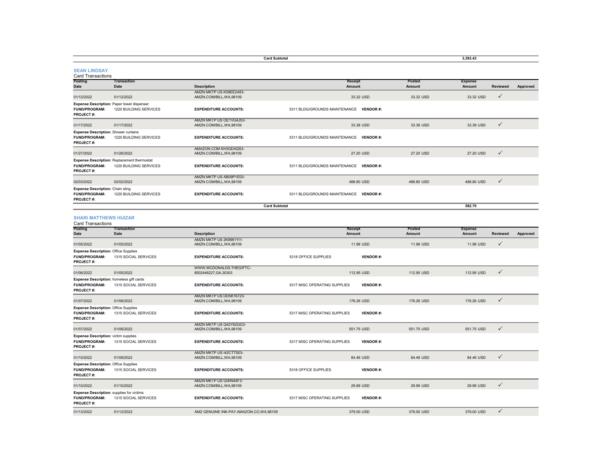|                                                                                  |                                                                       | <b>Card Subtotal</b>                                |                                                 |                  | 3,393.43                 |              |          |
|----------------------------------------------------------------------------------|-----------------------------------------------------------------------|-----------------------------------------------------|-------------------------------------------------|------------------|--------------------------|--------------|----------|
| <b>SEAN LINDSAY</b><br>Card Transactions                                         |                                                                       |                                                     |                                                 |                  |                          |              |          |
| Posting<br>Date                                                                  | <b>Transaction</b><br>Date                                            | <b>Description</b>                                  | Receipt<br>Amount                               | Posted<br>Amount | <b>Expense</b><br>Amount | Reviewed     | Approved |
| 01/12/2022                                                                       | 01/12/2022                                                            | AMZN MKTP US K09EE2483-<br>AMZN.COM/BILL, WA, 98109 | 33.32 USD                                       | 33.32 USD        | 33.32 USD                | $\checkmark$ |          |
| Expense Description: Paper towel dispenser<br><b>FUND/PROGRAM:</b><br>PROJECT#:  | 1220 BUILDING SERVICES                                                | <b>EXPENDITURE ACCOUNTS:</b>                        | 5311 BLDG/GROUNDS MAINTENANCE VENDOR #:         |                  |                          |              |          |
| 01/17/2022                                                                       | 01/17/2022                                                            | AMZN MKTP US OE1VG4J53-<br>AMZN.COM/BILL,WA,98109   | 33.38 USD                                       | 33.38 USD        | 33,38 USD                | ✓            |          |
| <b>Expense Description: Shower curtains</b><br>FUND/PROGRAM:<br>PROJECT#:        | 1220 BUILDING SERVICES                                                | <b>EXPENDITURE ACCOUNTS:</b>                        | 5311 BLDG/GROUNDS MAINTENANCE VENDOR #:         |                  |                          |              |          |
| 01/27/2022                                                                       | 01/26/2022                                                            | AMAZON.COM KH3GD4QS3-<br>AMZN.COM/BILL,WA,98109     | 27.20 USD                                       | 27.20 USD        | 27.20 USD                | $\checkmark$ |          |
| FUND/PROGRAM:<br>PROJECT#:                                                       | Expense Description: Replacement thermostat<br>1220 BUILDING SERVICES | <b>EXPENDITURE ACCOUNTS:</b>                        | 5311 BLDG/GROUNDS MAINTENANCE VENDOR #:         |                  |                          |              |          |
| 02/03/2022                                                                       | 02/02/2022                                                            | AMZN MKTP US AB09P1E03-<br>AMZN.COM/BILL, WA, 98109 | 488,80 USD                                      | 488,80 USD       | 488,80 USD               | $\checkmark$ |          |
| Expense Description: Chain sling<br>FUND/PROGRAM:<br><b>PROJECT#:</b>            | 1220 BUILDING SERVICES                                                | <b>EXPENDITURE ACCOUNTS:</b>                        | 5311 BLDG/GROUNDS MAINTENANCE VENDOR #:         |                  |                          |              |          |
|                                                                                  |                                                                       | <b>Card Subtotal</b>                                |                                                 |                  | 582.70                   |              |          |
| <b>SHARI MATTHEWS HUIZAR</b><br><b>Card Transactions</b>                         |                                                                       |                                                     |                                                 |                  |                          |              |          |
| <b>Posting</b><br>Date                                                           | <b>Transaction</b><br>Date                                            | <b>Description</b>                                  | Receipt<br>Amount                               | Posted<br>Amount | <b>Expense</b><br>Amount | Reviewed     | Approved |
| 01/05/2022                                                                       | 01/05/2022                                                            | AMZN MKTP US 2K8961YI1-<br>AMZN.COM/BILL, WA, 98109 | 11.98 USD                                       | 11.98 USD        | 11.98 USD                | $\checkmark$ |          |
| Expense Description: Office Supplies<br>FUND/PROGRAM:<br>PROJECT#:               | 1315 SOCIAL SERVICES                                                  | <b>EXPENDITURE ACCOUNTS:</b>                        | 5318 OFFICE SUPPLIES<br><b>VENDOR#:</b>         |                  |                          |              |          |
| 01/06/2022                                                                       | 01/05/2022                                                            | WWW.MCDONALDS.THEGIFTC-<br>8002446227, GA, 30303    | 112.95 USD                                      | 112.95 USD       | 112.95 USD               | ✓            |          |
| Expense Description: homeless gift cards<br>FUND/PROGRAM:<br>PROJECT#:           | 1315 SOCIAL SERVICES                                                  | <b>EXPENDITURE ACCOUNTS:</b>                        | 5317 MISC OPERATING SUPPLIES<br><b>VENDOR#:</b> |                  |                          |              |          |
| 01/07/2022                                                                       | 01/06/2022                                                            | AMZN MKTP US DD5K16723-<br>AMZN.COM/BILL, WA, 98109 | 176.26 USD                                      | 176.26 USD       | 176.26 USD               | $\checkmark$ |          |
| <b>Expense Description: Office Supplies</b><br>FUND/PROGRAM:<br>PROJECT#:        | 1315 SOCIAL SERVICES                                                  | <b>EXPENDITURE ACCOUNTS:</b>                        | 5317 MISC OPERATING SUPPLIES<br><b>VENDOR#:</b> |                  |                          |              |          |
| 01/07/2022                                                                       | 01/06/2022                                                            | AMZN MKTP US Q42Y62GG3-<br>AMZN.COM/BILL,WA,98109   | 551.75 USD                                      | 551.75 USD       | 551.75 USD               | ✓            |          |
| <b>Expense Description: victim supplies</b><br>FUND/PROGRAM:<br>PROJECT#:        | 1315 SOCIAL SERVICES                                                  | <b>EXPENDITURE ACCOUNTS:</b>                        | 5317 MISC OPERATING SUPPLIES<br><b>VENDOR#:</b> |                  |                          |              |          |
| 01/10/2022                                                                       | 01/09/2022                                                            | AMZN MKTP US I42CT7S03-<br>AMZN.COM/BILL, WA, 98109 | 84.46 USD                                       | 84.46 USD        | 84.46 USD                | $\checkmark$ |          |
| <b>Expense Description: Office Supplies</b><br><b>FUND/PROGRAM:</b><br>PROJECT#: | 1315 SOCIAL SERVICES                                                  | <b>EXPENDITURE ACCOUNTS:</b>                        | 5318 OFFICE SUPPLIES<br><b>VENDOR#:</b>         |                  |                          |              |          |
| 01/10/2022                                                                       | 01/10/2022                                                            | AMZN MKTP US GI4IN44F3-<br>AMZN.COM/BILL, WA, 98109 | 29.99 USD                                       | 29.99 USD        | 29.99 USD                | $\checkmark$ |          |
| <b>Expense Description:</b> supplies for victims<br>FUND/PROGRAM:<br>PROJECT#:   | 1315 SOCIAL SERVICES                                                  | <b>EXPENDITURE ACCOUNTS:</b>                        | 5317 MISC OPERATING SUPPLIES<br><b>VENDOR#:</b> |                  |                          |              |          |
| 01/13/2022                                                                       | 01/12/2022                                                            | AMZ GENUINE INK-PAY.AMAZON.CO.WA.98109              | 379,00 USD                                      | 379,00 USD       | 379,00 USD               | $\checkmark$ |          |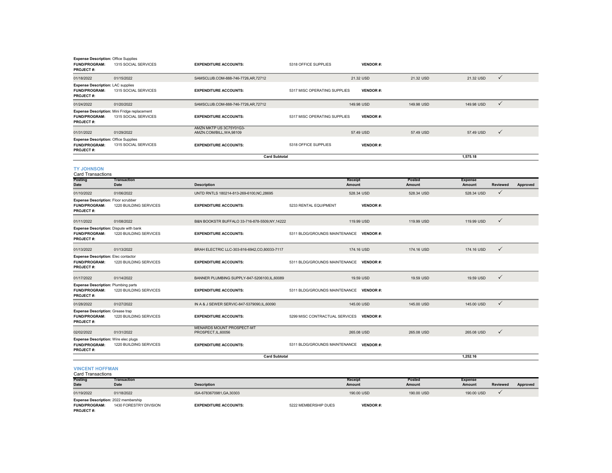| Expense Description: Office Supplies<br>FUND/PROGRAM:<br>PROJECT#:               | 1315 SOCIAL SERVICES                                                 | <b>EXPENDITURE ACCOUNTS:</b>                            | 5318 OFFICE SUPPLIES                    | <b>VENDOR#:</b>   |                  |                          |                 |          |
|----------------------------------------------------------------------------------|----------------------------------------------------------------------|---------------------------------------------------------|-----------------------------------------|-------------------|------------------|--------------------------|-----------------|----------|
| 01/18/2022                                                                       | 01/15/2022                                                           | SAMSCLUB.COM-888-746-7726, AR, 72712                    |                                         | 21.32 USD         | 21.32 USD        | 21.32 USD                | $\checkmark$    |          |
| <b>Expense Description: LAC supplies</b><br><b>FUND/PROGRAM:</b><br>PROJECT#:    | 1315 SOCIAL SERVICES                                                 | <b>EXPENDITURE ACCOUNTS:</b>                            | 5317 MISC OPERATING SUPPLIES            | <b>VENDOR#:</b>   |                  |                          |                 |          |
| 01/24/2022                                                                       | 01/20/2022                                                           | SAMSCLUB.COM-888-746-7726,AR,72712                      |                                         | 149.98 USD        | 149.98 USD       | 149.98 USD               | $\checkmark$    |          |
| FUND/PROGRAM:<br>PROJECT#:                                                       | Expense Description: Mini Fridge replacement<br>1315 SOCIAL SERVICES | <b>EXPENDITURE ACCOUNTS:</b>                            | 5317 MISC OPERATING SUPPLIES            | <b>VENDOR#:</b>   |                  |                          |                 |          |
| 01/31/2022                                                                       | 01/29/2022                                                           | AMZN MKTP US 3C75Y01G3-<br>AMZN.COM/BILL, WA, 98109     |                                         | 57.49 USD         | 57.49 USD        | 57.49 USD                | $\checkmark$    |          |
| <b>Expense Description: Office Supplies</b><br>FUND/PROGRAM:<br>PROJECT#:        | 1315 SOCIAL SERVICES                                                 | <b>EXPENDITURE ACCOUNTS:</b>                            | 5318 OFFICE SUPPLIES                    | <b>VENDOR#:</b>   |                  |                          |                 |          |
|                                                                                  |                                                                      | <b>Card Subtotal</b>                                    |                                         |                   |                  | 1,575.18                 |                 |          |
| <b>TY JOHNSON</b><br><b>Card Transactions</b>                                    |                                                                      |                                                         |                                         |                   |                  |                          |                 |          |
| Posting<br>Date                                                                  | Transaction<br>Date                                                  | <b>Description</b>                                      |                                         | Receipt<br>Amount | Posted<br>Amount | <b>Expense</b><br>Amount | <b>Reviewed</b> | Approved |
| 01/10/2022                                                                       | 01/06/2022                                                           | UNTD RNTLS 180214-813-269-6100, NC, 28695               |                                         | 528.34 USD        | 528.34 USD       | 528.34 USD               | $\checkmark$    |          |
| Expense Description: Floor scrubber<br>FUND/PROGRAM:<br>PROJECT#:                | 1220 BUILDING SERVICES                                               | <b>EXPENDITURE ACCOUNTS:</b>                            | 5233 RENTAL EQUIPMENT                   | <b>VENDOR#:</b>   |                  |                          |                 |          |
| 01/11/2022                                                                       | 01/08/2022                                                           | B&N BOOKSTR BUFFALO 33-716-878-5509.NY.14222            |                                         | 119.99 USD        | 119.99 USD       | 119.99 USD               | $\checkmark$    |          |
| Expense Description: Dispute with bank<br>FUND/PROGRAM:<br>PROJECT#:             | 1220 BUILDING SERVICES                                               | <b>EXPENDITURE ACCOUNTS:</b>                            | 5311 BLDG/GROUNDS MAINTENANCE VENDOR #: |                   |                  |                          |                 |          |
| 01/13/2022                                                                       | 01/13/2022                                                           | BRAH ELECTRIC LLC-303-816-6942,CO,80033-7117            |                                         | 174.16 USD        | 174.16 USD       | 174.16 USD               | $\checkmark$    |          |
| <b>Expense Description: Elec contactor</b><br>FUND/PROGRAM:<br>PROJECT#:         | 1220 BUILDING SERVICES                                               | <b>EXPENDITURE ACCOUNTS:</b>                            | 5311 BLDG/GROUNDS MAINTENANCE VENDOR #: |                   |                  |                          |                 |          |
| 01/17/2022                                                                       | 01/14/2022                                                           | BANNER PLUMBING SUPPLY-847-5206100,IL,60089             |                                         | 19.59 USD         | 19.59 USD        | 19.59 USD                | $\checkmark$    |          |
| <b>Expense Description: Plumbing parts</b><br><b>FUND/PROGRAM:</b><br>PROJECT#:  | 1220 BUILDING SERVICES                                               | <b>EXPENDITURE ACCOUNTS:</b>                            | 5311 BLDG/GROUNDS MAINTENANCE VENDOR #: |                   |                  |                          |                 |          |
| 01/28/2022                                                                       | 01/27/2022                                                           | IN A & J SEWER SERVIC-847-5379090.IL.60090              |                                         | 145,00 USD        | 145,00 USD       | 145.00 USD               | $\checkmark$    |          |
| <b>Expense Description: Grease trap</b><br>FUND/PROGRAM:<br>PROJECT#:            | 1220 BUILDING SERVICES                                               | <b>EXPENDITURE ACCOUNTS:</b>                            | 5299 MISC CONTRACTUAL SERVICES          | <b>VENDOR#:</b>   |                  |                          |                 |          |
| 02/02/2022                                                                       | 01/31/2022                                                           | <b>MENARDS MOUNT PROSPECT-MT</b><br>PROSPECT, IL, 60056 |                                         | 265.08 USD        | 265,08 USD       | 265.08 USD               | $\checkmark$    |          |
| <b>Expense Description: Wire elec plugs</b><br><b>FUND/PROGRAM:</b><br>PROJECT#: | 1220 BUILDING SERVICES                                               | <b>EXPENDITURE ACCOUNTS:</b>                            | 5311 BLDG/GROUNDS MAINTENANCE VENDOR #: |                   |                  |                          |                 |          |
|                                                                                  |                                                                      | <b>Card Subtotal</b>                                    |                                         |                   |                  | 1,252.16                 |                 |          |
| <b>VINCENT HOFFMAN</b><br><b>Card Transactions</b>                               |                                                                      |                                                         |                                         |                   |                  |                          |                 |          |

| <b>Posting</b>                              | <b>Transaction</b>     |                              |                      | <b>Receipt</b>  | Posted     | <b>Expense</b> |          |          |
|---------------------------------------------|------------------------|------------------------------|----------------------|-----------------|------------|----------------|----------|----------|
| <b>Date</b>                                 | <b>Date</b>            | <b>Description</b>           |                      | Amount          | Amount     | <b>Amount</b>  | Reviewed | Approved |
| 01/19/2022                                  | 01/18/2022             | ISA-6783670981.GA.30303      |                      | 190,00 USD      | 190,00 USD | 190.00 USD     |          |          |
| <b>Expense Description: 2022 membership</b> |                        |                              |                      |                 |            |                |          |          |
| <b>FUND/PROGRAM:</b>                        | 1430 FORESTRY DIVISION | <b>EXPENDITURE ACCOUNTS:</b> | 5222 MEMBERSHIP DUES | <b>VENDOR#:</b> |            |                |          |          |
| <b>PROJECT#:</b>                            |                        |                              |                      |                 |            |                |          |          |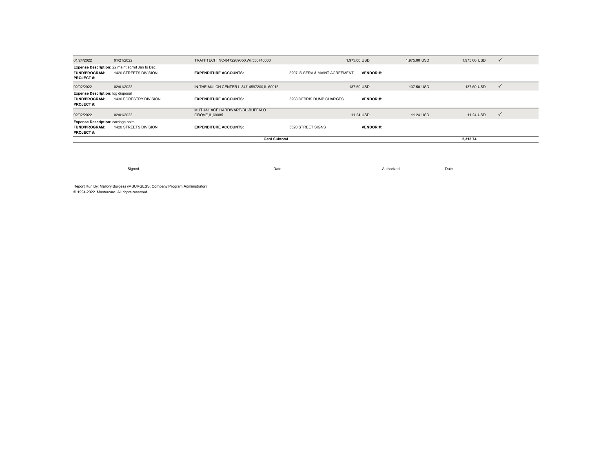| 01/24/2022                                                                             | 01/21/2022                                                              | TRAFFTECH INC-8472269050, WI,530740000           |                                | 1.975.00 USD    | 1,975.00 USD | 1,975.00 USD | $\checkmark$ |
|----------------------------------------------------------------------------------------|-------------------------------------------------------------------------|--------------------------------------------------|--------------------------------|-----------------|--------------|--------------|--------------|
| <b>FUND/PROGRAM:</b><br><b>PROJECT#:</b>                                               | Expense Description: 22 maint agrmt Jan to Dec<br>1420 STREETS DIVISION | <b>EXPENDITURE ACCOUNTS:</b>                     | 5207 IS SERV & MAINT AGREEMENT | <b>VENDOR#:</b> |              |              |              |
| 02/02/2022                                                                             | 02/01/2022                                                              | IN THE MULCH CENTER L-847-4597200.IL.60015       |                                | 137,50 USD      | 137,50 USD   | 137.50 USD   |              |
| <b>Expense Description: log disposal</b><br><b>FUND/PROGRAM:</b><br><b>PROJECT#:</b>   | 1430 FORESTRY DIVISION                                                  | <b>EXPENDITURE ACCOUNTS:</b>                     | 5208 DEBRIS DUMP CHARGES       | <b>VENDOR#:</b> |              |              |              |
| 02/02/2022                                                                             | 02/01/2022                                                              | MUTUAL ACE HARDWARE-BU-BUFFALO<br>GROVE.IL.60085 |                                | 11.24 USD       | 11.24 USD    | 11.24 USD    | $\checkmark$ |
| <b>Expense Description: carriage bolts</b><br><b>FUND/PROGRAM:</b><br><b>PROJECT#:</b> | 1420 STREETS DIVISION                                                   | <b>EXPENDITURE ACCOUNTS:</b>                     | 5320 STREET SIGNS              | <b>VENDOR#:</b> |              |              |              |
|                                                                                        | <b>Card Subtotal</b>                                                    |                                                  |                                |                 |              | 2,313.74     |              |

Signed Date Authorized Date

Report Run By: Mallory Burgess (MBURGESS, Company Program Administrator) © 1994-2022. Mastercard. All rights reserved.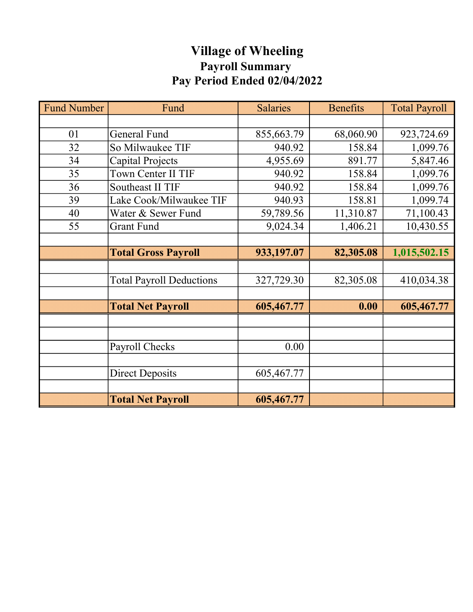## Village of Wheeling Payroll Summary Pay Period Ended 02/04/2022

| <b>Fund Number</b> | Fund                            | <b>Salaries</b> | <b>Benefits</b> | <b>Total Payroll</b> |
|--------------------|---------------------------------|-----------------|-----------------|----------------------|
|                    |                                 |                 |                 |                      |
| 01                 | <b>General Fund</b>             | 855,663.79      | 68,060.90       | 923,724.69           |
| 32                 | So Milwaukee TIF                | 940.92          | 158.84          | 1,099.76             |
| 34                 | Capital Projects                | 4,955.69        | 891.77          | 5,847.46             |
| 35                 | Town Center II TIF              | 940.92          | 158.84          | 1,099.76             |
| 36                 | Southeast II TIF                | 940.92          | 158.84          | 1,099.76             |
| 39                 | Lake Cook/Milwaukee TIF         | 940.93          | 158.81          | 1,099.74             |
| 40                 | Water & Sewer Fund              | 59,789.56       | 11,310.87       | 71,100.43            |
| 55                 | <b>Grant Fund</b>               | 9,024.34        | 1,406.21        | 10,430.55            |
|                    |                                 |                 |                 |                      |
|                    | <b>Total Gross Payroll</b>      | 933,197.07      | 82,305.08       | 1,015,502.15         |
|                    |                                 |                 |                 |                      |
|                    | <b>Total Payroll Deductions</b> | 327,729.30      | 82,305.08       | 410,034.38           |
|                    |                                 |                 |                 |                      |
|                    | <b>Total Net Payroll</b>        | 605,467.77      | 0.00            | 605,467.77           |
|                    |                                 |                 |                 |                      |
|                    |                                 |                 |                 |                      |
|                    | Payroll Checks                  | 0.00            |                 |                      |
|                    |                                 |                 |                 |                      |
|                    | <b>Direct Deposits</b>          | 605,467.77      |                 |                      |
|                    |                                 |                 |                 |                      |
|                    | <b>Total Net Payroll</b>        | 605,467.77      |                 |                      |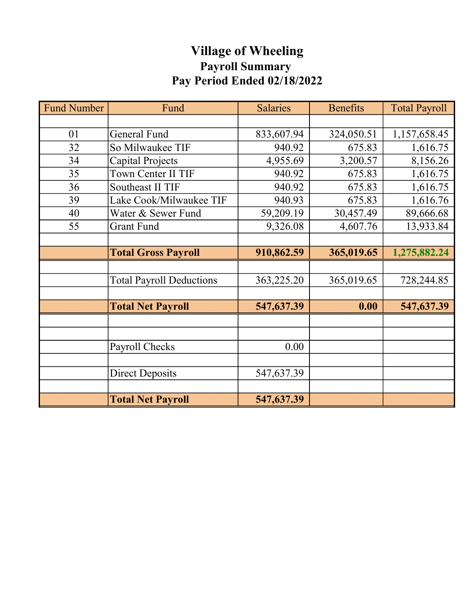## Village of Wheeling Payroll Summary Pay Period Ended 02/18/2022

| <b>Fund Number</b> | Fund                            | <b>Salaries</b> | <b>Benefits</b> | <b>Total Payroll</b> |
|--------------------|---------------------------------|-----------------|-----------------|----------------------|
|                    |                                 |                 |                 |                      |
| 01                 | <b>General Fund</b>             | 833,607.94      | 324,050.51      | 1,157,658.45         |
| 32                 | So Milwaukee TIF                | 940.92          | 675.83          | 1,616.75             |
| 34                 | Capital Projects<br>4,955.69    |                 | 3,200.57        | 8,156.26             |
| 35                 | Town Center II TIF              | 940.92          | 675.83          | 1,616.75             |
| 36                 | <b>Southeast II TIF</b>         | 940.92          | 675.83          | 1,616.75             |
| 39                 | Lake Cook/Milwaukee TIF         | 940.93          | 675.83          | 1,616.76             |
| 40                 | Water & Sewer Fund              | 59,209.19       | 30,457.49       | 89,666.68            |
| 55                 | <b>Grant Fund</b>               | 9,326.08        | 4,607.76        | 13,933.84            |
|                    |                                 |                 |                 |                      |
|                    | <b>Total Gross Payroll</b>      | 910,862.59      | 365,019.65      | 1,275,882.24         |
|                    |                                 |                 |                 |                      |
|                    | <b>Total Payroll Deductions</b> | 363,225.20      | 365,019.65      | 728,244.85           |
|                    |                                 |                 |                 |                      |
|                    | <b>Total Net Payroll</b>        | 547,637.39      | 0.00            | 547,637.39           |
|                    |                                 |                 |                 |                      |
|                    |                                 |                 |                 |                      |
|                    | Payroll Checks                  | 0.00            |                 |                      |
|                    |                                 |                 |                 |                      |
|                    | <b>Direct Deposits</b>          | 547,637.39      |                 |                      |
|                    |                                 |                 |                 |                      |
|                    | <b>Total Net Payroll</b>        | 547,637.39      |                 |                      |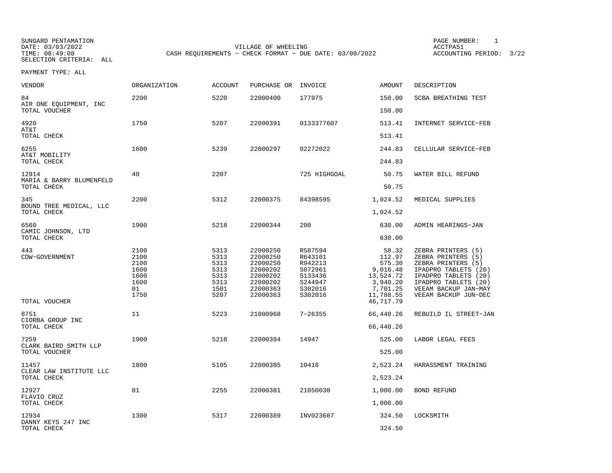SUNGARD PENTAMATION PAGE NUMBER: 1SELECTION CRITERIA: ALL

DATE: 03/03/2022 VILLAGE OF WHEELING ACCTPA51CASH REQUIREMENTS - CHECK FORMAT - DUE DATE: 03/08/2022

ACCOUNTING PERIOD: 3/22

| VENDOR                                  | ORGANIZATION                                               | <b>ACCOUNT</b>                                               | PURCHASE OR                                                                                  | INVOICE                                                                              | <b>AMOUNT</b>                                                                                        | DESCRIPTION                                                                                                                                                                            |
|-----------------------------------------|------------------------------------------------------------|--------------------------------------------------------------|----------------------------------------------------------------------------------------------|--------------------------------------------------------------------------------------|------------------------------------------------------------------------------------------------------|----------------------------------------------------------------------------------------------------------------------------------------------------------------------------------------|
| 84<br>AIR ONE EQUIPMENT, INC            | 2200                                                       | 5220                                                         | 22000400                                                                                     | 177975                                                                               | 150.00                                                                                               | SCBA BREATHING TEST                                                                                                                                                                    |
| TOTAL VOUCHER                           |                                                            |                                                              |                                                                                              |                                                                                      | 150.00                                                                                               |                                                                                                                                                                                        |
| 4920<br>AT&T<br>TOTAL CHECK             | 1750                                                       | 5207                                                         | 22000391                                                                                     | 0133377607                                                                           | 513.41<br>513.41                                                                                     | INTERNET SERVICE-FEB                                                                                                                                                                   |
| 6255                                    | 1600                                                       | 5239                                                         | 22000297                                                                                     | 02272022                                                                             | 244.83                                                                                               | CELLULAR SERVICE-FEB                                                                                                                                                                   |
| AT&T MOBILITY<br>TOTAL CHECK            |                                                            |                                                              |                                                                                              |                                                                                      | 244.83                                                                                               |                                                                                                                                                                                        |
| 12914                                   | 40                                                         | 2207                                                         |                                                                                              | 725 HIGHGOAL                                                                         | 50.75                                                                                                | WATER BILL REFUND                                                                                                                                                                      |
| MARIA & BARRY BLUMENFELD<br>TOTAL CHECK |                                                            |                                                              |                                                                                              |                                                                                      | 50.75                                                                                                |                                                                                                                                                                                        |
| 345                                     | 2200                                                       | 5312                                                         | 22000375                                                                                     | 84398595                                                                             | 1,024.52                                                                                             | MEDICAL SUPPLIES                                                                                                                                                                       |
| BOUND TREE MEDICAL, LLC<br>TOTAL CHECK  |                                                            |                                                              |                                                                                              |                                                                                      | 1,024.52                                                                                             |                                                                                                                                                                                        |
| 6560                                    | 1900                                                       | 5218                                                         | 22000344                                                                                     | 200                                                                                  | 630.00                                                                                               | ADMIN HEARINGS-JAN                                                                                                                                                                     |
| CAMIC JOHNSON, LTD<br>TOTAL CHECK       |                                                            |                                                              |                                                                                              |                                                                                      | 630.00                                                                                               |                                                                                                                                                                                        |
| 443<br>CDW-GOVERNMENT<br>TOTAL VOUCHER  | 2100<br>2100<br>2100<br>1600<br>1600<br>1600<br>01<br>1750 | 5313<br>5313<br>5313<br>5313<br>5313<br>5313<br>1501<br>5207 | 22000250<br>22000250<br>22000250<br>22000202<br>22000202<br>22000202<br>22000363<br>22000363 | R587594<br>R643101<br>R942213<br>S072961<br>S133436<br>S244947<br>S302016<br>S302016 | 58.32<br>112.97<br>575.30<br>9,016.48<br>13,524.72<br>3,940.20<br>7,701.25<br>11,788.55<br>46,717.79 | ZEBRA PRINTERS (5)<br>ZEBRA PRINTERS (5)<br>ZEBRA PRINTERS (5)<br>IPADPRO TABLETS (20)<br>IPADPRO TABLETS (20)<br>IPADPRO TABLETS (20)<br>VEEAM BACKUP JAN-MAY<br>VEEAM BACKUP JUN-DEC |
| 8751                                    | 11                                                         | 5223                                                         | 21000968                                                                                     | $7 - 26355$                                                                          | 66,440.26                                                                                            | REBUILD IL STREET-JAN                                                                                                                                                                  |
| CIORBA GROUP INC<br>TOTAL CHECK         |                                                            |                                                              |                                                                                              |                                                                                      | 66,440.26                                                                                            |                                                                                                                                                                                        |
| 7259                                    | 1900                                                       | 5218                                                         | 22000384                                                                                     | 14947                                                                                | 525.00                                                                                               | LABOR LEGAL FEES                                                                                                                                                                       |
| CLARK BAIRD SMITH LLP<br>TOTAL VOUCHER  |                                                            |                                                              |                                                                                              |                                                                                      | 525.00                                                                                               |                                                                                                                                                                                        |
| 11457                                   | 1800                                                       | 5105                                                         | 22000385                                                                                     | 10418                                                                                | 2,523.24                                                                                             | HARASSMENT TRAINING                                                                                                                                                                    |
| CLEAR LAW INSTITUTE LLC<br>TOTAL CHECK  |                                                            |                                                              |                                                                                              |                                                                                      | 2,523.24                                                                                             |                                                                                                                                                                                        |
| 12927                                   | 01                                                         | 2255                                                         | 22000381                                                                                     | 21050030                                                                             | 1,000.00                                                                                             | <b>BOND REFUND</b>                                                                                                                                                                     |
| FLAVIO CRUZ<br>TOTAL CHECK              |                                                            |                                                              |                                                                                              |                                                                                      | 1,000.00                                                                                             |                                                                                                                                                                                        |
| 12934                                   | 1300                                                       | 5317                                                         | 22000389                                                                                     | INV023607                                                                            | 324.50                                                                                               | LOCKSMITH                                                                                                                                                                              |
| DANNY KEYS 247 INC<br>TOTAL CHECK       |                                                            |                                                              |                                                                                              |                                                                                      | 324.50                                                                                               |                                                                                                                                                                                        |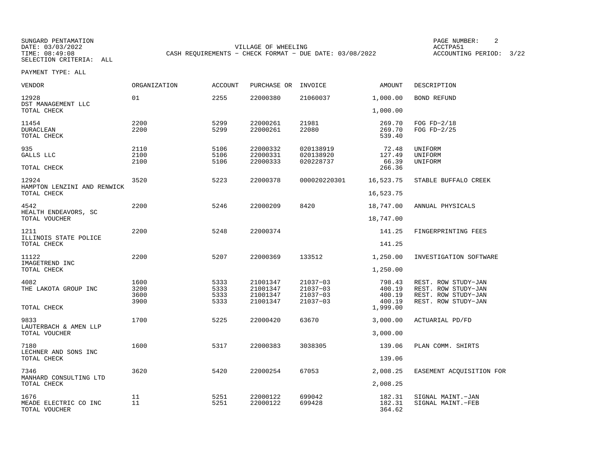SUNGARD PENTAMATION PAGE NUMBER: 2DATE: 03/03/2022 VILLAGE OF WHEELING ACCTPA51CASH REQUIREMENTS - CHECK FORMAT - DUE DATE: 03/08/2022

ACCOUNTING PERIOD: 3/22

| VENDOR                                         | ORGANIZATION                 | <b>ACCOUNT</b>               | PURCHASE OR                                  | INVOICE                                      | <b>AMOUNT</b>                        | DESCRIPTION                                                                              |
|------------------------------------------------|------------------------------|------------------------------|----------------------------------------------|----------------------------------------------|--------------------------------------|------------------------------------------------------------------------------------------|
| 12928<br>DST MANAGEMENT LLC                    | 01                           | 2255                         | 22000380                                     | 21060037                                     | 1,000.00                             | <b>BOND REFUND</b>                                                                       |
| TOTAL CHECK                                    |                              |                              |                                              |                                              | 1,000.00                             |                                                                                          |
| 11454<br><b>DURACLEAN</b><br>TOTAL CHECK       | 2200<br>2200                 | 5299<br>5299                 | 22000261<br>22000261                         | 21981<br>22080                               | 269.70<br>269.70<br>539.40           | FOG $FD-2/18$<br>FOG FD-2/25                                                             |
| 935<br>GALLS LLC<br>TOTAL CHECK                | 2110<br>2100<br>2100         | 5106<br>5106<br>5106         | 22000332<br>22000331<br>22000333             | 020138919<br>020138920<br>020228737          | 72.48<br>127.49<br>66.39<br>266.36   | UNIFORM<br>UNIFORM<br>UNIFORM                                                            |
| 12924<br>HAMPTON LENZINI AND RENWICK           | 3520                         | 5223                         | 22000378                                     | 000020220301                                 | 16,523.75                            | STABLE BUFFALO CREEK                                                                     |
| TOTAL CHECK                                    |                              |                              |                                              |                                              | 16,523.75                            |                                                                                          |
| 4542<br>HEALTH ENDEAVORS, SC                   | 2200                         | 5246                         | 22000209                                     | 8420                                         | 18,747.00                            | ANNUAL PHYSICALS                                                                         |
| TOTAL VOUCHER                                  |                              |                              |                                              |                                              | 18,747.00                            |                                                                                          |
| 1211<br>ILLINOIS STATE POLICE                  | 2200                         | 5248                         | 22000374                                     |                                              | 141.25                               | FINGERPRINTING FEES                                                                      |
| TOTAL CHECK                                    |                              |                              |                                              |                                              | 141.25                               |                                                                                          |
| 11122<br>IMAGETREND INC                        | 2200                         | 5207                         | 22000369                                     | 133512                                       | 1,250.00                             | INVESTIGATION SOFTWARE                                                                   |
| TOTAL CHECK                                    |                              |                              |                                              |                                              | 1,250.00                             |                                                                                          |
| 4082<br>THE LAKOTA GROUP INC                   | 1600<br>3200<br>3600<br>3900 | 5333<br>5333<br>5333<br>5333 | 21001347<br>21001347<br>21001347<br>21001347 | 21037-03<br>21037-03<br>21037-03<br>21037-03 | 798.43<br>400.19<br>400.19<br>400.19 | REST. ROW STUDY-JAN<br>REST. ROW STUDY-JAN<br>REST. ROW STUDY-JAN<br>REST. ROW STUDY-JAN |
| TOTAL CHECK                                    |                              |                              |                                              |                                              | 1,999.00                             |                                                                                          |
| 9833<br>LAUTERBACH & AMEN LLP                  | 1700                         | 5225                         | 22000420                                     | 63670                                        | 3,000.00                             | ACTUARIAL PD/FD                                                                          |
| TOTAL VOUCHER                                  |                              |                              |                                              |                                              | 3,000.00                             |                                                                                          |
| 7180<br>LECHNER AND SONS INC                   | 1600                         | 5317                         | 22000383                                     | 3038305                                      | 139.06                               | PLAN COMM. SHIRTS                                                                        |
| TOTAL CHECK                                    |                              |                              |                                              |                                              | 139.06                               |                                                                                          |
| 7346<br>MANHARD CONSULTING LTD                 | 3620                         | 5420                         | 22000254                                     | 67053                                        | 2,008.25                             | EASEMENT ACQUISITION FOR                                                                 |
| TOTAL CHECK                                    |                              |                              |                                              |                                              | 2,008.25                             |                                                                                          |
| 1676<br>MEADE ELECTRIC CO INC<br>TOTAL VOUCHER | 11<br>11                     | 5251<br>5251                 | 22000122<br>22000122                         | 699042<br>699428                             | 182.31<br>182.31<br>364.62           | SIGNAL MAINT.-JAN<br>SIGNAL MAINT.-FEB                                                   |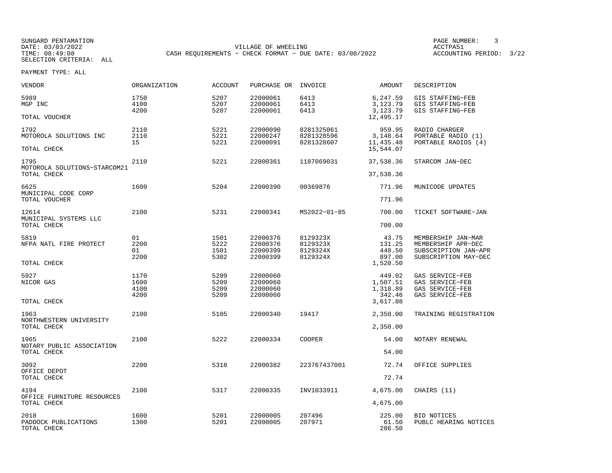SUNGARD PENTAMATION PAGE NUMBER: 3DATE: 03/03/2022 VILLAGE OF WHEELING ACCTPA51CASH REQUIREMENTS - CHECK FORMAT - DUE DATE: 03/08/2022

ACCOUNTING PERIOD: 3/22

| VENDOR                                        | ORGANIZATION                 | <b>ACCOUNT</b>               | PURCHASE OR                                  | INVOICE                                      | AMOUNT                                               | DESCRIPTION                                                                              |
|-----------------------------------------------|------------------------------|------------------------------|----------------------------------------------|----------------------------------------------|------------------------------------------------------|------------------------------------------------------------------------------------------|
| 5989<br>MGP INC                               | 1750<br>4100<br>4200         | 5207<br>5207<br>5207         | 22000061<br>22000061<br>22000061             | 6413<br>6413<br>6413                         | 6,247.59<br>3,123.79<br>3,123.79                     | GIS STAFFING-FEB<br>GIS STAFFING-FEB<br>GIS STAFFING-FEB                                 |
| TOTAL VOUCHER                                 |                              |                              |                                              |                                              | 12,495.17                                            |                                                                                          |
| 1792<br>MOTOROLA SOLUTIONS INC<br>TOTAL CHECK | 2110<br>2110<br>15           | 5221<br>5221<br>5221         | 22000090<br>22000247<br>22000091             | 8281325061<br>8281328596<br>8281328607       | 959.95<br>3,148.64<br>11,435.48<br>15,544.07         | RADIO CHARGER<br>PORTABLE RADIO (1)<br>PORTABLE RADIOS (4)                               |
| 1795<br>MOTOROLA SOLUTIONS-STARCOM21          | 2110                         | 5221                         | 22000361                                     | 1187069031                                   | 37,538.36                                            | STARCOM JAN-DEC                                                                          |
| TOTAL CHECK                                   |                              |                              |                                              |                                              | 37,538.36                                            |                                                                                          |
| 6625<br>MUNICIPAL CODE CORP                   | 1600                         | 5204                         | 22000390                                     | 00369876                                     | 771.96                                               | MUNICODE UPDATES                                                                         |
| TOTAL VOUCHER                                 |                              |                              |                                              |                                              | 771.96                                               |                                                                                          |
| 12614<br>MUNICIPAL SYSTEMS LLC<br>TOTAL CHECK | 2100                         | 5231                         | 22000341                                     | MS2022-01-85                                 | 700.00                                               | TICKET SOFTWARE-JAN                                                                      |
|                                               |                              |                              |                                              |                                              | 700.00                                               |                                                                                          |
| 5819<br>NFPA NATL FIRE PROTECT                | 01<br>2200<br>01<br>2200     | 1501<br>5222<br>1501<br>5302 | 22000376<br>22000376<br>22000399<br>22000399 | 8129323X<br>8129323X<br>8129324X<br>8129324X | 43.75<br>131.25<br>448.50<br>897.00                  | MEMBERSHIP JAN-MAR<br>MEMBERSHIP APR-DEC<br>SUBSCRIPTION JAN-APR<br>SUBSCRIPTION MAY-DEC |
| TOTAL CHECK                                   |                              |                              |                                              |                                              | 1,520.50                                             |                                                                                          |
| 5927<br>NICOR GAS<br>TOTAL CHECK              | 1170<br>1600<br>4100<br>4200 | 5209<br>5209<br>5209<br>5209 | 22000060<br>22000060<br>22000060<br>22000060 |                                              | 449.02<br>1,507.51<br>1,318.89<br>342.46<br>3,617.88 | GAS SERVICE-FEB<br>GAS SERVICE-FEB<br>GAS SERVICE-FEB<br>GAS SERVICE-FEB                 |
| 1963                                          | 2100                         | 5105                         | 22000340                                     | 19417                                        | 2,350.00                                             | TRAINING REGISTRATION                                                                    |
| NORTHWESTERN UNIVERSITY<br>TOTAL CHECK        |                              |                              |                                              |                                              | 2,350.00                                             |                                                                                          |
| 1965                                          | 2100                         | 5222                         | 22000334                                     | <b>COOPER</b>                                | 54.00                                                | NOTARY RENEWAL                                                                           |
| NOTARY PUBLIC ASSOCIATION<br>TOTAL CHECK      |                              |                              |                                              |                                              | 54.00                                                |                                                                                          |
| 3092<br>OFFICE DEPOT                          | 2200                         | 5318                         | 22000382                                     | 223767437001                                 | 72.74                                                | OFFICE SUPPLIES                                                                          |
| TOTAL CHECK                                   |                              |                              |                                              |                                              | 72.74                                                |                                                                                          |
| 4194<br>OFFICE FURNITURE RESOURCES            | 2100                         | 5317                         | 22000335                                     | INV1033911                                   | 4,675.00                                             | CHAIRS (11)                                                                              |
| TOTAL CHECK                                   |                              |                              |                                              |                                              | 4,675.00                                             |                                                                                          |
| 2018<br>PADDOCK PUBLICATIONS<br>TOTAL CHECK   | 1600<br>1300                 | 5201<br>5201                 | 22000005<br>22000005                         | 207496<br>207971                             | 225.00<br>61.50<br>286.50                            | <b>BID NOTICES</b><br>PUBLC HEARING NOTICES                                              |